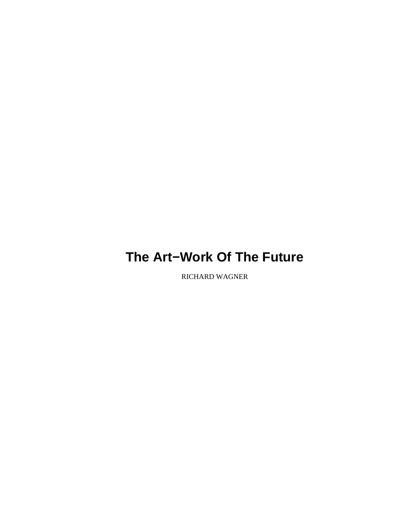RICHARD WAGNER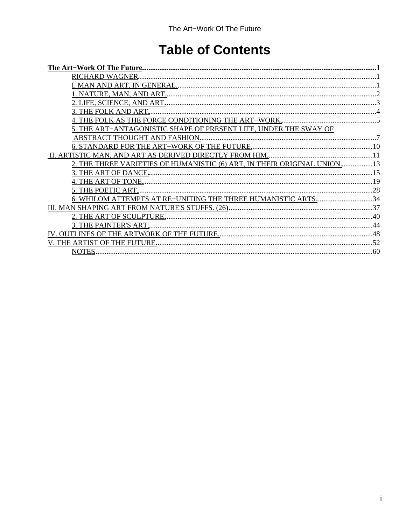# **Table of Contents**

| RICHARD WAGNER                                                       |  |
|----------------------------------------------------------------------|--|
|                                                                      |  |
|                                                                      |  |
|                                                                      |  |
| THE FOLK AND ART.                                                    |  |
|                                                                      |  |
| THE ART-ANTAGONISTIC SHAPE OF PRESENT LIFE, UNDER THE SWAY OF        |  |
| ABSTRACT THOUGHT AND FASHION                                         |  |
|                                                                      |  |
|                                                                      |  |
| THE THREE VARIETIES OF HUMANISTIC (6) ART, IN THEIR ORIGINAL UNION13 |  |
|                                                                      |  |
|                                                                      |  |
|                                                                      |  |
| WHILOM ATTEMPTS AT RE-UNITING THE THREE HUMANISTIC ARTS34            |  |
|                                                                      |  |
|                                                                      |  |
| 3. THE PAINTER'S ART                                                 |  |
|                                                                      |  |
| V. THE ARTIST OF THE FUTURE                                          |  |
| <b>NOTES</b>                                                         |  |
|                                                                      |  |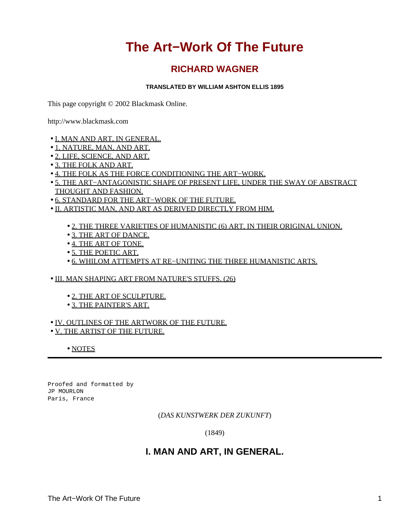### **RICHARD WAGNER**

#### **TRANSLATED BY WILLIAM ASHTON ELLIS 1895**

<span id="page-2-1"></span><span id="page-2-0"></span>This page copyright © 2002 Blackmask Online.

http://www.blackmask.com

- [I. MAN AND ART, IN GENERAL.](#page-2-2)
- [1. NATURE, MAN, AND ART.](#page-3-0)
- [2. LIFE, SCIENCE, AND ART.](#page-4-0)
- [3. THE FOLK AND ART.](#page-5-0)
- [4. THE FOLK AS THE FORCE CONDITIONING THE ART−WORK.](#page-6-0)
- [5. THE ART−ANTAGONISTIC SHAPE OF PRESENT LIFE, UNDER THE SWAY OF ABSTRACT](#page-8-0) [THOUGHT AND FASHION.](#page-8-0)
- [6. STANDARD FOR THE ART−WORK OF THE FUTURE.](#page-11-0)
- [II. ARTISTIC MAN, AND ART AS DERIVED DIRECTLY FROM HIM.](#page-12-0)
	- [2. THE THREE VARIETIES OF HUMANISTIC \(6\) ART, IN THEIR ORIGINAL UNION.](#page-14-0)
	- [3. THE ART OF DANCE.](#page-16-0)
	- [4. THE ART OF TONE.](#page-20-0)
	- [5. THE POETIC ART.](#page-29-0)
	- [6. WHILOM ATTEMPTS AT RE−UNITING THE THREE HUMANISTIC ARTS.](#page-35-0)
- [III. MAN SHAPING ART FROM NATURE'S STUFFS. \(26\)](#page-38-0)
	- [2. THE ART OF SCULPTURE.](#page-41-0)
	- [3. THE PAINTER'S ART.](#page-45-0)
- [IV. OUTLINES OF THE ARTWORK OF THE FUTURE.](#page-49-0)
- [V. THE ARTIST OF THE FUTURE.](#page-53-0)

• [NOTES](#page-61-0)

<span id="page-2-2"></span>Proofed and formatted by JP MOURLON Paris, France

(*DAS KUNSTWERK DER ZUKUNFT*)

(1849)

### **I. MAN AND ART, IN GENERAL.**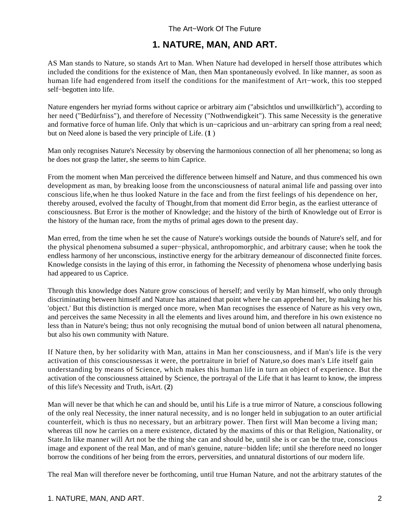### **1. NATURE, MAN, AND ART.**

<span id="page-3-0"></span>AS Man stands to Nature, so stands Art to Man. When Nature had developed in herself those attributes which included the conditions for the existence of Man, then Man spontaneously evolved. In like manner, as soon as human life had engendered from itself the conditions for the manifestment of Art−work, this too stepped self−begotten into life.

Nature engenders her myriad forms without caprice or arbitrary aim ("absichtlos und unwillkürlich"), according to her need ("Bedürfniss"), and therefore of Necessity ("Nothwendigkeit"). This same Necessity is the generative and formative force of human life. Only that which is un−capricious and un−arbitrary can spring from a real need; but on Need alone is based the very principle of Life. (**1** )

Man only recognises Nature's Necessity by observing the harmonious connection of all her phenomena; so long as he does not grasp the latter, she seems to him Caprice.

From the moment when Man perceived the difference between himself and Nature, and thus commenced his own development as man, by breaking loose from the unconsciousness of natural animal life and passing over into conscious life,when he thus looked Nature in the face and from the first feelings of his dependence on her, thereby aroused, evolved the faculty of Thought, from that moment did Error begin, as the earliest utterance of consciousness. But Error is the mother of Knowledge; and the history of the birth of Knowledge out of Error is the history of the human race, from the myths of primal ages down to the present day.

Man erred, from the time when he set the cause of Nature's workings outside the bounds of Nature's self, and for the physical phenomena subsumed a super−physical, anthropomorphic, and arbitrary cause; when he took the endless harmony of her unconscious, instinctive energy for the arbitrary demeanour of disconnected finite forces. Knowledge consists in the laying of this error, in fathoming the Necessity of phenomena whose underlying basis had appeared to us Caprice.

Through this knowledge does Nature grow conscious of herself; and verily by Man himself, who only through discriminating between himself and Nature has attained that point where he can apprehend her, by making her his 'object.' But this distinction is merged once more, when Man recognises the essence of Nature as his very own, and perceives the same Necessity in all the elements and lives around him, and therefore in his own existence no less than in Nature's being; thus not only recognising the mutual bond of union between all natural phenomena, but also his own community with Nature.

If Nature then, by her solidarity with Man, attains in Man her consciousness, and if Man's life is the very activation of this consciousness as it were, the portraiture in brief of Nature, so does man's Life itself gain understanding by means of Science, which makes this human life in turn an object of experience. But the activation of the consciousness attained by Science, the portrayal of the Life that it has learnt to know, the impress of this life's Necessity and Truth, isArt. (**2**)

Man will never be that which he can and should be, until his Life is a true mirror of Nature, a conscious following of the only real Necessity, the inner natural necessity, and is no longer held in subjugation to an outer artificial counterfeit, which is thus no necessary, but an arbitrary power. Then first will Man become a living man; whereas till now he carries on a mere existence, dictated by the maxims of this or that Religion, Nationality, or State.In like manner will Art not be the thing she can and should be, until she is or can be the true, conscious image and exponent of the real Man, and of man's genuine, nature−bidden life; until she therefore need no longer borrow the conditions of her being from the errors, perversities, and unnatural distortions of our modern life.

The real Man will therefore never be forthcoming, until true Human Nature, and not the arbitrary statutes of the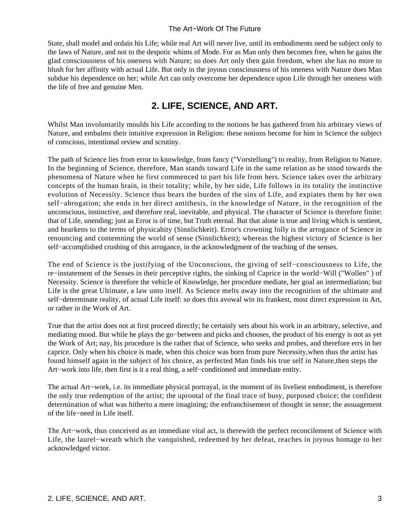State, shall model and ordain his Life; while real Art will never live, until its embodiments need be subject only to the laws of Nature, and not to the despotic whims of Mode. For as Man only then becomes free, when he gains the glad consciousness of his oneness with Nature; so does Art only then gain freedom, when she has no more to blush for her affinity with actual Life. But only in the joyous consciousness of his oneness with Nature does Man subdue his dependence on her; while Art can only overcome her dependence upon Life through her oneness with the life of free and genuine Men.

### **2. LIFE, SCIENCE, AND ART.**

<span id="page-4-0"></span>Whilst Man involuntarily moulds his Life according to the notions he has gathered from his arbitrary views of Nature, and embalms their intuitive expression in Religion: these notions become for him in Science the subject of conscious, intentional review and scrutiny.

The path of Science lies from error to knowledge, from fancy ("Vorstellung") to reality, from Religion to Nature. In the beginning of Science, therefore, Man stands toward Life in the same relation as he stood towards the phenomena of Nature when he first commenced to part his life from hers. Science takes over the arbitrary concepts of the human brain, in their totality; while, by her side, Life follows in its totality the instinctive evolution of Necessity. Science thus bears the burden of the sins of Life, and expiates them by her own self−abrogation; she ends in her direct antithesis, in the knowledge of Nature, in the recognition of the unconscious, instinctive, and therefore real, inevitable, and physical. The character of Science is therefore finite: that of Life, unending; just as Error is of time, but Truth eternal. But that alone is true and living which is sentient, and hearkens to the terms of physicahity (Sinnlichkeit). Error's crowning folly is the arrogance of Science in renouncing and contemning the world of sense (Sinnlichkeit); whereas the highest victory of Science is her self−accomplished crushing of this arrogance, in the acknowledgment of the teaching of the senses.

The end of Science is the justifying of the Unconscious, the giving of self−consciousness to Life, the re−instatement of the Senses in their perceptive rights, the sinking of Caprice in the world−Will ("Wollen" ) of Necessity. Science is therefore the vehicle of Knowledge, her procedure mediate, her goal an intermediation; but Life is the great Ultimate, a law unto itself. As Science melts away into the recognition of the ultimate and self−determinate reality, of actual Life itself: so does this avowal win its frankest, most direct expression in Art, or rather in the Work of Art.

True that the artist does not at first proceed directly; he certainly sets about his work in an arbitrary, selective, and mediating mood. But while he plays the go−between and picks and chooses, the product of his energy is not as yet the Work of Art; nay, his procedure is the rather that of Science, who seeks and probes, and therefore errs in her caprice. Only when his choice is made, when this choice was born from pure Necessity, when thus the artist has found himself again in the subject of his choice, as perfected Man finds his true self in Nature, then steps the Art−work into life, then first is it a real thing, a self−conditioned and immediate entity.

The actual Art−work, i.e. its immediate physical portrayal, in the moment of its liveliest embodiment, is therefore the only true redemption of the artist; the uprootal of the final trace of busy, purposed choice; the confident determination of what was hitherto a mere imagining; the enfranchisement of thought in sense; the assuagement of the life−need in Life itself.

The Art−work, thus conceived as an immediate vital act, is therewith the perfect reconcilement of Science with Life, the laurel−wreath which the vanquished, redeemed by her defeat, reaches in joyous homage to her acknowledged victor.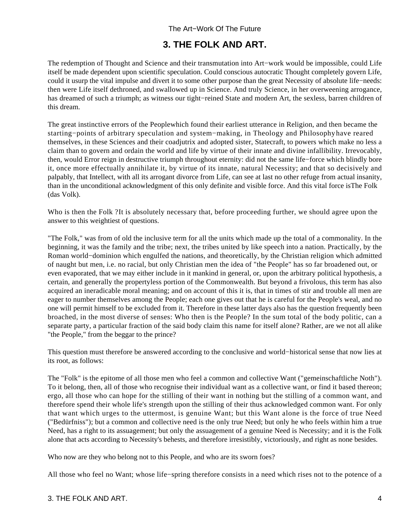### **3. THE FOLK AND ART.**

<span id="page-5-0"></span>The redemption of Thought and Science and their transmutation into Art−work would be impossible, could Life itself be made dependent upon scientific speculation. Could conscious autocratic Thought completely govern Life, could it usurp the vital impulse and divert it to some other purpose than the great Necessity of absolute life−needs: then were Life itself dethroned, and swallowed up in Science. And truly Science, in her overweening arrogance, has dreamed of such a triumph; as witness our tight−reined State and modern Art, the sexless, barren children of this dream.

The great instinctive errors of the Peoplewhich found their earliest utterance in Religion, and then became the starting–points of arbitrary speculation and system–making, in Theology and Philosophy have reared themselves, in these Sciences and their coadjutrix and adopted sister, Statecraft, to powers which make no less a claim than to govern and ordain the world and life by virtue of their innate and divine infallibility. Irrevocably, then, would Error reign in destructive triumph throughout eternity: did not the same life−force which blindly bore it, once more effectually annihilate it, by virtue of its innate, natural Necessity; and that so decisively and palpably, that Intellect, with all its arrogant divorce from Life, can see at last no other refuge from actual insanity, than in the unconditional acknowledgment of this only definite and visible force. And this vital force is The Folk (das Volk).

Who is then the Folk ? It is absolutely necessary that, before proceeding further, we should agree upon the answer to this weightiest of questions.

"The Folk," was from of old the inclusive term for all the units which made up the total of a commonality. In the beginning, it was the family and the tribe; next, the tribes united by like speech into a nation. Practically, by the Roman world−dominion which engulfed the nations, and theoretically, by the Christian religion which admitted of naught but men, i.e. no racial, but only Christian men the idea of "the People" has so far broadened out, or even evaporated, that we may either include in it mankind in general, or, upon the arbitrary political hypothesis, a certain, and generally the propertyless portion of the Commonwealth. But beyond a frivolous, this term has also acquired an ineradicable moral meaning; and on account of this it is, that in times of stir and trouble all men are eager to number themselves among the People; each one gives out that he is careful for the People's weal, and no one will permit himself to be excluded from it. Therefore in these latter days also has the question frequently been broached, in the most diverse of senses: Who then is the People? In the sum total of the body politic, can a separate party, a particular fraction of the said body claim this name for itself alone? Rather, are we not all alike "the People," from the beggar to the prince?

This question must therefore be answered according to the conclusive and world−historical sense that now lies at its root, as follows:

The "Folk" is the epitome of all those men who feel a common and collective Want ("gemeinschaftliche Noth"). To it belong, then, all of those who recognise their individual want as a collective want, or find it based thereon; ergo, all those who can hope for the stilling of their want in nothing but the stilling of a common want, and therefore spend their whole life's strength upon the stilling of their thus acknowledged common want. For only that want which urges to the uttermost, is genuine Want; but this Want alone is the force of true Need ("Bedürfniss"); but a common and collective need is the only true Need; but only he who feels within him a true Need, has a right to its assuagement; but only the assuagement of a genuine Need is Necessity; and it is the Folk alone that acts according to Necessity's behests, and therefore irresistibly, victoriously, and right as none besides.

Who now are they who belong not to this People, and who are its sworn foes?

All those who feel no Want; whose life−spring therefore consists in a need which rises not to the potence of a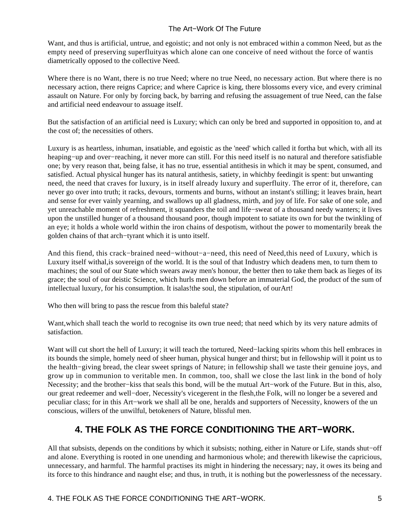Want, and thus is artificial, untrue, and egoistic; and not only is not embraced within a common Need, but as the empty need of preserving superfluity as which alone can one conceive of need without the force of want is diametrically opposed to the collective Need.

Where there is no Want, there is no true Need; where no true Need, no necessary action. But where there is no necessary action, there reigns Caprice; and where Caprice is king, there blossoms every vice, and every criminal assault on Nature. For only by forcing back, by barring and refusing the assuagement of true Need, can the false and artificial need endeavour to assuage itself.

But the satisfaction of an artificial need is Luxury; which can only be bred and supported in opposition to, and at the cost of; the necessities of others.

Luxury is as heartless, inhuman, insatiable, and egoistic as the 'need' which called it fortha but which, with all its heaping−up and over−reaching, it never more can still. For this need itself is no natural and therefore satisfiable one; by very reason that, being false, it has no true, essential antithesis in which it may be spent, consumed, and satisfied. Actual physical hunger has its natural antithesis, satiety, in which by feeding it is spent: but unwanting need, the need that craves for luxury, is in itself already luxury and superfluity. The error of it, therefore, can never go over into truth; it racks, devours, torments and burns, without an instant's stilling; it leaves brain, heart and sense for ever vainly yearning, and swallows up all gladness, mirth, and joy of life. For sake of one sole, and yet unreachable moment of refreshment, it squanders the toil and life−sweat of a thousand needy wanters; it lives upon the unstilled hunger of a thousand thousand poor, though impotent to satiate its own for but the twinkling of an eye; it holds a whole world within the iron chains of despotism, without the power to momentarily break the golden chains of that arch−tyrant which it is unto itself.

And this fiend, this crack–brained need–without–a–need, this need of Need, this need of Luxury, which is Luxury itself withal, is sovereign of the world. It is the soul of that Industry which deadens men, to turn them to machines; the soul of our State which swears away men's honour, the better then to take them back as lieges of its grace; the soul of our deistic Science, which hurls men down before an immaterial God, the product of the sum of intellectual luxury, for his consumption. It is alas! the soul, the stipulation, of our Art!

Who then will bring to pass the rescue from this baleful state?

Want, which shall teach the world to recognise its own true need; that need which by its very nature admits of satisfaction.

Want will cut short the hell of Luxury; it will teach the tortured, Need−lacking spirits whom this hell embraces in its bounds the simple, homely need of sheer human, physical hunger and thirst; but in fellowship will it point us to the health−giving bread, the clear sweet springs of Nature; in fellowship shall we taste their genuine joys, and grow up in communion to veritable men. In common, too, shall we close the last link in the bond of holy Necessity; and the brother−kiss that seals this bond, will be the mutual Art−work of the Future. But in this, also, our great redeemer and well-doer, Necessity's vicegerent in the flesh, the Folk, will no longer be a severed and peculiar class; for in this Art−work we shall all be one, heralds and supporters of Necessity, knowers of the un conscious, willers of the unwilful, betokeners of Nature, blissful men.

### **4. THE FOLK AS THE FORCE CONDITIONING THE ART−WORK.**

<span id="page-6-0"></span>All that subsists, depends on the conditions by which it subsists; nothing, either in Nature or Life, stands shut−off and alone. Everything is rooted in one unending and harmonious whole; and therewith likewise the capricious, unnecessary, and harmful. The harmful practises its might in hindering the necessary; nay, it owes its being and its force to this hindrance and naught else; and thus, in truth, it is nothing but the powerlessness of the necessary.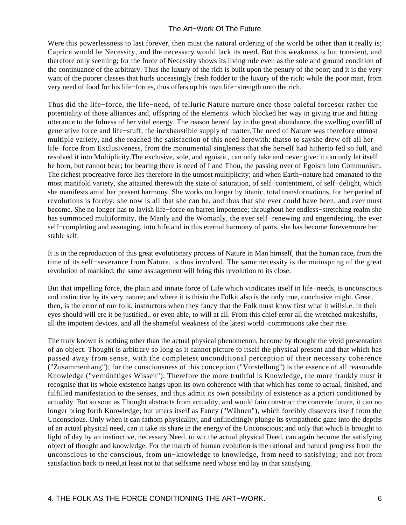Were this powerlessness to last forever, then must the natural ordering of the world be other than it really is; Caprice would be Necessity, and the necessary would lack its need. But this weakness is but transient, and therefore only seeming; for the force of Necessity shows its living rule even as the sole and ground condition of the continuance of the arbitrary. Thus the luxury of the rich is built upon the penury of the poor; and it is the very want of the poorer classes that hurls unceasingly fresh fodder to the luxury of the rich; while the poor man, from very need of food for his life−forces, thus offers up his own life−strength unto the rich.

Thus did the life–force, the life–need, of telluric Nature nurture once those baleful forces or rather the potentiality of those alliances and, offspring of the elements which blocked her way in giving true and fitting utterance to the fulness of her vital energy. The reason hereof lay in the great abundance, the swelling overfill of generative force and life−stuff, the inexhaustible supply of matter.The need of Nature was therefore utmost multiple variety, and she reached the satisfaction of this need herewith: thatso to sayshe drew off all her life−force from Exclusiveness, from the monumental singleness that she herself had hitherto fed so full, and resolved it into Multiplicity.The exclusive, sole, and egoistic, can only take and never give: it can only let itself be born, but cannot bear; for bearing there is need of I and Thou, the passing over of Egoism into Communism. The richest procreative force lies therefore in the utmost multiplicity; and when Earth−nature had emanated to the most manifold variety, she attained therewith the state of saturation, of self−contentment, of self−delight, which she manifests amid her present harmony. She works no longer by titanic, total transformations, for her period of revolutions is foreby; she now is all that she can be, and thus that she ever could have been, and ever must become. She no longer has to lavish life−force on barren impotence; throughout her endless−stretching realm she has summoned multiformity, the Manly and the Womanly, the ever self−renewing and engendering, the ever self–completing and assuaging, into hife, and in this eternal harmony of parts, she has become forevermore her stable self.

It is in the reproduction of this great evolutionary process of Nature in Man himself, that the human race, from the time of its self−severance from Nature, is thus involved. The same necessity is the mainspring of the great revolution of mankind; the same assuagement will bring this revolution to its close.

But that impelling force, the plain and innate force of Life which vindicates itself in life−needs, is unconscious and instinctive by its very nature; and where it is this in the Folk it also is the only true, conclusive might. Great, then, is the error of our folk. instructors when they fancy that the Folk must know first what it wills i.e. in their eyes should will ere it be justified,. or even able, to will at all. From this chief error all the wretched makeshifts, all the impotent devices, and all the shameful weakness of the latest world−commotions take their rise.

The truly known is nothing other than the actual physical phenomenon, become by thought the vivid presentation of an object. Thought is arbitrary so long as it cannot picture to itself the physical present and that which has passed away from sense, with the completest unconditional perception of their necessary coherence ("Zusammenhang"); for the consciousness of this conception ("Vorstellung") is the essence of all reasonable Knowledge ("vernünftiges Wissen"). Therefore the more truthful is Knowledge, the more frankly must it recognise that its whole existence hangs upon its own coherence with that which has come to actual, finished, and fulfilled manifestation to the senses, and thus admit its own possibility of existence as a priori conditioned by actuality. But so soon as Thought abstracts from actuality, and would fain construct the concrete future, it can no longer bring forth Knowledge; but utters itself as Fancy ("Wähnen"), which forcibly dissevers itself from the Unconscious. Only when it can fathom physicality, and unflinchingly plunge its sympathetic gaze into the depths of an actual physical need, can it take its share in the energy of the Unconscious; and only that which is brought to light of day by an instinctive, necessary Need, to wit the actual physical Deed, can again become the satisfying object of thought and knowledge. For the march of human evolution is the rational and natural progress from the unconscious to the conscious, from un−knowledge to knowledge, from need to satisfying; and not from satisfaction back to need, at least not to that selfsame need whose end lay in that satisfying.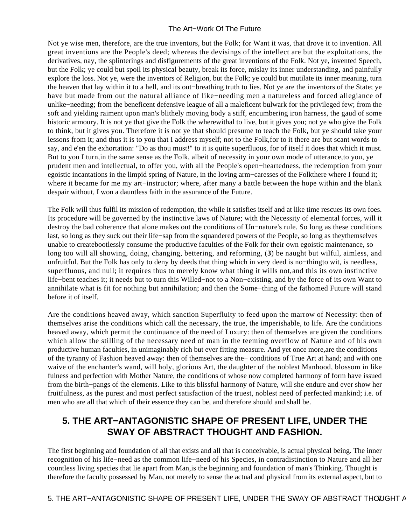Not ye wise men, therefore, are the true inventors, but the Folk; for Want it was, that drove it to invention. All great inventions are the People's deed; whereas the devisings of the intellect are but the exploitations, the derivatives, nay, the splinterings and disfigurements of the great inventions of the Folk. Not ye, invented Speech, but the Folk; ye could but spoil its physical beauty, break its force, mislay its inner understanding, and painfully explore the loss. Not ye, were the inventors of Religion, but the Folk; ye could but mutilate its inner meaning, turn the heaven that lay within it to a hell, and its out−breathing truth to lies. Not ye are the inventors of the State; ye have but made from out the natural alliance of like−needing men a natureless and forced allegiance of unlike−needing; from the beneficent defensive league of all a maleficent bulwark for the privileged few; from the soft and yielding raiment upon man's blithely moving body a stiff, encumbering iron harness, the gaud of some historic armoury. It is not ye that give the Folk the wherewithal to live, but it gives you; not ye who give the Folk to think, but it gives you. Therefore it is not ye that should presume to teach the Folk, but ye should take your lessons from it; and thus it is to you that I address myself; not to the Folk, for to it there are but scant words to say, and e'en the exhortation: "Do as thou must!" to it is quite superfluous, for of itself it does that which it must. But to you I turn, in the same sense as the Folk, albeit of necessity in your own mode of utterance, to you, ye prudent men and intellectual, to offer you, with all the People's open−heartedness, the redemption from your egoistic incantations in the limpid spring of Nature, in the loving arm−caresses of the Folk there where I found it; where it became for me my art−instructor; where, after many a battle between the hope within and the blank despair without, I won a dauntless faith in the assurance of the Future.

The Folk will thus fulfil its mission of redemption, the while it satisfies itself and at like time rescues its own foes. Its procedure will be governed by the instinctive laws of Nature; with the Necessity of elemental forces, will it destroy the bad coherence that alone makes out the conditions of Un−nature's rule. So long as these conditions last, so long as they suck out their life–sap from the squandered powers of the People, so long as they themselves unable to create bootlessly consume the productive faculties of the Folk for their own egoistic maintenance, so long too will all showing, doing, changing, bettering, and reforming, (**3**) be naught but wilful, aimless, and unfruitful. But the Folk has only to deny by deeds that thing which in very deed is no–thing to wit, is needless, superfluous, and null; it requires thus to merely know what thing it wills not, and this its own instinctive life−bent teaches it; it needs but to turn this Willed−not to a Non−existing, and by the force of its own Want to annihilate what is fit for nothing but annihilation; and then the Some−thing of the fathomed Future will stand before it of itself.

Are the conditions heaved away, which sanction Superfluity to feed upon the marrow of Necessity: then of themselves arise the conditions which call the necessary, the true, the imperishable, to life. Are the conditions heaved away, which permit the continuance of the need of Luxury: then of themselves are given the conditions which allow the stilling of the necessary need of man in the teeming overflow of Nature and of his own productive human faculties, in unimaginably rich but ever fitting measure. And yet once more, are the conditions of the tyranny of Fashion heaved away: then of themselves are the− conditions of True Art at hand; and with one waive of the enchanter's wand, will holy, glorious Art, the daughter of the noblest Manhood, blossom in like fulness and perfection with Mother Nature, the conditions of whose now completed harmony of form have issued from the birth−pangs of the elements. Like to this blissful harmony of Nature, will she endure and ever show her fruitfulness, as the purest and most perfect satisfaction of the truest, noblest need of perfected mankind; i.e. of men who are all that which of their essence they can be, and therefore should and shall be.

### **5. THE ART−ANTAGONISTIC SHAPE OF PRESENT LIFE, UNDER THE SWAY OF ABSTRACT THOUGHT AND FASHION.**

<span id="page-8-0"></span>The first beginning and foundation of all that exists and all that is conceivable, is actual physical being. The inner recognition of his life−need as the common life−need of his Species, in contradistinction to Nature and all her countless living species that lie apart from Man, is the beginning and foundation of man's Thinking. Thought is therefore the faculty possessed by Man, not merely to sense the actual and physical from its external aspect, but to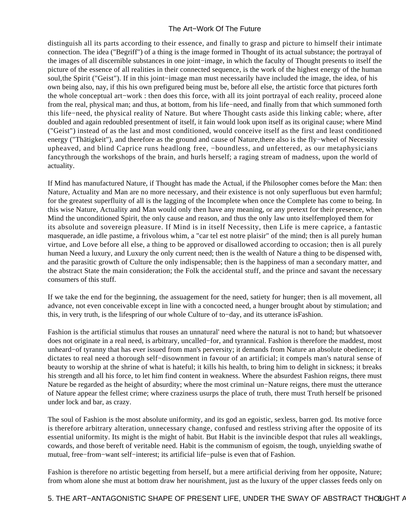distinguish all its parts according to their essence, and finally to grasp and picture to himself their intimate connection. The idea ("Begriff") of a thing is the image formed in Thought of its actual substance; the portrayal of the images of all discernible substances in one joint−image, in which the faculty of Thought presents to itself the picture of the essence of all realities in their connected sequence, is the work of the highest energy of the human soul, the Spirit ("Geist"). If in this joint–image man must necessarily have included the image, the idea, of his own being also, nay, if this his own prefigured being must be, before all else, the artistic force that pictures forth the whole conceptual art−work : then does this force, with all its joint portrayal of each reality, proceed alone from the real, physical man; and thus, at bottom, from his life−need, and finally from that which summoned forth this life−need, the physical reality of Nature. But where Thought casts aside this linking cable; where, after doubled and again redoubled presentment of itself, it fain would look upon itself as its original cause; where Mind ("Geist") instead of as the last and most conditioned, would conceive itself as the first and least conditioned energy ("Thätigkeit"), and therefore as the ground and cause of Nature, there also is the fly–wheel of Necessity upheaved, and blind Caprice runs headlong free, -boundless, and unfettered, as our metaphysicians fancy through the workshops of the brain, and hurls herself; a raging stream of madness, upon the world of actuality.

If Mind has manufactured Nature, if Thought has made the Actual, if the Philosopher comes before the Man: then Nature, Actuality and Man are no more necessary, and their existence is not only superfluous but even harmful; for the greatest superfluity of all is the lagging of the Incomplete when once the Complete has come to being. In this wise Nature, Actuality and Man would only then have any meaning, or any pretext for their presence, when Mind the unconditioned Spirit, the only cause and reason, and thus the only law unto itselfemployed them for its absolute and sovereign pleasure. If Mind is in itself Necessity, then Life is mere caprice, a fantastic masquerade, an idle pastime, a frivolous whim, a "car tel est notre plaisir" of the mind; then is all purely human virtue, and Love before all else, a thing to be approved or disallowed according to occasion; then is all purely human Need a luxury, and Luxury the only current need; then is the wealth of Nature a thing to be dispensed with, and the parasitic growth of Culture the only indispensable; then is the happiness of man a secondary matter, and the abstract State the main consideration; the Folk the accidental stuff, and the prince and savant the necessary consumers of this stuff.

If we take the end for the beginning, the assuagement for the need, satiety for hunger; then is all movement, all advance, not even conceivable except in line with a concocted need, a hunger brought about by stimulation; and this, in very truth, is the lifespring of our whole Culture of to−day, and its utterance isFashion.

Fashion is the artificial stimulus that rouses an unnatural' need where the natural is not to hand; but whatsoever does not originate in a real need, is arbitrary, uncalled−for, and tyrannical. Fashion is therefore the maddest, most unheard−of tyranny that has ever issued from man's perversity; it demands from Nature an absolute obedience; it dictates to real need a thorough self−disownment in favour of an artificial; it compels man's natural sense of beauty to worship at the shrine of what is hateful; it kills his health, to bring him to delight in sickness; it breaks his strength and all his force, to let him find content in weakness. Where the absurdest Fashion reigns, there must Nature be regarded as the height of absurdity; where the most criminal un−Nature reigns, there must the utterance of Nature appear the fellest crime; where craziness usurps the place of truth, there must Truth herself be prisoned under lock and bar, as crazy.

The soul of Fashion is the most absolute uniformity, and its god an egoistic, sexless, barren god. Its motive force is therefore arbitrary alteration, unnecessary change, confused and restless striving after the opposite of its essential uniformity. Its might is the might of habit. But Habit is the invincible despot that rules all weaklings, cowards, and those bereft of veritable need. Habit is the communism of egoism, the tough, unyielding swathe of mutual, free−from−want self−interest; its artificial life−pulse is even that of Fashion.

Fashion is therefore no artistic begetting from herself, but a mere artificial deriving from her opposite, Nature; from whom alone she must at bottom draw her nourishment, just as the luxury of the upper classes feeds only on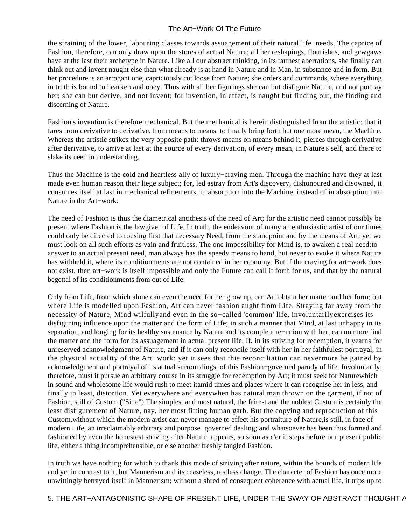the straining of the lower, labouring classes towards assuagement of their natural life−needs. The caprice of Fashion, therefore, can only draw upon the stores of actual Nature; all her reshapings, flourishes, and gewgaws have at the last their archetype in Nature. Like all our abstract thinking, in its farthest aberrations, she finally can think out and invent naught else than what already is at hand in Nature and in Man, in substance and in form. But her procedure is an arrogant one, capriciously cut loose from Nature; she orders and commands, where everything in truth is bound to hearken and obey. Thus with all her figurings she can but disfigure Nature, and not portray her; she can but derive, and not invent; for invention, in effect, is naught but finding out, the finding and discerning of Nature.

Fashion's invention is therefore mechanical. But the mechanical is herein distinguished from the artistic: that it fares from derivative to derivative, from means to means, to finally bring forth but one more mean, the Machine. Whereas the artistic strikes the very opposite path: throws means on means behind it, pierces through derivative after derivative, to arrive at last at the source of every derivation, of every mean, in Nature's self, and there to slake its need in understanding.

Thus the Machine is the cold and heartless ally of luxury−craving men. Through the machine have they at last made even human reason their liege subject; for, led astray from Art's discovery, dishonoured and disowned, it consumes itself at last in mechanical refinements, in absorption into the Machine, instead of in absorption into Nature in the Art−work.

The need of Fashion is thus the diametrical antithesis of the need of Art; for the artistic need cannot possibly be present where Fashion is the lawgiver of Life. In truth, the endeavour of many an enthusiastic artist of our times could only be directed to rousing first that necessary Need, from the standpoint and by the means of Art; yet we must look on all such efforts as vain and fruitless. The one impossibility for Mind is, to awaken a real need: to answer to an actual present need, man always has the speedy means to hand, but never to evoke it where Nature has withheld it, where its conditionments are not contained in her economy. But if the craving for art−work does not exist, then art−work is itself impossible and only the Future can call it forth for us, and that by the natural begettal of its conditionments from out of Life.

Only from Life, from which alone can even the need for her grow up, can Art obtain her matter and her form; but where Life is modelled upon Fashion, Art can never fashion aught from Life. Straying far away from the necessity of Nature, Mind wilfully and even in the so−called 'common' life, involuntarily exercises its disfiguring influence upon the matter and the form of Life; in such a manner that Mind, at last unhappy in its separation, and longing for its healthy sustenance by Nature and its complete re−union with her, can no more find the matter and the form for its assuagement in actual present life. If, in its striving for redemption, it yearns for unreserved acknowledgment of Nature, and if it can only reconcile itself with her in her faithfulest portrayal, in the physical actuality of the Art−work: yet it sees that this reconciliation can nevermore be gained by acknowledgment and portrayal of its actual surroundings, of this Fashion−governed parody of life. Involuntarily, therefore, must it pursue an arbitrary course in its struggle for redemption by Art; it must seek for Naturewhich in sound and wholesome life would rush to meet it amid times and places where it can recognise her in less, and finally in least, distortion. Yet everywhere and everywhen has natural man thrown on the garment, if not of Fashion, still of Custom ("Sitte") The simplest and most natural, the fairest and the noblest Custom is certainly the least disfigurement of Nature, nay, her most fitting human garb. But the copying and reproduction of this Custom, without which the modern artist can never manage to effect his portraiture of Nature, is still, in face of modern Life, an irreclaimably arbitrary and purpose−governed dealing; and whatsoever has been thus formed and fashioned by even the honestest striving after Nature, appears, so soon as e'er it steps before our present public life, either a thing incomprehensible, or else another freshly fangled Fashion.

In truth we have nothing for which to thank this mode of striving after nature, within the bounds of modern life and yet in contrast to it, but Mannerism and its ceaseless, restless change. The character of Fashion has once more unwittingly betrayed itself in Mannerism; without a shred of consequent coherence with actual life, it trips up to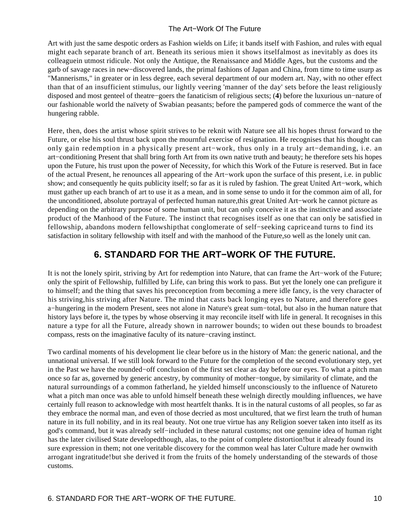Art with just the same despotic orders as Fashion wields on Life; it bands itself with Fashion, and rules with equal might each separate branch of art. Beneath its serious mien it shows itselfalmost as inevitably as does its colleague in utmost ridicule. Not only the Antique, the Renaissance and Middle Ages, but the customs and the garb of savage races in new−discovered lands, the primal fashions of Japan and China, from time to time usurp as "Mannerisms," in greater or in less degree, each several department of our modern art. Nay, with no other effect than that of an insufficient stimulus, our lightly veering 'manner of the day' sets before the least religiously disposed and most genteel of theatre−goers the fanaticism of religious sects; (**4**) before the luxurious un−nature of our fashionable world the naïvety of Swabian peasants; before the pampered gods of commerce the want of the hungering rabble.

Here, then, does the artist whose spirit strives to be reknit with Nature see all his hopes thrust forward to the Future, or else his soul thrust back upon the mournful exercise of resignation. He recognises that his thought can only gain redemption in a physically present art−work, thus only in a truly art−demanding, i.e. an art−conditioning Present that shall bring forth Art from its own native truth and beauty; he therefore sets his hopes upon the Future, his trust upon the power of Necessity, for which this Work of the Future is reserved. But in face of the actual Present, he renounces all appearing of the Art−work upon the surface of this present, i.e. in public show; and consequently he quits publicity itself; so far as it is ruled by fashion. The great United Art−work, which must gather up each branch of art to use it as a mean, and in some sense to undo it for the common aim of all, for the unconditioned, absolute portrayal of perfected human nature, this great United Art–work he cannot picture as depending on the arbitrary purpose of some human unit, but can only conceive it as the instinctive and associate product of the Manhood of the Future. The instinct that recognises itself as one that can only be satisfied in fellowship, abandons modern fellowship that conglomerate of self–seeking caprice and turns to find its satisfaction in solitary fellowship with itself and with the manhood of the Future, so well as the lonely unit can.

### **6. STANDARD FOR THE ART−WORK OF THE FUTURE.**

<span id="page-11-0"></span>It is not the lonely spirit, striving by Art for redemption into Nature, that can frame the Art−work of the Future; only the spirit of Fellowship, fulfilled by Life, can bring this work to pass. But yet the lonely one can prefigure it to himself; and the thing that saves his preconception from becoming a mere idle fancy, is the very character of his striving, his striving after Nature. The mind that casts back longing eyes to Nature, and therefore goes a−hungering in the modern Present, sees not alone in Nature's great sum−total, but also in the human nature that history lays before it, the types by whose observing it may reconcile itself with life in general. It recognises in this nature a type for all the Future, already shown in narrower bounds; to widen out these bounds to broadest compass, rests on the imaginative faculty of its nature−craving instinct.

Two cardinal moments of his development lie clear before us in the history of Man: the generic national, and the unnational universal. If we still look forward to the Future for the completion of the second evolutionary step, yet in the Past we have the rounded−off conclusion of the first set clear as day before our eyes. To what a pitch man once so far as, governed by generic ancestry, by community of mother−tongue, by similarity of climate, and the natural surroundings of a common fatherland, he yielded himself unconsciously to the influence of Nature to what a pitch man once was able to unfold himself beneath these welnigh directly moulding influences, we have certainly full reason to acknowledge with most heartfelt thanks. It is in the natural customs of all peoples, so far as they embrace the normal man, and even of those decried as most uncultured, that we first learn the truth of human nature in its full nobility, and in its real beauty. Not one true virtue has any Religion soever taken into itself as its god's command, but it was already self−included in these natural customs; not one genuine idea of human right has the later civilised State developed though, alas, to the point of complete distortion! but it already found its sure expression in them; not one veritable discovery for the common weal has later Culture made her own with arrogant ingratitude! but she derived it from the fruits of the homely understanding of the stewards of those customs.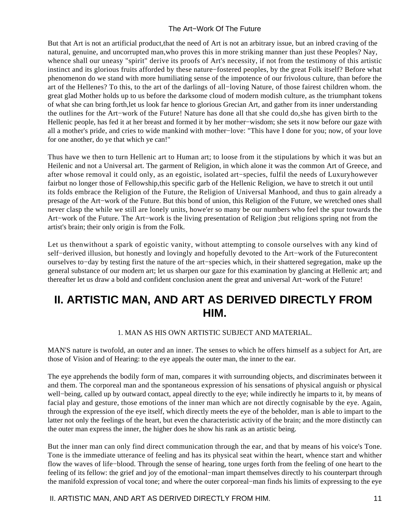But that Art is not an artificial product, that the need of Art is not an arbitrary issue, but an inbred craving of the natural, genuine, and uncorrupted man, who proves this in more striking manner than just these Peoples? Nay, whence shall our uneasy "spirit" derive its proofs of Art's necessity, if not from the testimony of this artistic instinct and its glorious fruits afforded by these nature−fostered peoples, by the great Folk itself? Before what phenomenon do we stand with more humiliating sense of the impotence of our frivolous culture, than before the art of the Hellenes? To this, to the art of the darlings of all−loving Nature, of those fairest children whom. the great glad Mother holds up to us before the darksome cloud of modern modish culture, as the triumphant tokens of what she can bring forth, let us look far hence to glorious Grecian Art, and gather from its inner understanding the outlines for the Art−work of the Future! Nature has done all that she could do,she has given birth to the Hellenic people, has fed it at her breast and formed it by her mother−wisdom; she sets it now before our gaze with all a mother's pride, and cries to wide mankind with mother−love: "This have I done for you; now, of your love for one another, do ye that which ye can!"

Thus have we then to turn Hellenic art to Human art; to loose from it the stipulations by which it was but an Heilenic and not a Universal art. The garment of Religion, in which alone it was the common Art of Greece, and after whose removal it could only, as an egoistic, isolated art−species, fulfil the needs of Luxuryhowever fair but no longer those of Fellowship, this specific garb of the Hellenic Religion, we have to stretch it out until its folds embrace the Religion of the Future, the Religion of Universal Manhood, and thus to gain already a presage of the Art−work of the Future. But this bond of union, this Religion of the Future, we wretched ones shall never clasp the while we still are lonely units, howe'er so many be our numbers who feel the spur towards the Art−work of the Future. The Art−work is the living presentation of Religion ;but religions spring not from the artist's brain; their only origin is from the Folk.

Let us then without a spark of egoistic vanity, without attempting to console ourselves with any kind of self–derived illusion, but honestly and lovingly and hopefully devoted to the Art–work of the Future content ourselves to−day by testing first the nature of the art−species which, in their shattered segregation, make up the general substance of our modern art; let us sharpen our gaze for this examination by glancing at Hellenic art; and thereafter let us draw a bold and confident conclusion anent the great and universal Art−work of the Future!

## <span id="page-12-0"></span>**II. ARTISTIC MAN, AND ART AS DERIVED DIRECTLY FROM HIM.**

#### 1. MAN AS HIS OWN ARTISTIC SUBJECT AND MATERIAL.

MAN'S nature is twofold, an outer and an inner. The senses to which he offers himself as a subject for Art, are those of Vision and of Hearing: to the eye appeals the outer man, the inner to the ear.

The eye apprehends the bodily form of man, compares it with surrounding objects, and discriminates between it and them. The corporeal man and the spontaneous expression of his sensations of physical anguish or physical well−being, called up by outward contact, appeal directly to the eye; while indirectly he imparts to it, by means of facial play and gesture, those emotions of the inner man which are not directly cognisable by the eye. Again, through the expression of the eye itself, which directly meets the eye of the beholder, man is able to impart to the latter not only the feelings of the heart, but even the characteristic activity of the brain; and the more distinctly can the outer man express the inner, the higher does he show his rank as an artistic being.

But the inner man can only find direct communication through the ear, and that by means of his voice's Tone. Tone is the immediate utterance of feeling and has its physical seat within the heart, whence start and whither flow the waves of life−blood. Through the sense of hearing, tone urges forth from the feeling of one heart to the feeling of its fellow: the grief and joy of the emotional−man impart themselves directly to his counterpart through the manifold expression of vocal tone; and where the outer corporeal−man finds his limits of expressing to the eye

II. ARTISTIC MAN, AND ART AS DERIVED DIRECTLY FROM HIM. 11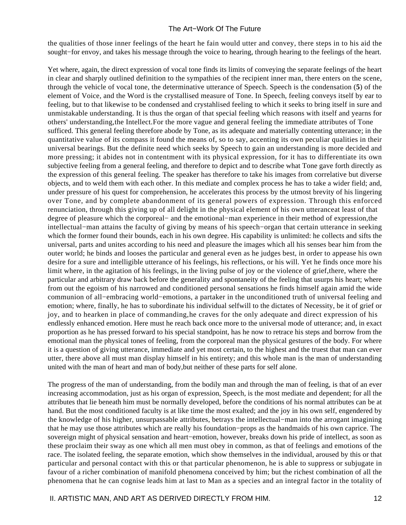the qualities of those inner feelings of the heart he fain would utter and convey, there steps in to his aid the sought–for envoy, and takes his message through the voice to hearing, through hearing to the feelings of the heart.

Yet where, again, the direct expression of vocal tone finds its limits of conveying the separate feelings of the heart in clear and sharply outlined definition to the sympathies of the recipient inner man, there enters on the scene, through the vehicle of vocal tone, the determinative utterance of Speech. Speech is the condensation (**5**) of the element of Voice, and the Word is the crystallised measure of Tone. In Speech, feeling conveys itself by ear to feeling, but to that likewise to be condensed and crystahlised feeling to which it seeks to bring itself in sure and unmistakable understanding. It is thus the organ of that special feeling which reasons with itself and yearns for others' understanding, the Intellect. For the more vague and general feeling the immediate attributes of Tone sufficed. This general feeling therefore abode by Tone, as its adequate and materially contenting utterance; in the quantitative value of its compass it found the means of, so to say, accenting its own peculiar qualities in their universal bearings. But the definite need which seeks by Speech to gain an understanding is more decided and more pressing; it abides not in contentment with its physical expression, for it has to differentiate its own subjective feeling from a general feeling, and therefore to depict and to describe what Tone gave forth directly as the expression of this general feeling. The speaker has therefore to take his images from correlative but diverse objects, and to weld them with each other. In this mediate and complex process he has to take a wider field; and, under pressure of his quest for comprehension, he accelerates this process by the utmost brevity of his lingering over Tone, and by complete abandonment of its general powers of expression. Through this enforced renunciation, through this giving up of all delight in the physical element of his own utterance at least of that degree of pleasure which the corporeal– and the emotional–man experience in their method of expression, the intellectual−man attains the faculty of giving by means of his speech−organ that certain utterance in seeking which the former found their bounds, each in his own degree. His capability is unlimited: he collects and sifts the universal, parts and unites according to his need and pleasure the images which all his senses bear him from the outer world; he binds and looses the particular and general even as he judges best, in order to appease his own desire for a sure and intelligible utterance of his feelings, his reflections, or his will. Yet he finds once more his limit where, in the agitation of his feelings, in the living pulse of joy or the violence of grief, there, where the particular and arbitrary draw back before the generality and spontaneity of the feeling that usurps his heart; where from out the egoism of his narrowed and conditioned personal sensations he finds himself again amid the wide communion of all−embracing world−emotions, a partaker in the unconditioned truth of universal feeling and emotion; where, finally, he has to subordinate his individual selfwill to the dictates of Necessity, be it of grief or joy, and to hearken in place of commanding, he craves for the only adequate and direct expression of his endlessly enhanced emotion. Here must he reach back once more to the universal mode of utterance; and, in exact proportion as he has pressed forward to his special standpoint, has he now to retrace his steps and borrow from the emotional man the physical tones of feeling, from the corporeal man the physical gestures of the body. For where it is a question of giving utterance, immediate and yet most certain, to the highest and the truest that man can ever utter, there above all must man display himself in his entirety; and this whole man is the man of understanding united with the man of heart and man of body, but neither of these parts for self alone.

The progress of the man of understanding, from the bodily man and through the man of feeling, is that of an ever increasing accommodation, just as his organ of expression, Speech, is the most mediate and dependent; for all the attributes that lie beneath him must be normally developed, before the conditions of his normal attributes can be at hand. But the most conditioned faculty is at like time the most exalted; and the joy in his own self, engendered by the knowledge of his higher, unsurpassable attributes, betrays the intellectual−man into the arrogant imagining that he may use those attributes which are really his foundation−props as the handmaids of his own caprice. The sovereign might of physical sensation and heart−emotion, however, breaks down his pride of intellect, as soon as these proclaim their sway as one which all men must obey in common, as that of feelings and emotions of the race. The isolated feeling, the separate emotion, which show themselves in the individual, aroused by this or that particular and personal contact with this or that particular phenomenon, he is able to suppress or subjugate in favour of a richer combination of manifold phenomena conceived by him; but the richest combination of all the phenomena that he can cognise leads him at last to Man as a species and an integral factor in the totality of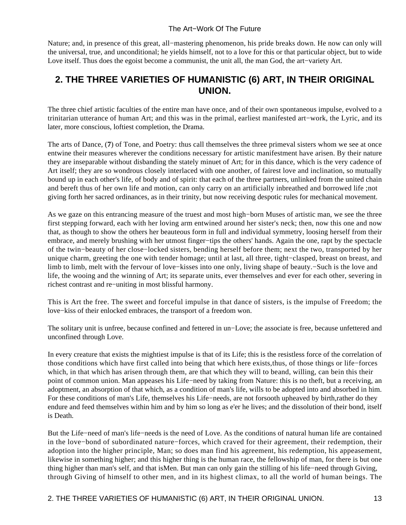Nature; and, in presence of this great, all−mastering phenomenon, his pride breaks down. He now can only will the universal, true, and unconditional; he yields himself, not to a love for this or that particular object, but to wide Love itself. Thus does the egoist become a communist, the unit all, the man God, the art−variety Art.

### <span id="page-14-0"></span>**2. THE THREE VARIETIES OF HUMANISTIC (6) ART, IN THEIR ORIGINAL UNION.**

The three chief artistic faculties of the entire man have once, and of their own spontaneous impulse, evolved to a trinitarian utterance of human Art; and this was in the primal, earliest manifested art−work, the Lyric, and its later, more conscious, loftiest completion, the Drama.

The arts of Dance, (**7**) of Tone, and Poetry: thus call themselves the three primeval sisters whom we see at once entwine their measures wherever the conditions necessary for artistic manifestment have arisen. By their nature they are inseparable without disbanding the stately minuet of Art; for in this dance, which is the very cadence of Art itself; they are so wondrous closely interlaced with one another, of fairest love and inclination, so mutually bound up in each other's life, of body and of spirit: that each of the three partners, unlinked from the united chain and bereft thus of her own life and motion, can only carry on an artificially inbreathed and borrowed life; not giving forth her sacred ordinances, as in their trinity, but now receiving despotic rules for mechanical movement.

As we gaze on this entrancing measure of the truest and most high−born Muses of artistic man, we see the three first stepping forward, each with her loving arm entwined around her sister's neck; then, now this one and now that, as though to show the others her beauteous form in full and individual symmetry, loosing herself from their embrace, and merely brushing with her utmost finger−tips the others' hands. Again the one, rapt by the spectacle of the twin−beauty of her close−locked sisters, bending herself before them; next the two, transported by her unique charm, greeting the one with tender homage; until at last, all three, tight−clasped, breast on breast, and limb to limb, melt with the fervour of love−kisses into one only, living shape of beauty.−Such is the love and life, the wooing and the winning of Art; its separate units, ever themselves and ever for each other, severing in richest contrast and re−uniting in most blissful harmony.

This is Art the free. The sweet and forceful impulse in that dance of sisters, is the impulse of Freedom; the love−kiss of their enlocked embraces, the transport of a freedom won.

The solitary unit is unfree, because confined and fettered in un−Love; the associate is free, because unfettered and unconfined through Love.

In every creature that exists the mightiest impulse is that of its Life; this is the resistless force of the correlation of those conditions which have first called into being that which here exists, thus, of those things or life–forces which, in that which has arisen through them, are that which they will to be and, willing, can be in this their point of common union. Man appeases his Life−need by taking from Nature: this is no theft, but a receiving, an adoptment, an absorption of that which, as a condition of man's life, wills to be adopted into and absorbed in him. For these conditions of man's Life, themselves his Life–needs, are not forsooth upheaved by birth, rather do they endure and feed themselves within him and by him so long as e'er he lives; and the dissolution of their bond, itself is Death.

But the Life−need of man's life−needs is the need of Love. As the conditions of natural human life are contained in the love−bond of subordinated nature−forces, which craved for their agreement, their redemption, their adoption into the higher principle, Man; so does man find his agreement, his redemption, his appeasement, likewise in something higher; and this higher thing is the human race, the fellowship of man, for there is but one thing higher than man's self, and that is Men. But man can only gain the stilling of his life–need through Giving, through Giving of himself to other men, and in its highest climax, to all the world of human beings. The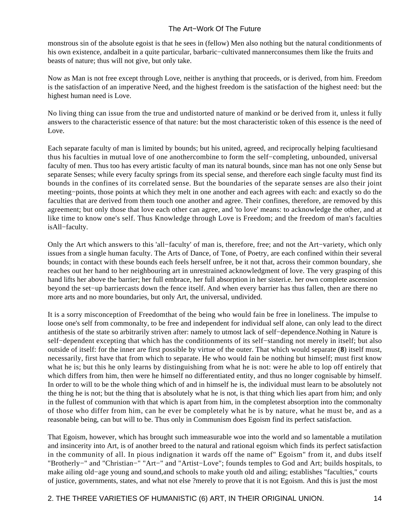monstrous sin of the absolute egoist is that he sees in (fellow) Men also nothing but the natural conditionments of his own existence, and albeit in a quite particular, barbaric−cultivated manner consumes them like the fruits and beasts of nature; thus will not give, but only take.

Now as Man is not free except through Love, neither is anything that proceeds, or is derived, from him. Freedom is the satisfaction of an imperative Need, and the highest freedom is the satisfaction of the highest need: but the highest human need is Love.

No living thing can issue from the true and undistorted nature of mankind or be derived from it, unless it fully answers to the characteristic essence of that nature: but the most characteristic token of this essence is the need of Love.

Each separate faculty of man is limited by bounds; but his united, agreed, and reciprocally helping faculties and thus his faculties in mutual love of one another combine to form the self–completing, unbounded, universal faculty of men. Thus too has every artistic faculty of man its natural bounds, since man has not one only Sense but separate Senses; while every faculty springs from its special sense, and therefore each single faculty must find its bounds in the confines of its correlated sense. But the boundaries of the separate senses are also their joint meeting−points, those points at which they melt in one another and each agrees with each: and exactly so do the faculties that are derived from them touch one another and agree. Their confines, therefore, are removed by this agreement; but only those that love each other can agree, and 'to love' means: to acknowledge the other, and at like time to know one's self. Thus Knowledge through Love is Freedom; and the freedom of man's faculties isAll−faculty.

Only the Art which answers to this 'all−faculty' of man is, therefore, free; and not the Art−variety, which only issues from a single human faculty. The Arts of Dance, of Tone, of Poetry, are each confined within their several bounds; in contact with these bounds each feels herself unfree, be it not that, across their common boundary, she reaches out her hand to her neighbouring art in unrestrained acknowledgment of love. The very grasping of this hand lifts her above the barrier; her full embrace, her full absorption in her sisteri.e. her own complete ascension beyond the set–up barrier casts down the fence itself. And when every barrier has thus fallen, then are there no more arts and no more boundaries, but only Art, the universal, undivided.

It is a sorry misconception of Freedomthat of the being who would fain be free in loneliness. The impulse to loose one's self from commonalty, to be free and independent for individual self alone, can only lead to the direct antithesis of the state so arbitrarily striven after: namely to utmost lack of self−dependence.Nothing in Nature is self−dependent excepting that which has the conditionments of its self−standing not merely in itself; but also outside of itself: for the inner are first possible by virtue of the outer. That which would separate (**8**) itself must, necessarily, first have that from which to separate. He who would fain be nothing but himself; must first know what he is; but this he only learns by distinguishing from what he is not: were he able to lop off entirely that which differs from him, then were he himself no differentiated entity, and thus no longer cognisable by himself. In order to will to be the whole thing which of and in himself he is, the individual must learn to be absolutely not the thing he is not; but the thing that is absolutely what he is not, is that thing which lies apart from him; and only in the fullest of communion with that which is apart from him, in the completest absorption into the commonalty of those who differ from him, can he ever be completely what he is by nature, what he must be, and as a reasonable being, can but will to be. Thus only in Communism does Egoism find its perfect satisfaction.

That Egoism, however, which has brought such immeasurable woe into the world and so lamentable a mutilation and insincerity into Art, is of another breed to the natural and rational egoism which finds its perfect satisfaction in the community of all. In pious indignation it wards off the name of" Egoism" from it, and dubs itself "Brotherly−" and "Christian−" "Art−" and "Artist−Love"; founds temples to God and Art; builds hospitals, to make ailing old–age young and sound, and schools to make youth old and ailing; establishes "faculties," courts of justice, governments, states, and what not else ? merely to prove that it is not Egoism. And this is just the most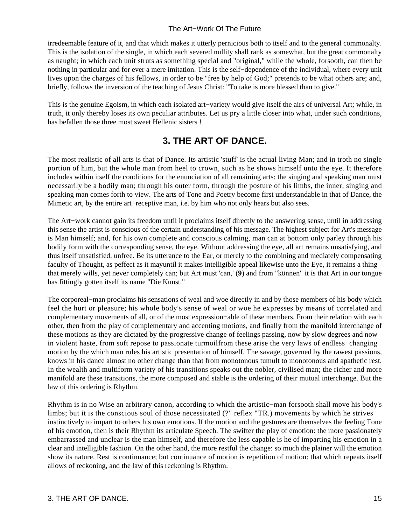irredeemable feature of it, and that which makes it utterly pernicious both to itself and to the general commonalty. This is the isolation of the single, in which each severed nullity shall rank as somewhat, but the great commonalty as naught; in which each unit struts as something special and "original," while the whole, forsooth, can then be nothing in particular and for ever a mere imitation. This is the self−dependence of the individual, where every unit lives upon the charges of his fellows, in order to be "free by help of God;" pretends to be what others are; and, briefly, follows the inversion of the teaching of Jesus Christ: "To take is more blessed than to give."

This is the genuine Egoism, in which each isolated art−variety would give itself the airs of universal Art; while, in truth, it only thereby loses its own peculiar attributes. Let us pry a little closer into what, under such conditions, has befallen those three most sweet Hellenic sisters !

### **3. THE ART OF DANCE.**

<span id="page-16-0"></span>The most realistic of all arts is that of Dance. Its artistic 'stuff' is the actual living Man; and in troth no single portion of him, but the whole man from heel to crown, such as he shows himself unto the eye. It therefore includes within itself the conditions for the enunciation of all remaining arts: the singing and speaking man must necessarily be a bodily man; through his outer form, through the posture of his limbs, the inner, singing and speaking man comes forth to view. The arts of Tone and Poetry become first understandable in that of Dance, the Mimetic art, by the entire art−receptive man, i.e. by him who not only hears but also sees.

The Art−work cannot gain its freedom until it proclaims itself directly to the answering sense, until in addressing this sense the artist is conscious of the certain understanding of his message. The highest subject for Art's message is Man himself; and, for his own complete and conscious calming, man can at bottom only parley through his bodily form with the corresponding sense, the eye. Without addressing the eye, all art remains unsatisfying, and thus itself unsatisfied, unfree. Be its utterance to the Ear, or merely to the combining and mediately compensating faculty of Thought, as peffect as it mayuntil it makes intelligible appeal likewise unto the Eye, it remains a thing that merely wills, yet never completely can; but Art must 'can,' (**9**) and from "können" it is that Art in our tongue has fittingly gotten itself its name "Die Kunst."

The corporeal−man proclaims his sensations of weal and woe directly in and by those members of his body which feel the hurt or pleasure; his whole body's sense of weal or woe he expresses by means of correlated and complementary movements of all, or of the most expression−able of these members. From their relation with each other, then from the play of complementary and accenting motions, and finally from the manifold interchange of these motions as they are dictated by the progressive change of feelings passing, now by slow degrees and now in violent haste, from soft repose to passionate turmoil from these arise the very laws of endless–changing motion by the which man rules his artistic presentation of himself. The savage, governed by the rawest passions, knows in his dance almost no other change than that from monotonous tumult to monotonous and apathetic rest. In the wealth and multiform variety of his transitions speaks out the nobler, civilised man; the richer and more manifold are these transitions, the more composed and stable is the ordering of their mutual interchange. But the law of this ordering is Rhythm.

Rhythm is in no Wise an arbitrary canon, according to which the artistic−man forsooth shall move his body's limbs; but it is the conscious soul of those necessitated (?" reflex "TR.) movements by which he strives instinctively to impart to others his own emotions. If the motion and the gestures are themselves the feeling Tone of his emotion, then is their Rhythm its articulate Speech. The swifter the play of emotion: the more passionately embarrassed and unclear is the man himself, and therefore the less capable is he of imparting his emotion in a clear and intelligible fashion. On the other hand, the more restful the change: so much the plainer will the emotion show its nature. Rest is continuance; but continuance of motion is repetition of motion: that which repeats itself allows of reckoning, and the law of this reckoning is Rhythm.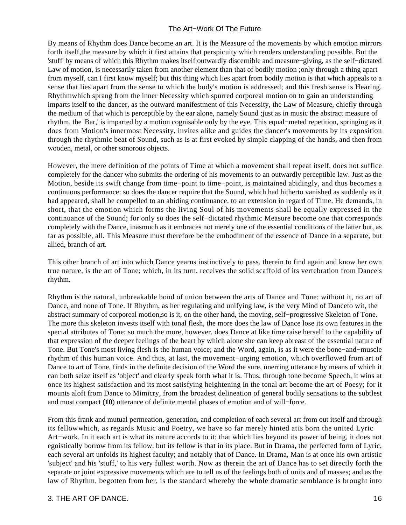By means of Rhythm does Dance become an art. It is the Measure of the movements by which emotion mirrors forth itself, the measure by which it first attains that perspicuity which renders understanding possible. But the 'stuff' by means of which this Rhythm makes itself outwardly discernible and measure−giving, as the self−dictated Law of motion, is necessarily taken from another element than that of bodily motion; only through a thing apart from myself, can I first know myself; but this thing which lies apart from bodily motion is that which appeals to a sense that lies apart from the sense to which the body's motion is addressed; and this fresh sense is Hearing. Rhythmwhich sprang from the inner Necessity which spurred corporeal motion on to gain an understanding imparts itself to the dancer, as the outward manifestment of this Necessity, the Law of Measure, chiefly through the medium of that which is perceptible by the ear alone, namely Sound ; just as in music the abstract measure of rhythm, the 'Bar,' is imparted by a motion cognisable only by the eye. This equal−meted repetition, springing as it does from Motion's innermost Necessity, invites alike and guides the dancer's movements by its exposition through the rhythmic beat of Sound, such as is at first evoked by simple clapping of the hands, and then from wooden, metal, or other sonorous objects.

However, the mere definition of the points of Time at which a movement shall repeat itself, does not suffice completely for the dancer who submits the ordering of his movements to an outwardly perceptible law. Just as the Motion, beside its swift change from time−point to time−point, is maintained abidingly, and thus becomes a continuous performance: so does the dancer require that the Sound, which had hitherto vanished as suddenly as it had appeared, shall be compelled to an abiding continuance, to an extension in regard of Time. He demands, in short, that the emotion which forms the living Soul of his movements shall be equally expressed in the continuance of the Sound; for only so does the self−dictated rhythmic Measure become one that corresponds completely with the Dance, inasmuch as it embraces not merely one of the essential conditions of the latter but, as far as possible, all. This Measure must therefore be the embodiment of the essence of Dance in a separate, but allied, branch of art.

This other branch of art into which Dance yearns instinctively to pass, therein to find again and know her own true nature, is the art of Tone; which, in its turn, receives the solid scaffold of its vertebration from Dance's rhythm.

Rhythm is the natural, unbreakable bond of union between the arts of Dance and Tone; without it, no art of Dance, and none of Tone. If Rhythm, as her regulating and unifying law, is the very Mind of Danceto wit, the abstract summary of corporeal motion,so is it, on the other hand, the moving, self−progressive Skeleton of Tone. The more this skeleton invests itself with tonal flesh, the more does the law of Dance lose its own features in the special attributes of Tone; so much the more, however, does Dance at like time raise herself to the capability of that expression of the deeper feelings of the heart by which alone she can keep abreast of the essential nature of Tone. But Tone's most living flesh is the human voice; and the Word, again, is as it were the bone−and−muscle rhythm of this human voice. And thus, at last, the movement−urging emotion, which overflowed from art of Dance to art of Tone, finds in the definite decision of the Word the sure, unerring utterance by means of which it can both seize itself as 'object' and clearly speak forth what it is. Thus, through tone become Speech, it wins at once its highest satisfaction and its most satisfying heightening in the tonal art become the art of Poesy; for it mounts aloft from Dance to Mimicry, from the broadest delineation of general bodily sensations to the subtlest and most compact (**10**) utterance of definite mental phases of emotion and of will−force.

From this frank and mutual permeation, generation, and completion of each several art from out itself and through its fellow which, as regards Music and Poetry, we have so far merely hinted at is born the united Lyric Art−work. In it each art is what its nature accords to it; that which lies beyond its power of being, it does not egoistically borrow from its fellow, but its fellow is that in its place. But in Drama, the perfected form of Lyric, each several art unfolds its highest faculty; and notably that of Dance. In Drama, Man is at once his own artistic 'subject' and his 'stuff,' to his very fullest worth. Now as therein the art of Dance has to set directly forth the separate or joint expressive movements which are to tell us of the feelings both of units and of masses; and as the law of Rhythm, begotten from her, is the standard whereby the whole dramatic semblance is brought into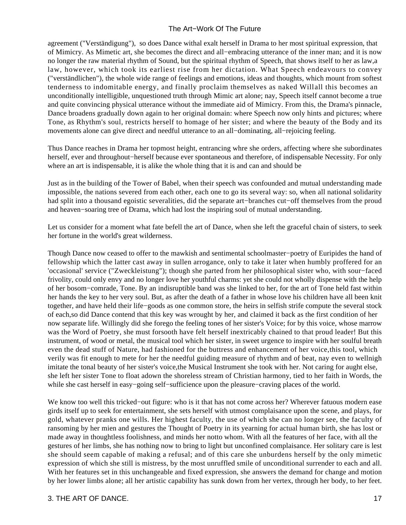agreement ("Verständigung"), so does Dance withal exalt herself in Drama to her most spiritual expression, that of Mimicry. As Mimetic art, she becomes the direct and all−embracing utterance of the inner man; and it is now no longer the raw material rhythm of Sound, but the spiritual rhythm of Speech, that shows itself to her as law, a law, however, which took its earliest rise from her dictation. What Speech endeavours to convey ("verständlichen"), the whole wide range of feelings and emotions, ideas and thoughts, which mount from softest tenderness to indomitable energy, and finally proclaim themselves as naked Willall this becomes an unconditionally intelligible, unquestioned truth through Mimic art alone; nay, Speech itself cannot become a true and quite convincing physical utterance without the immediate aid of Mimicry. From this, the Drama's pinnacle, Dance broadens gradually down again to her original domain: where Speech now only hints and pictures; where Tone, as Rhythm's soul, restricts herself to homage of her sister; and where the beauty of the Body and its movements alone can give direct and needful utterance to an all−dominating, all−rejoicing feeling.

Thus Dance reaches in Drama her topmost height, entrancing whre she orders, affecting where she subordinates herself, ever and throughout−herself because ever spontaneous and therefore, of indispensable Necessity. For only where an art is indispensable, it is alike the whole thing that it is and can and should be

Just as in the building of the Tower of Babel, when their speech was confounded and mutual understanding made impossible, the nations severed from each other, each one to go its several way: so, when all national solidarity had split into a thousand egoistic severalities, did the separate art−branches cut−off themselves from the proud and heaven−soaring tree of Drama, which had lost the inspiring soul of mutual understanding.

Let us consider for a moment what fate befell the art of Dance, when she left the graceful chain of sisters, to seek her fortune in the world's great wilderness.

Though Dance now ceased to offer to the mawkish and sentimental schoolmaster−poetry of Euripides the hand of fellowship which the latter cast away in sullen arrogance, only to take it later when humbly proffered for an 'occasional' service ("Zweckleistung"); though she parted from her philosophical sister who, with sour−faced frivolity, could only envy and no longer love her youthful charms: yet she could not wholly dispense with the help of her bosom−comrade, Tone. By an indisruptible band was she linked to her, for the art of Tone held fast within her hands the key to her very soul. But, as after the death of a father in whose love his children have all been knit together, and have held their life−goods as one common store, the heirs in selfish strife compute the several stock of each, so did Dance contend that this key was wrought by her, and claimed it back as the first condition of her now separate life. Willingly did she forego the feeling tones of her sister's Voice; for by this voice, whose marrow was the Word of Poetry, she must forsooth have felt herself inextricably chained to that proud leader! But this instrument, of wood or metal, the musical tool which her sister, in sweet urgence to inspire with her soulful breath even the dead stuff of Nature, had fashioned for the buttress and enhancement of her voice, this tool, which verily was fit enough to mete for her the needful guiding measure of rhythm and of beat, nay even to wellnigh imitate the tonal beauty of her sister's voice, the Musical Instrument she took with her. Not caring for aught else, she left her sister Tone to float adown the shoreless stream of Christian harmony, tied to her faith in Words, the while she cast herself in easy−going self−sufficience upon the pleasure−craving places of the world.

We know too well this tricked−out figure: who is it that has not come across her? Wherever fatuous modern ease girds itself up to seek for entertainment, she sets herself with utmost complaisance upon the scene, and plays, for gold, whatever pranks one wills. Her highest faculty, the use of which she can no longer see, the faculty of ransoming by her mien and gestures the Thought of Poetry in its yearning for actual human birth, she has lost or made away in thoughtless foolishness, and minds her not to whom. With all the features of her face, with all the gestures of her limbs, she has nothing now to bring to light but unconfined complaisance. Her solitary care is lest she should seem capable of making a refusal; and of this care she unburdens herself by the only mimetic expression of which she still is mistress, by the most unruffled smile of unconditional surrender to each and all. With her features set in this unchangeable and fixed expression, she answers the demand for change and motion by her lower limbs alone; all her artistic capability has sunk down from her vertex, through her body, to her feet.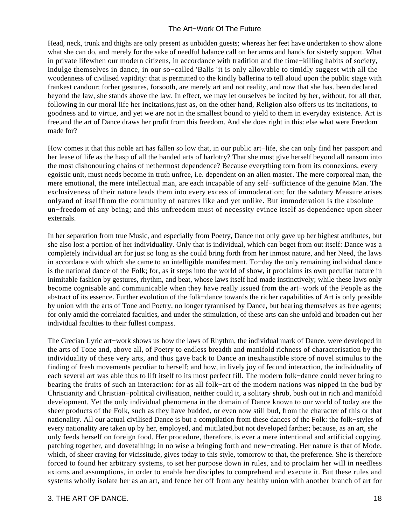Head, neck, trunk and thighs are only present as unbidden guests; whereas her feet have undertaken to show alone what she can do, and merely for the sake of needful balance call on her arms and hands for sisterly support. What in private lifewhen our modern citizens, in accordance with tradition and the time−killing habits of society, indulge themselves in dance, in our so−called 'Balls 'it is only allowable to timidly suggest with all the woodenness of civilised vapidity: that is permitted to the kindly ballerina to tell aloud upon the public stage with frankest candour; for her gestures, forsooth, are merely art and not reality, and now that she has. been declared beyond the law, she stands above the law. In effect, we may let ourselves be incited by her, without, for all that, following in our moral life her incitations, just as, on the other hand, Religion also offers us its incitations, to goodness and to virtue, and yet we are not in the smallest bound to yield to them in everyday existence. Art is free, and the art of Dance draws her profit from this freedom. And she does right in this: else what were Freedom made for?

How comes it that this noble art has fallen so low that, in our public art−life, she can only find her passport and her lease of life as the hasp of all the banded arts of harlotry? That she must give herself beyond all ransom into the most dishonouring chains of nethermost dependence? Because everything torn from its connexions, every egoistic unit, must needs become in truth unfree, i.e. dependent on an alien master. The mere corporeal man, the mere emotional, the mere intellectual man, are each incapable of any self−sufficience of the genuine Man. The exclusiveness of their nature leads them into every excess of immoderation; for the salutary Measure arises onlyand of itselffrom the community of natures like and yet unlike. But immoderation is the absolute un−freedom of any being; and this unfreedom must of necessity evince itself as dependence upon sheer externals.

In her separation from true Music, and especially from Poetry, Dance not only gave up her highest attributes, but she also lost a portion of her individuality. Only that is individual, which can beget from out itself: Dance was a completely individual art for just so long as she could bring forth from her inmost nature, and her Need, the laws in accordance with which she came to an intelligible manifestment. To−day the only remaining individual dance is the national dance of the Folk; for, as it steps into the world of show, it proclaims its own peculiar nature in inimitable fashion by gestures, rhythm, and beat, whose laws itself had made instinctively; while these laws only become cognisable and communicable when they have really issued from the art−work of the People as the abstract of its essence. Further evolution of the folk−dance towards the richer capabilities of Art is only possible by union with the arts of Tone and Poetry, no longer tyrannised by Dance, but bearing themselves as free agents; for only amid the correlated faculties, and under the stimulation, of these arts can she unfold and broaden out her individual faculties to their fullest compass.

The Grecian Lyric art−work shows us how the laws of Rhythm, the individual mark of Dance, were developed in the arts of Tone and, above all, of Poetry to endless breadth and manifold richness of characterisation by the individuality of these very arts, and thus gave back to Dance an inexhaustible store of novel stimulus to the finding of fresh movements peculiar to herself; and how, in lively joy of fecund interaction, the individuality of each several art was able thus to lift itself to its most perfect fill. The modern folk−dance could never bring to bearing the fruits of such an interaction: for as all folk−art of the modern nations was nipped in the bud by Christianity and Christian−political civilisation, neither could it, a solitary shrub, bush out in rich and manifold development. Yet the only individual phenomena in the domain of Dance known to our world of today are the sheer products of the Folk, such as they have budded, or even now still bud, from the character of this or that nationality. All our actual civilised Dance is but a compilation from these dances of the Folk: the folk−styles of every nationality are taken up by her, employed, and mutilated, but not developed farther; because, as an art, she only feeds herself on foreign food. Her procedure, therefore, is ever a mere intentional and artificial copying, patching together, and dovetaihing; in no wise a bringing forth and new−creating. Her nature is that of Mode, which, of sheer craving for vicissitude, gives today to this style, tomorrow to that, the preference. She is therefore forced to found her arbitrary systems, to set her purpose down in rules, and to proclaim her will in needless axioms and assumptions, in order to enable her disciples to comprehend and execute it. But these rules and systems wholly isolate her as an art, and fence her off from any healthy union with another branch of art for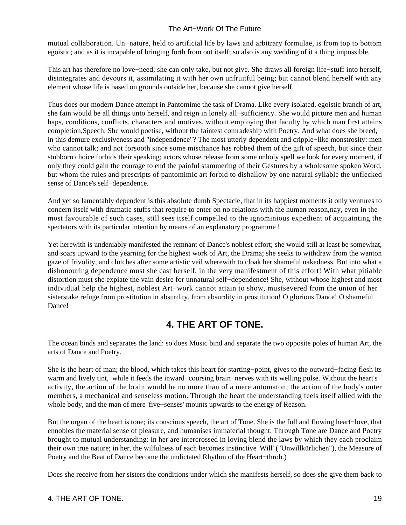mutual collaboration. Un−nature, held to artificial life by laws and arbitrary formulae, is from top to bottom egoistic; and as it is incapable of bringing forth from out itself; so also is any wedding of it a thing impossible.

This art has therefore no love−need; she can only take, but not give. She draws all foreign life−stuff into herself, disintegrates and devours it, assimilating it with her own unfruitful being; but cannot blend herself with any element whose life is based on grounds outside her, because she cannot give herself.

Thus does our modern Dance attempt in Pantomime the task of Drama. Like every isolated, egoistic branch of art, she fain would be all things unto herself, and reign in lonely all−sufficiency. She would picture men and human haps, conditions, conflicts, characters and motives, without employing that faculty by which man first attains completion, Speech. She would poetise, without the faintest comradeship with Poetry. And what does she breed, in this demure exclusiveness and "independence"? The most utterly dependent and cripple−like monstrosity: men who cannot talk; and not forsooth since some mischance has robbed them of the gift of speech, but since their stubborn choice forbids their speaking; actors whose release from some unholy spell we look for every moment, if only they could gain the courage to end the painful stammering of their Gestures by a wholesome spoken Word, but whom the rules and prescripts of pantomimic art forbid to dishallow by one natural syllable the unflecked sense of Dance's self−dependence.

And yet so lamentably dependent is this absolute dumb Spectacle, that in its happiest moments it only ventures to concern itself with dramatic stuffs that require to enter on no relations with the human reason, nay, even in the most favourable of such cases, still sees itself compelled to the ignominious expedient of acquainting the spectators with its particular intention by means of an explanatory programme !

Yet herewith is undeniably manifested the remnant of Dance's noblest effort; she would still at least be somewhat, and soars upward to the yearning for the highest work of Art, the Drama; she seeks to withdraw from the wanton gaze of frivolity, and clutches after some artistic veil wherewith to cloak her shameful nakedness. But into what a dishonouring dependence must she cast herself, in the very manifestment of this effort! With what pitiable distortion must she expiate the vain desire for unnatural self−dependence! She, without whose highest and most individual help the highest, noblest Art−work cannot attain to show, mustsevered from the union of her sisters take refuge from prostitution in absurdity, from absurdity in prostitution! O glorious Dance! O shameful Dance!

### **4. THE ART OF TONE.**

<span id="page-20-0"></span>The ocean binds and separates the land: so does Music bind and separate the two opposite poles of human Art, the arts of Dance and Poetry.

She is the heart of man; the blood, which takes this heart for starting−point, gives to the outward−facing flesh its warm and lively tint, while it feeds the inward−coursing brain−nerves with its welling pulse. Without the heart's activity, the action of the brain would be no more than of a mere automaton; the action of the body's outer members, a mechanical and senseless motion. Through the heart the understanding feels itself allied with the whole body, and the man of mere 'five−senses' mounts upwards to the energy of Reason.

But the organ of the heart is tone; its conscious speech, the art of Tone. She is the full and flowing heart−love, that ennobles the material sense of pleasure, and humanises immaterial thought. Through Tone are Dance and Poetry brought to mutual understanding: in her are intercrossed in loving blend the laws by which they each proclaim their own true nature; in her, the wilfulness of each becomes instinctive 'Will' ("Unwillkürlichen"), the Measure of Poetry and the Beat of Dance become the undictated Rhythm of the Heart−throb.)

Does she receive from her sisters the conditions under which she manifests herself, so does she give them back to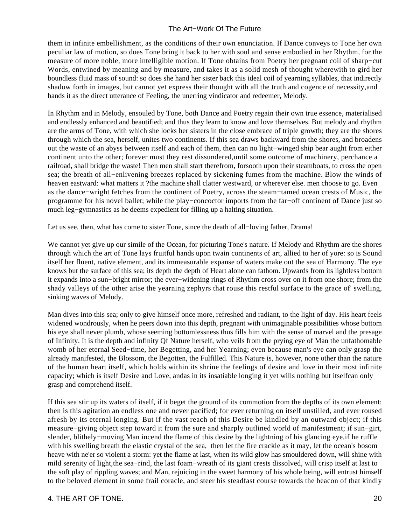them in infinite embellishment, as the conditions of their own enunciation. If Dance conveys to Tone her own peculiar law of motion, so does Tone bring it back to her with soul and sense embodied in her Rhythm, for the measure of more noble, more intelligible motion. If Tone obtains from Poetry her pregnant coil of sharp−cut Words, entwined by meaning and by measure, and takes it as a solid mesh of thought wherewith to gird her boundless fluid mass of sound: so does she hand her sister back this ideal coil of yearning syllables, that indirectly shadow forth in images, but cannot yet express their thought with all the truth and cogence of necessity, and hands it as the direct utterance of Feeling, the unerring vindicator and redeemer, Melody.

In Rhythm and in Melody, ensouled by Tone, both Dance and Poetry regain their own true essence, materialised and endlessly enhanced and beautified; and thus they learn to know and love themselves. But melody and rhythm are the arms of Tone, with which she locks her sisters in the close embrace of triple growth; they are the shores through which the sea, herself, unites two continents. If this sea draws backward from the shores, and broadens out the waste of an abyss between itself and each of them, then can no light−winged ship bear aught from either continent unto the other; forever must they rest dissundered, until some outcome of machinery, perchance a railroad, shall bridge the waste! Then men shall start therefrom, forsooth upon their steamboats, to cross the open sea; the breath of all−enlivening breezes replaced by sickening fumes from the machine. Blow the winds of heaven eastward: what matters it ? the machine shall clatter westward, or wherever else, men choose to go. Even as the dance−wright fetches from the continent of Poetry, across the steam−tamed ocean crests of Music, the programme for his novel ballet; while the play−concoctor imports from the far−off continent of Dance just so much leg−gymnastics as he deems expedient for filling up a halting situation.

Let us see, then, what has come to sister Tone, since the death of all−loving father, Drama!

We cannot yet give up our simile of the Ocean, for picturing Tone's nature. If Melody and Rhythm are the shores through which the art of Tone lays fruitful hands upon twain continents of art, allied to her of yore: so is Sound itself her fluent, native element, and its immeasurable expanse of waters make out the sea of Harmony. The eye knows but the surface of this sea; its depth the depth of Heart alone can fathom. Upwards from its lightless bottom it expands into a sun−bright mirror; the ever−widening rings of Rhythm cross over on it from one shore; from the shady valleys of the other arise the yearning zephyrs that rouse this restful surface to the grace of' swelling, sinking waves of Melody.

Man dives into this sea; only to give himself once more, refreshed and radiant, to the light of day. His heart feels widened wondrously, when he peers down into this depth, pregnant with unimaginable possibilities whose bottom his eye shall never plumb, whose seeming bottomlessness thus fills him with the sense of marvel and the presage of Infinity. It is the depth and infinity Qf Nature herself, who veils from the prying eye of Man the unfathomable womb of her eternal Seed−time, her Begetting, and her Yearning; even because man's eye can only grasp the already manifested, the Blossom, the Begotten, the Fulfilled. This Nature is, however, none other than the nature of the human heart itself, which holds within its shrine the feelings of desire and love in their most infinite capacity; which is itself Desire and Love, and as in its insatiable longing it yet wills nothing but itself can only grasp and comprehend itself.

If this sea stir up its waters of itself, if it beget the ground of its commotion from the depths of its own element: then is this agitation an endless one and never pacified; for ever returning on itself unstilled, and ever roused afresh by its eternal longing. But if the vast reach of this Desire be kindled by an outward object; if this measure−giving object step toward it from the sure and sharply outlined world of manifestment; if sun−girt, slender, blithely–moving Man incend the flame of this desire by the lightning of his glancing eye, if he ruffle with his swelling breath the elastic crystal of the sea, then let the fire crackle as it may, let the ocean's bosom heave with ne'er so violent a storm: yet the flame at last, when its wild glow has smouldered down, will shine with mild serenity of light, the sea−rind, the last foam–wreath of its giant crests dissolved, will crisp itself at last to the soft play of rippling waves; and Man, rejoicing in the sweet harmony of his whole being, will entrust himself to the beloved element in some frail coracle, and steer his steadfast course towards the beacon of that kindly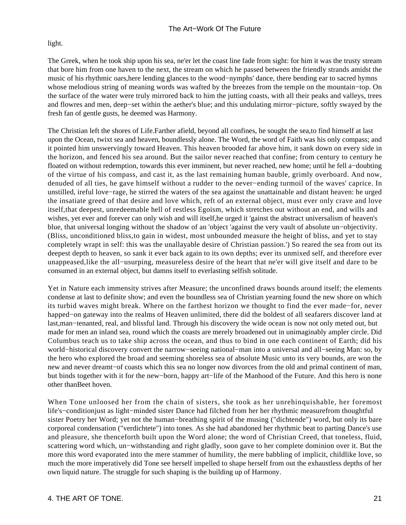#### light.

The Greek, when he took ship upon his sea, ne'er let the coast line fade from sight: for him it was the trusty stream that bore him from one haven to the next, the stream on which he passed between the friendly strands amidst the music of his rhythmic oars, here lending glances to the wood–nymphs' dance, there bending ear to sacred hymns whose melodious string of meaning words was wafted by the breezes from the temple on the mountain−top. On the surface of the water were truly mirrored back to him the jutting coasts, with all their peaks and valleys, trees and flowres and men, deep−set within the aether's blue; and this undulating mirror−picture, softly swayed by the fresh fan of gentle gusts, he deemed was Harmony.

The Christian left the shores of Life. Farther afield, beyond all confines, he sought the sea, to find himself at last upon the Ocean, twixt sea and heaven, boundlessly alone. The Word, the word of Faith was his only compass; and it pointed him unswervingly toward Heaven. This heaven brooded far above him, it sank down on every side in the horizon, and fenced his sea around. But the sailor never reached that confine; from century to century he floated on without redemption, towards this ever imminent, but never reached, new home; until he fell a−doubting of the virtue of his compass, and cast it, as the last remaining human bauble, grimly overboard. And now, denuded of all ties, he gave himself without a rudder to the never−ending turmoil of the waves' caprice. In unstilled, ireful love−rage, he stirred the waters of the sea against the unattainable and distant heaven: he urged the insatiate greed of that desire and love which, reft of an external object, must ever only crave and love itself, that deepest, unredeemable hell of restless Egoism, which stretches out without an end, and wills and wishes, yet ever and forever can only wish and will itself, he urged it 'gainst the abstract universalism of heaven's blue, that universal longing without the shadow of an 'object 'against the very vault of absolute un−objectivity. (Bliss, unconditioned bliss, to gain in widest, most unbounded measure the height of bliss, and yet to stay completely wrapt in self: this was the unallayable desire of Christian passion.') So reared the sea from out its deepest depth to heaven, so sank it ever back again to its own depths; ever its unmixed self, and therefore ever unappeased, like the all–usurping, measureless desire of the heart that ne'er will give itself and dare to be consumed in an external object, but damns itself to everlasting selfish solitude.

Yet in Nature each immensity strives after Measure; the unconfined draws bounds around itself; the elements condense at last to definite show; and even the boundless sea of Christian yearning found the new shore on which its turbid waves might break. Where on the farthest horizon we thought to find the ever made−for, never happed−on gateway into the realms of Heaven unlimited, there did the boldest of all seafarers discover land at last, man–tenanted, real, and blissful land. Through his discovery the wide ocean is now not only meted out, but made for men an inland sea, round which the coasts are merely broadened out in unimaginably ampler circle. Did Columbus teach us to take ship across the ocean, and thus to bind in one each continent of Earth; did his world−historical discovery convert the narrow−seeing national−man into a universal and all−seeing Man: so, by the hero who explored the broad and seeming shoreless sea of absolute Music unto its very bounds, are won the new and never dreamt−of coasts which this sea no longer now divorces from the old and primal continent of man, but binds together with it for the new−born, happy art−life of the Manhood of the Future. And this hero is none other than Beet hoven.

When Tone unloosed her from the chain of sisters, she took as her unrehinquishable, her foremost life's−conditionjust as light−minded sister Dance had filched from her her rhythmic measurefrom thoughtful sister Poetry her Word; yet not the human−breathing spirit of the musing ("dichtende") word, but only its bare corporeal condensation ("verdichtete") into tones. As she had abandoned her rhythmic beat to parting Dance's use and pleasure, she thenceforth built upon the Word alone; the word of Christian Creed, that toneless, fluid, scattering word which, un−withstanding and right gladly, soon gave to her complete dominion over it. But the more this word evaporated into the mere stammer of humility, the mere babbling of implicit, childlike love, so much the more imperatively did Tone see herself impelled to shape herself from out the exhaustless depths of her own liquid nature. The struggle for such shaping is the building up of Harmony.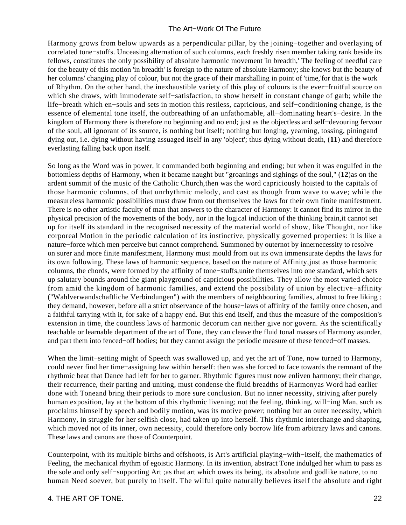Harmony grows from below upwards as a perpendicular pillar, by the joining−together and overlaying of correlated tone−stuffs. Unceasing alternation of such columns, each freshly risen member taking rank beside its fellows, constitutes the only possibility of absolute harmonic movement 'in breadth,' The feeling of needful care for the beauty of this motion 'in breadth' is foreign to the nature of absolute Harmony; she knows but the beauty of her columns' changing play of colour, but not the grace of their marshalling in point of 'time,' for that is the work of Rhythm. On the other hand, the inexhaustible variety of this play of colours is the ever−fruitful source on which she draws, with immoderate self−satisfaction, to show herself in constant change of garb; while the life−breath which en−souls and sets in motion this restless, capricious, and self−conditioning change, is the essence of elemental tone itself, the outbreathing of an unfathomable, all−dominating heart's−desire. In the kingdom of Harmony there is therefore no beginning and no end; just as the objectless and self−devouring fervour of the soul, all ignorant of its source, is nothing but itself; nothing but longing, yearning, tossing, piningand dying out, i.e. dying without having assuaged itself in any 'object'; thus dying without death, (**11**) and therefore everlasting falling back upon itself.

So long as the Word was in power, it commanded both beginning and ending; but when it was engulfed in the bottomless depths of Harmony, when it became naught but "groanings and sighings of the soul," (12) as on the ardent summit of the music of the Catholic Church, then was the word capriciously hoisted to the capitals of those harmonic columns, of that unrhythmic melody, and cast as though from wave to wave; while the measureless harmonic possibilities must draw from out themselves the laws for their own finite manifestment. There is no other artistic faculty of man that answers to the character of Harmony: it cannot find its mirror in the physical precision of the movements of the body, nor in the logical induction of the thinking brain, it cannot set up for itself its standard in the recognised necessity of the material world of show, like Thought, nor like corporeal Motion in the periodic calculation of its instinctive, physically governed properties: it is like a nature−force which men perceive but cannot comprehend. Summoned by outer not by inner necessity to resolve on surer and more finite manifestment, Harmony must mould from out its own immensurate depths the laws for its own following. These laws of harmonic sequence, based on the nature of Affinity, just as those harmonic columns, the chords, were formed by the affinity of tone−stuffs,unite themselves into one standard, which sets up salutary bounds around the giant playground of capricious possibilities. They allow the most varied choice from amid the kingdom of harmonic families, and extend the possibility of union by elective−affinity ("Wahlverwandschaftliche Verbindungen") with the members of neighbouring families, almost to free liking ; they demand, however, before all a strict observance of the house−laws of affinity of the family once chosen, and a faithful tarrying with it, for sake of a happy end. But this end itself, and thus the measure of the composition's extension in time, the countless laws of harmonic decorum can neither give nor govern. As the scientifically teachable or learnable department of the art of Tone, they can cleave the fluid tonal masses of Harmony asunder, and part them into fenced−off bodies; but they cannot assign the periodic measure of these fenced−off masses.

When the limit−setting might of Speech was swallowed up, and yet the art of Tone, now turned to Harmony, could never find her time−assigning law within herself: then was she forced to face towards the remnant of the rhythmic beat that Dance had left for her to garner. Rhythmic figures must now enliven harmony; their change, their recurrence, their parting and uniting, must condense the fluid breadths of Harmonyas Word had earlier done with Tone and bring their periods to more sure conclusion. But no inner necessity, striving after purely human exposition, lay at the bottom of this rhythmic livening; not the feeling, thinking, will−ing Man, such as proclaims himself by speech and bodily motion, was its motive power; nothing but an outer necessity, which Harmony, in struggle for her selfish close, had taken up into herself. This rhythmic interchange and shaping, which moved not of its inner, own necessity, could therefore only borrow life from arbitrary laws and canons. These laws and canons are those of Counterpoint.

Counterpoint, with its multiple births and offshoots, is Art's artificial playing−with−itself, the mathematics of Feeling, the mechanical rhythm of egoistic Harmony. In its invention, abstract Tone indulged her whim to pass as the sole and only self−supporting Art ;as that art which owes its being, its absolute and godlike nature, to no human Need soever, but purely to itself. The wilful quite naturally believes itself the absolute and right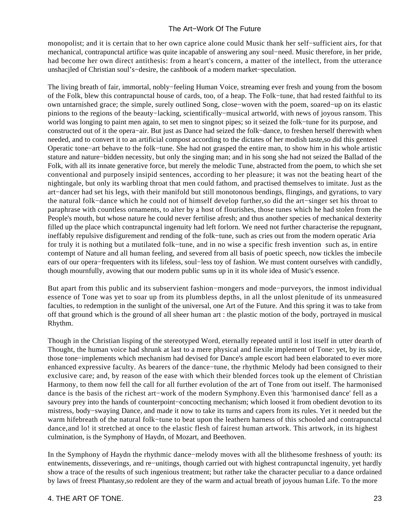monopolist; and it is certain that to her own caprice alone could Music thank her self−sufficient airs, for that mechanical, contrapunctal artifice was quite incapable of answering any soul−need. Music therefore, in her pride, had become her own direct antithesis: from a heart's concern, a matter of the intellect, from the utterance unshacjled of Christian soul's−desire, the cashbook of a modern market−speculation.

The living breath of fair, immortal, nobly−feeling Human Voice, streaming ever fresh and young from the bosom of the Folk, blew this contrapunctal house of cards, too, of a heap. The Folk−tune, that had rested faithful to its own untarnished grace; the simple, surely outlined Song, close−woven with the poem, soared−up on its elastic pinions to the regions of the beauty−lacking, scientifically−musical artworld, with news of joyous ransom. This world was longing to paint men again, to set men to sing not pipes; so it seized the folk–tune for its purpose, and constructed out of it the opera−air. But just as Dance had seized the folk−dance, to freshen herself therewith when needed, and to convert it to an artificial compost according to the dictates of her modish taste, so did this genteel Operatic tone−art behave to the folk−tune. She had not grasped the entire man, to show him in his whole artistic stature and nature−bidden necessity, but only the singing man; and in his song she had not seized the Ballad of the Folk, with all its innate generative force, but merely the melodic Tune, abstracted from the poem, to which she set conventional and purposely insipid sentences, according to her pleasure; it was not the beating heart of the nightingale, but only its warbling throat that men could fathom, and practised themselves to imitate. Just as the art−dancer had set his legs, with their manifold but still monotonous bendings, flingings, and gyrations, to vary the natural folk–dance which he could not of himself develop further, so did the art–singer set his throat to paraphrase with countless ornaments, to alter by a host of flourishes, those tunes which he had stolen from the People's mouth, but whose nature he could never fertilise afresh; and thus another species of mechanical dexterity filled up the place which contrapunctal ingenuity had left forlorn. We need not further characterise the repugnant, ineffably repulsive disfigurement and rending of the folk−tune, such as cries out from the modern operatic Aria for truly it is nothing but a mutilated folk−tune, and in no wise a specific fresh invention such as, in entire contempt of Nature and all human feeling, and severed from all basis of poetic speech, now tickles the imbecile ears of our opera–frequenters with its lifeless, soul–less toy of fashion. We must content ourselves with candidly, though mournfully, avowing that our modern public sums up in it its whole idea of Music's essence.

But apart from this public and its subservient fashion−mongers and mode−purveyors, the inmost individual essence of Tone was yet to soar up from its plumbless depths, in all the unlost plenitude of its unmeasured faculties, to redemption in the sunlight of the universal, one Art of the Future. And this spring it was to take from off that ground which is the ground of all sheer human art : the plastic motion of the body, portrayed in musical Rhythm.

Though in the Christian lisping of the stereotyped Word, eternally repeated until it lost itself in utter dearth of Thought, the human voice had shrunk at last to a mere physical and fiexile implement of Tone: yet, by its side, those tone−implements which mechanism had devised for Dance's ample escort had been elaborated to ever more enhanced expressive faculty. As bearers of the dance−tune, the rhythmic Melody had been consigned to their exclusive care; and, by reason of the ease with which their blended forces took up the element of Christian Harmony, to them now fell the call for all further evolution of the art of Tone from out itself. The harmonised dance is the basis of the richest art−work of the modern Symphony.Even this 'harmonised dance' fell as a savoury prey into the hands of counterpoint−concocting mechanism; which loosed it from obedient devotion to its mistress, body−swaying Dance, and made it now to take its turns and capers from its rules. Yet it needed but the warm hifebreath of the natural folk−tune to beat upon the leathern harness of this schooled and contrapunctal dance, and lo! it stretched at once to the elastic flesh of fairest human artwork. This artwork, in its highest culmination, is the Symphony of Haydn, of Mozart, and Beethoven.

In the Symphony of Haydn the rhythmic dance−melody moves with all the blithesome freshness of youth: its entwinements, disseverings, and re−unitings, though carried out with highest contrapunctal ingenuity, yet hardly show a trace of the results of such ingenious treatment; but rather take the character peculiar to a dance ordained by laws of freest Phantasy, so redolent are they of the warm and actual breath of joyous human Life. To the more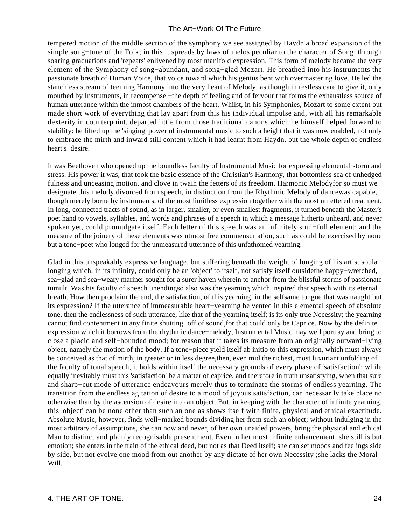tempered motion of the middle section of the symphony we see assigned by Haydn a broad expansion of the simple song–tune of the Folk; in this it spreads by laws of melos peculiar to the character of Song, through soaring graduations and 'repeats' enlivened by most manifold expression. This form of melody became the very element of the Symphony of song−abundant, and song−glad Mozart. He breathed into his instruments the passionate breath of Human Voice, that voice toward which his genius bent with overmastering love. He led the stanchless stream of teeming Harmony into the very heart of Melody; as though in restless care to give it, only mouthed by Instruments, in recompense –the depth of feeling and of fervour that forms the exhaustless source of human utterance within the inmost chambers of the heart. Whilst, in his Symphonies, Mozart to some extent but made short work of everything that lay apart from this his individual impulse and, with all his remarkable dexterity in counterpoint, departed little from those traditional canons which he himself helped forward to stability: he lifted up the 'singing' power of instrumental music to such a height that it was now enabled, not only to embrace the mirth and inward still content which it had learnt from Haydn, but the whole depth of endless heart's−desire.

It was Beethoven who opened up the boundless faculty of Instrumental Music for expressing elemental storm and stress. His power it was, that took the basic essence of the Christian's Harmony, that bottomless sea of unhedged fulness and unceasing motion, and clove in twain the fetters of its freedom. Harmonic Melody for so must we designate this melody divorced from speech, in distinction from the Rhythmic Melody of dance was capable, though merely borne by instruments, of the most limitless expression together with the most unfettered treatment. In long, connected tracts of sound, as in larger, smaller, or even smallest fragments, it turned beneath the Master's poet hand to vowels, syllables, and words and phrases of a speech in which a message hitherto unheard, and never spoken yet, could promulgate itself. Each letter of this speech was an infinitely soul−full element; and the measure of the joinery of these elements was utmost free commensur ation, such as could be exercised by none but a tone−poet who longed for the unmeasured utterance of this unfathomed yearning.

Glad in this unspeakably expressive language, but suffering beneath the weight of longing of his artist soula longing which, in its infinity, could only be an 'object' to itself, not satisfy itself outside the happy–wretched, sea−glad and sea−weary mariner sought for a surer haven wherein to anchor from the blissful storms of passionate tumult. Was his faculty of speech unending so also was the yearning which inspired that speech with its eternal breath. How then proclaim the end, the satisfaction, of this yearning, in the selfsame tongue that was naught but its expression? If the utterance of immeasurable heart−yearning be vented in this elemental speech of absolute tone, then the endlessness of such utterance, like that of the yearning itself; is its only true Necessity; the yearning cannot find contentment in any finite shutting–off of sound, for that could only be Caprice. Now by the definite expression which it borrows from the rhythmic dance−melody, Instrumental Music may well portray and bring to close a placid and self−bounded mood; for reason that it takes its measure from an originally outward−lying object, namely the motion of the body. If a tone−piece yield itself ab initio to this expression, which must always be conceived as that of mirth, in greater or in less degree, then, even mid the richest, most luxuriant unfolding of the faculty of tonal speech, it holds within itself the necessary grounds of every phase of 'satisfaction'; while equally inevitably must this 'satisfaction' be a matter of caprice, and therefore in truth unsatisfying, when that sure and sharp−cut mode of utterance endeavours merely thus to terminate the storms of endless yearning. The transition from the endless agitation of desire to a mood of joyous satisfaction, can necessarily take place no otherwise than by the ascension of desire into an object. But, in keeping with the character of infinite yearning, this 'object' can be none other than such an one as shows itself with finite, physical and ethical exactitude. Absolute Music, however, finds well−marked bounds dividing her from such an object; without indulging in the most arbitrary of assumptions, she can now and never, of her own unaided powers, bring the physical and ethical Man to distinct and plainly recognisable presentment. Even in her most infinite enhancement, she still is but emotion; she enters in the train of the ethical deed, but not as that Deed itself; she can set moods and feelings side by side, but not evolve one mood from out another by any dictate of her own Necessity; she lacks the Moral Will.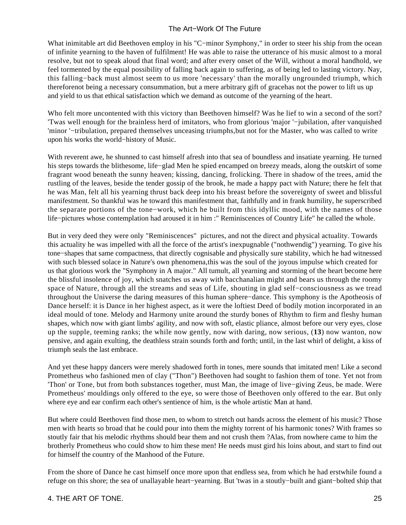What inimitable art did Beethoven employ in his "C−minor Symphony," in order to steer his ship from the ocean of infinite yearning to the haven of fulfilment! He was able to raise the utterance of his music almost to a moral resolve, but not to speak aloud that final word; and after every onset of the Will, without a moral handhold, we feel tormented by the equal possibility of falling back again to suffering, as of being led to lasting victory. Nay, this falling−back must almost seem to us more 'necessary' than the morally ungrounded triumph, which therefore not being a necessary consummation, but a mere arbitrary gift of grace has not the power to lift us up and yield to us that ethical satisfaction which we demand as outcome of the yearning of the heart.

Who felt more uncontented with this victory than Beethoven himself? Was he lief to win a second of the sort? 'Twas well enough for the brainless herd of imitators, who from glorious 'major '−jubilation, after vanquished 'minor '−tribulation, prepared themselves unceasing triumphs,but not for the Master, who was called to write upon his works the world−history of Music.

With reverent awe, he shunned to cast himself afresh into that sea of boundless and insatiate yearning. He turned his steps towards the blithesome, life−glad Men he spied encamped on breezy meads, along the outskirt of some fragrant wood beneath the sunny heaven; kissing, dancing, frolicking. There in shadow of the trees, amid the rustling of the leaves, beside the tender gossip of the brook, he made a happy pact with Nature; there he felt that he was Man, felt all his yearning thrust back deep into his breast before the sovereignty of sweet and blissful manifestment. So thankful was he toward this manifestment that, faithfully and in frank humility, he superscribed the separate portions of the tone−work, which he built from this idyllic mood, with the names of those life−pictures whose contemplation had aroused it in him :" Reminiscences of Country Life" he called the whole.

But in very deed they were only "Reminiscences" pictures, and not the direct and physical actuality. Towards this actuality he was impelled with all the force of the artist's inexpugnable ("nothwendig") yearning. To give his tone−shapes that same compactness, that directly cognisable and physically sure stability, which he had witnessed with such blessed solace in Nature's own phenomena, this was the soul of the joyous impulse which created for us that glorious work the "Symphony in A major." All tumult, all yearning and storming of the heart become here the blissful insolence of joy, which snatches us away with bacchanalian might and bears us through the roomy space of Nature, through all the streams and seas of Life, shouting in glad self−consciousness as we tread throughout the Universe the daring measures of this human sphere−dance. This symphony is the Apotheosis of Dance herself: it is Dance in her highest aspect, as it were the loftiest Deed of bodily motion incorporated in an ideal mould of tone. Melody and Harmony unite around the sturdy bones of Rhythm to firm and fleshy human shapes, which now with giant limbs' agility, and now with soft, elastic pliance, almost before our very eyes, close up the supple, teeming ranks; the while now gently, now with daring, now serious, (**13**) now wanton, now pensive, and again exulting, the deathless strain sounds forth and forth; until, in the last whirl of delight, a kiss of triumph seals the last embrace.

And yet these happy dancers were merely shadowed forth in tones, mere sounds that imitated men! Like a second Prometheus who fashioned men of clay ("Thon") Beethoven had sought to fashion them of tone. Yet not from 'Thon' or Tone, but from both substances together, must Man, the image of live−giving Zeus, be made. Were Prometheus' mouldings only offered to the eye, so were those of Beethoven only offered to the ear. But only where eye and ear confirm each other's sentience of him, is the whole artistic Man at hand.

But where could Beethoven find those men, to whom to stretch out hands across the element of his music? Those men with hearts so broad that he could pour into them the mighty torrent of his harmonic tones? With frames so stoutly fair that his melodic rhythms should bear them and not crush them ?Alas, from nowhere came to him the brotherly Prometheus who could show to him these men! He needs must gird his loins about, and start to find out for himself the country of the Manhood of the Future.

From the shore of Dance he cast himself once more upon that endless sea, from which he had erstwhile found a refuge on this shore; the sea of unallayable heart−yearning. But 'twas in a stoutly−built and giant−bolted ship that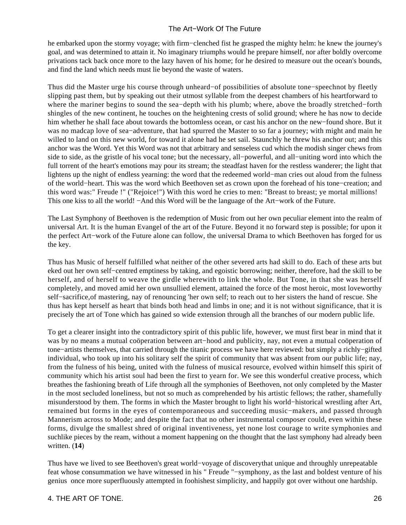he embarked upon the stormy voyage; with firm−clenched fist he grasped the mighty helm: he knew the journey's goal, and was determined to attain it. No imaginary triumphs would he prepare himself, nor after boldly overcome privations tack back once more to the lazy haven of his home; for he desired to measure out the ocean's bounds, and find the land which needs must lie beyond the waste of waters.

Thus did the Master urge his course through unheard−of possibilities of absolute tone−speechnot by fleetly slipping past them, but by speaking out their utmost syllable from the deepest chambers of his heart forward to where the mariner begins to sound the sea−depth with his plumb; where, above the broadly stretched−forth shingles of the new continent, he touches on the heightening crests of solid ground; where he has now to decide him whether he shall face about towards the bottomless ocean, or cast his anchor on the new−found shore. But it was no madcap love of sea−adventure, that had spurred the Master to so far a journey; with might and main he willed to land on this new world, for toward it alone had he set sail. Staunchly he threw his anchor out; and this anchor was the Word. Yet this Word was not that arbitrary and senseless cud which the modish singer chews from side to side, as the gristle of his vocal tone; but the necessary, all−powerful, and all−uniting word into which the full torrent of the heart's emotions may pour its stream; the steadfast haven for the restless wanderer; the light that lightens up the night of endless yearning: the word that the redeemed world−man cries out aloud from the fulness of the world−heart. This was the word which Beethoven set as crown upon the forehead of his tone−creation; and this word was:" Freude !" ("Rejoice!") With this word he cries to men: "Breast to breast; ye mortal millions! This one kiss to all the world! −And this Word will be the language of the Art−work of the Future.

The Last Symphony of Beethoven is the redemption of Music from out her own peculiar element into the realm of universal Art. It is the human Evangel of the art of the Future. Beyond it no forward step is possible; for upon it the perfect Art−work of the Future alone can follow, the universal Drama to which Beethoven has forged for us the key.

Thus has Music of herself fulfilled what neither of the other severed arts had skill to do. Each of these arts but eked out her own self−centred emptiness by taking, and egoistic borrowing; neither, therefore, had the skill to be herself, and of herself to weave the girdle wherewith to link the whole. But Tone, in that she was herself completely, and moved amid her own unsullied element, attained the force of the most heroic, most loveworthy self–sacrifice, of mastering, nay of renouncing 'her own self; to reach out to her sisters the hand of rescue. She thus has kept herself as heart that binds both head and limbs in one; and it is not without significance, that it is precisely the art of Tone which has gained so wide extension through all the branches of our modern public life.

To get a clearer insight into the contradictory spirit of this public life, however, we must first bear in mind that it was by no means a mutual coöperation between art−hood and publicity, nay, not even a mutual coöperation of tone−artists themselves, that carried through the titanic process we have here reviewed: but simply a richly−gifted individual, who took up into his solitary self the spirit of community that was absent from our public life; nay, from the fulness of his being, united with the fulness of musical resource, evolved within himself this spirit of community which his artist soul had been the first to yearn for. We see this wonderful creative process, which breathes the fashioning breath of Life through all the symphonies of Beethoven, not only completed by the Master in the most secluded loneliness, but not so much as comprehended by his artistic fellows; the rather, shamefully misunderstood by them. The forms in which the Master brought to light his world−historical wrestling after Art, remained but forms in the eyes of contemporaneous and succeeding music−makers, and passed through Mannerism across to Mode; and despite the fact that no other instrumental composer could, even within these forms, divulge the smallest shred of original inventiveness, yet none lost courage to write symphonies and suchlike pieces by the ream, without a moment happening on the thought that the last symphony had already been written. (**14**)

Thus have we lived to see Beethoven's great world−voyage of discoverythat unique and throughly unrepeatable feat whose consummation we have witnessed in his " Freude "−symphony, as the last and boldest venture of his genius once more superfluously attempted in foohishest simplicity, and happily got over without one hardship.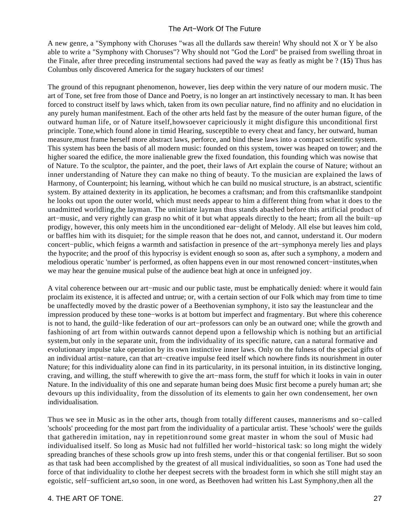A new genre, a "Symphony with Choruses "was all the dullards saw therein! Why should not X or Y be also able to write a "Symphony with Choruses"? Why should not "God the Lord" be praised from swelling throat in the Finale, after three preceding instrumental sections had paved the way as featly as might be ? (**15**) Thus has Columbus only discovered America for the sugary hucksters of our times!

The ground of this repugnant phenomenon, however, lies deep within the very nature of our modern music. The art of Tone, set free from those of Dance and Poetry, is no longer an art instinctively necessary to man. It has been forced to construct itself by laws which, taken from its own peculiar nature, find no affinity and no elucidation in any purely human manifestment. Each of the other arts held fast by the measure of the outer human figure, of the outward human life, or of Nature itself, howsoever capriciously it might disfigure this unconditional first principle. Tone, which found alone in timid Hearing, susceptible to every cheat and fancy, her outward, human measure, must frame herself more abstract laws, perforce, and bind these laws into a compact scientific system. This system has been the basis of all modern music: founded on this system, tower was heaped on tower; and the higher soared the edifice, the more inalienable grew the fixed foundation, this founding which was nowise that of Nature. To the sculptor, the painter, and the poet, their laws of Art explain the course of Nature; without an inner understanding of Nature they can make no thing of beauty. To the musician are explained the laws of Harmony, of Counterpoint; his learning, without which he can build no musical structure, is an abstract, scientific system. By attained dexterity in its application, he becomes a craftsman; and from this craftsmanlike standpoint he looks out upon the outer world, which must needs appear to him a different thing from what it does to the unadmitted worldling,the layman. The uninitiate layman thus stands abashed before this artificial product of art−music, and very rightly can grasp no whit of it but what appeals directly to the heart; from all the built−up prodigy, however, this only meets him in the unconditioned ear−delight of Melody. All else but leaves him cold, or baffles him with its disquiet; for the simple reason that he does not, and cannot, understand it. Our modern concert−public, which feigns a warmth and satisfaction in presence of the art−symphonya merely lies and plays the hypocrite; and the proof of this hypocrisy is evident enough so soon as, after such a symphony, a modern and melodious operatic 'number' is performed, as often happens even in our most renowned concert−institutes,when we may hear the genuine musical pulse of the audience beat high at once in unfeigned joy.

A vital coherence between our art−music and our public taste, must be emphatically denied: where it would fain proclaim its existence, it is affected and untrue; or, with a certain section of our Folk which may from time to time be unaffectedly moved by the drastic power of a Beethovenian symphony, it is to say the least unclear and the impression produced by these tone−works is at bottom but imperfect and fragmentary. But where this coherence is not to hand, the guild−like federation of our art−professors can only be an outward one; while the growth and fashioning of art from within outwards cannot depend upon a fellowship which is nothing but an artificial system, but only in the separate unit, from the individuality of its specific nature, can a natural formative and evolutionary impulse take operation by its own instinctive inner laws. Only on the fulness of the special gifts of an individual artist−nature, can that art−creative impulse feed itself which nowhere finds its nourishment in outer Nature; for this individuality alone can find in its particularity, in its personal intuition, in its distinctive longing, craving, and willing, the stuff wherewith to give the art−mass form, the stuff for which it looks in vain in outer Nature. In the individuality of this one and separate human being does Music first become a purely human art; she devours up this individuality, from the dissolution of its elements to gain her own condensement, her own individualisation.

Thus we see in Music as in the other arts, though from totally different causes, mannerisms and so−called 'schools' proceeding for the most part from the individuality of a particular artist. These 'schools' were the guilds that gathered in imitation, nay in repetition round some great master in whom the soul of Music had individualised itself. So long as Music had not fulfilled her world−historical task: so long might the widely spreading branches of these schools grow up into fresh stems, under this or that congenial fertiliser. But so soon as that task had been accomplished by the greatest of all musical individualities, so soon as Tone had used the force of that individuality to clothe her deepest secrets with the broadest form in which she still might stay an egoistic, self-sufficient art, so soon, in one word, as Beethoven had written his Last Symphony, then all the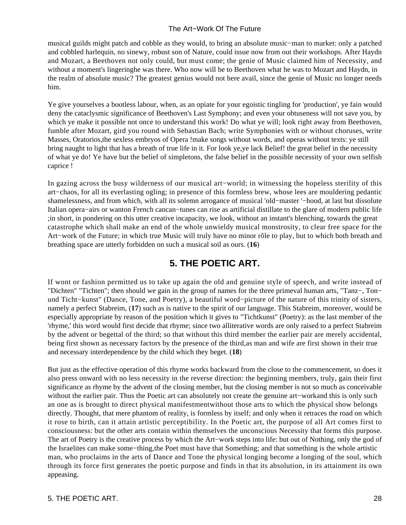musical guilds might patch and cobble as they would, to bring an absolute music−man to market: only a patched and cobbled harlequin, no sinewy, robust son of Nature, could issue now from out their workshops. After Haydn and Mozart, a Beethoven not only could, but must come; the genie of Music claimed him of Necessity, and without a moment's lingering he was there. Who now will be to Beethoven what he was to Mozart and Haydn, in the realm of absolute music? The greatest genius would not here avail, since the genie of Music no longer needs him.

Ye give yourselves a bootless labour, when, as an opiate for your egoistic tingling for 'production', ye fain would deny the cataclysmic significance of Beethoven's Last Symphony; and even your obtuseness will not save you, by which ye make it possible not once to understand this work! Do what ye will; look right away from Beethoven, fumble after Mozart, gird you round with Sebastian Bach; write Symphonies with or without choruses, write Masses, Oratorios, the sexless embryos of Opera ! make songs without words, and operas without texts: ye still bring naught to light that has a breath of true life in it. For look ye, ye lack Belief! the great belief in the necessity of what ye do! Ye have but the belief of simpletons, the false belief in the possible necessity of your own selfish caprice !

In gazing across the busy wilderness of our musical art−world; in witnessing the hopeless sterility of this art−chaos, for all its everlasting ogling; in presence of this formless brew, whose lees are mouldering pedantic shamelessness, and from which, with all its solemn arrogance of musical 'old−master '−hood, at last but dissolute Italian opera−airs or wanton French cancan−tunes can rise as artificial distillate to the glare of modern public life ;in short, in pondering on this utter creative incapacity, we look, without an instant's blenching, towards the great catastrophe which shall make an end of the whole unwieldy musical monstrosity, to clear free space for the Art−work of the Future; in which true Music will truly have no minor rôle to play, but to which both breath and breathing space are utterly forbidden on such a musical soil as ours. (**16**)

### **5. THE POETIC ART.**

<span id="page-29-0"></span>If wont or fashion permitted us to take up again the old and genuine style of speech, and write instead of "Dichten" "Tichten"; then should we gain in the group of names for the three primeval human arts, "Tanz−, Ton− und Ticht−kunst" (Dance, Tone, and Poetry), a beautiful word−picture of the nature of this trinity of sisters, namely a perfect Stabreim, (**17**) such as is native to the spirit of our language. This Stabreim, moreover, would be especially appropriate by reason of the position which it gives to "Tichtkunst" (Poetry): as the last member of the 'rhyme,' this word would first decide that rhyme; since two alliterative words are only raised to a perfect Stabreim by the advent or begettal of the third; so that without this third member the earlier pair are merely accidental, being first shown as necessary factors by the presence of the third, as man and wife are first shown in their true and necessary interdependence by the child which they beget. (**18**)

But just as the effective operation of this rhyme works backward from the close to the commencement, so does it also press onward with no less necessity in the reverse direction: the beginning members, truly, gain their first significance as rhyme by the advent of the closing member, but the closing member is not so much as conceivable without the earlier pair. Thus the Poetic art can absolutely not create the genuine art–work and this is only such an one as is brought to direct physical manifestment without those arts to which the physical show belongs directly. Thought, that mere phantom of reality, is formless by itself; and only when it retraces the road on which it rose to birth, can it attain artistic perceptibility. In the Poetic art, the purpose of all Art comes first to consciousness: but the other arts contain within themselves the unconscious Necessity that forms this purpose. The art of Poetry is the creative process by which the Art−work steps into life: but out of Nothing, only the god of the Israelites can make some–thing, the Poet must have that Something; and that something is the whole artistic man, who proclaims in the arts of Dance and Tone the physical longing become a longing of the soul, which through its force first generates the poetic purpose and finds in that its absolution, in its attainment its own appeasing.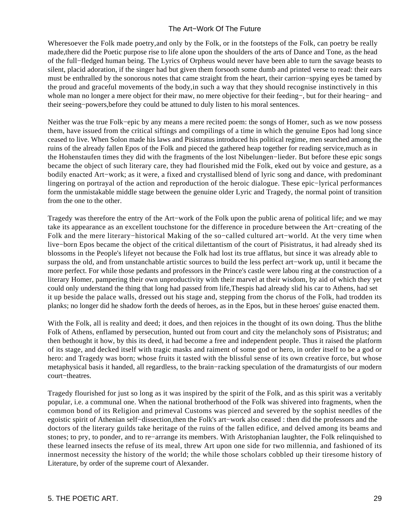Wheresoever the Folk made poetry, and only by the Folk, or in the footsteps of the Folk, can poetry be really made, there did the Poetic purpose rise to life alone upon the shoulders of the arts of Dance and Tone, as the head of the full−fledged human being. The Lyrics of Orpheus would never have been able to turn the savage beasts to silent, placid adoration, if the singer had but given them forsooth some dumb and printed verse to read: their ears must be enthralled by the sonorous notes that came straight from the heart, their carrion−spying eyes be tamed by the proud and graceful movements of the body, in such a way that they should recognise instinctively in this whole man no longer a mere object for their maw, no mere objective for their feeding−, but for their hearing− and their seeing–powers, before they could be attuned to duly listen to his moral sentences.

Neither was the true Folk−epic by any means a mere recited poem: the songs of Homer, such as we now possess them, have issued from the critical siftings and compilings of a time in which the genuine Epos had long since ceased to live. When Solon made his laws and Pisistratus introduced his political regime, men searched among the ruins of the already fallen Epos of the Folk and pieced the gathered heap together for reading service, much as in the Hohenstaufen times they did with the fragments of the lost Nibelungen−lieder. But before these epic songs became the object of such literary care, they had flourished mid the Folk, eked out by voice and gesture, as a bodily enacted Art−work; as it were, a fixed and crystallised blend of lyric song and dance, with predominant lingering on portrayal of the action and reproduction of the heroic dialogue. These epic−lyrical performances form the unmistakable middle stage between the genuine older Lyric and Tragedy, the normal point of transition from the one to the other.

Tragedy was therefore the entry of the Art−work of the Folk upon the public arena of political life; and we may take its appearance as an excellent touchstone for the difference in procedure between the Art−creating of the Folk and the mere literary−historical Making of the so−called cultured art−world. At the very time when live−born Epos became the object of the critical dilettantism of the court of Pisistratus, it had already shed its blossoms in the People's life yet not because the Folk had lost its true afflatus, but since it was already able to surpass the old, and from unstanchable artistic sources to build the less perfect art−work up, until it became the more perfect. For while those pedants and professors in the Prince's castle were labou ring at the construction of a literary Homer, pampering their own unproductivity with their marvel at their wisdom, by aid of which they yet could only understand the thing that long had passed from life, Thespis had already slid his car to Athens, had set it up beside the palace walls, dressed out his stage and, stepping from the chorus of the Folk, had trodden its planks; no longer did he shadow forth the deeds of heroes, as in the Epos, but in these heroes' guise enacted them.

With the Folk, all is reality and deed; it does, and then rejoices in the thought of its own doing. Thus the blithe Folk of Athens, enflamed by persecution, hunted out from court and city the melancholy sons of Pisistratus; and then bethought it how, by this its deed, it had become a free and independent people. Thus it raised the platform of its stage, and decked itself with tragic masks and raiment of some god or hero, in order itself to be a god or hero: and Tragedy was born; whose fruits it tasted with the blissful sense of its own creative force, but whose metaphysical basis it handed, all regardless, to the brain−racking speculation of the dramaturgists of our modern court−theatres.

Tragedy flourished for just so long as it was inspired by the spirit of the Folk, and as this spirit was a veritably popular, i.e. a communal one. When the national brotherhood of the Folk was shivered into fragments, when the common bond of its Religion and primeval Customs was pierced and severed by the sophist needles of the egoistic spirit of Athenian self−dissection,then the Folk's art−work also ceased : then did the professors and the doctors of the literary guilds take heritage of the ruins of the fallen edifice, and delved among its beams and stones; to pry, to ponder, and to re−arrange its members. With Aristophanian laughter, the Folk relinquished to these learned insects the refuse of its meal, threw Art upon one side for two millennia, and fashioned of its innermost necessity the history of the world; the while those scholars cobbled up their tiresome history of Literature, by order of the supreme court of Alexander.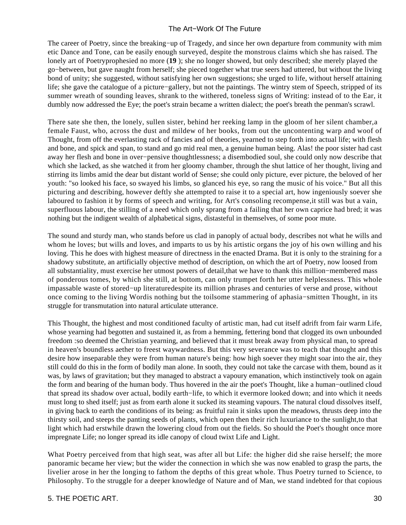The career of Poetry, since the breaking−up of Tragedy, and since her own departure from community with mim etic Dance and Tone, can be easily enough surveyed, despite the monstrous claims which she has raised. The lonely art of Poetry prophesied no more (**19**); she no longer showed, but only described; she merely played the go−between, but gave naught from herself; she pieced together what true seers had uttered, but without the living bond of unity; she suggested, without satisfying her own suggestions; she urged to life, without herself attaining life; she gave the catalogue of a picture−gallery, but not the paintings. The wintry stem of Speech, stripped of its summer wreath of sounding leaves, shrank to the withered, toneless signs of Writing: instead of to the Ear, it dumbly now addressed the Eye; the poet's strain became a written dialect; the poet's breath the penman's scrawl.

There sate she then, the lonely, sullen sister, behind her reeking lamp in the gloom of her silent chamber, a female Faust, who, across the dust and mildew of her books, from out the uncontenting warp and woof of Thought, from off the everlasting rack of fancies and of theories, yearned to step forth into actual life; with flesh and bone, and spick and span, to stand and go mid real men, a genuine human being. Alas! the poor sister had cast away her flesh and bone in over−pensive thoughtlessness; a disembodied soul, she could only now describe that which she lacked, as she watched it from her gloomy chamber, through the shut lattice of her thought, living and stirring its limbs amid the dear but distant world of Sense; she could only picture, ever picture, the beloved of her youth: "so looked his face, so swayed his limbs, so glanced his eye, so rang the music of his voice." But all this picturing and describing, however deftly she attempted to raise it to a special art, how ingeniously soever she laboured to fashion it by forms of speech and writing, for Art's consoling recompense, it still was but a vain, superfluous labour, the stilling of a need which only sprang from a failing that her own caprice had bred; it was nothing but the indigent wealth of alphabetical signs, distasteful in themselves, of some poor mute.

The sound and sturdy man, who stands before us clad in panoply of actual body, describes not what he wills and whom he loves; but wills and loves, and imparts to us by his artistic organs the joy of his own willing and his loving. This he does with highest measure of directness in the enacted Drama. But it is only to the straining for a shadowy substitute, an artificially objective method of description, on which the art of Poetry, now loosed from all substantiality, must exercise her utmost powers of detail,that we have to thank this million−membered mass of ponderous tomes, by which she still, at bottom, can only trumpet forth her utter helplessness. This whole impassable waste of stored−up literaturedespite its million phrases and centuries of verse and prose, without once coming to the living Word is nothing but the toilsome stammering of aphasia–smitten Thought, in its struggle for transmutation into natural articulate utterance.

This Thought, the highest and most conditioned faculty of artistic man, had cut itself adrift from fair warm Life, whose yearning had begotten and sustained it, as from a hemming, fettering bond that clogged its own unbounded freedom : so deemed the Christian yearning, and believed that it must break away from physical man, to spread in heaven's boundless aether to freest waywardness. But this very severance was to teach that thought and this desire how inseparable they were from human nature's being: how high soever they might soar into the air, they still could do this in the form of bodily man alone. In sooth, they could not take the carcase with them, bound as it was, by laws of gravitation; but they managed to abstract a vapoury emanation, which instinctively took on again the form and bearing of the human body. Thus hovered in the air the poet's Thought, like a human−outlined cloud that spread its shadow over actual, bodily earth−life, to which it evermore looked down; and into which it needs must long to shed itself; just as from earth alone it sucked its steaming vapours. The natural cloud dissolves itself, in giving back to earth the conditions of its being: as fruitful rain it sinks upon the meadows, thrusts deep into the thirsty soil, and steeps the panting seeds of plants, which open then their rich luxuriance to the sunlight, to that light which had erstwhile drawn the lowering cloud from out the fields. So should the Poet's thought once more impregnate Life; no longer spread its idle canopy of cloud twixt Life and Light.

What Poetry perceived from that high seat, was after all but Life: the higher did she raise herself; the more panoramic became her view; but the wider the connection in which she was now enabled to grasp the parts, the livelier arose in her the longing to fathom the depths of this great whole. Thus Poetry turned to Science, to Philosophy. To the struggle for a deeper knowledge of Nature and of Man, we stand indebted for that copious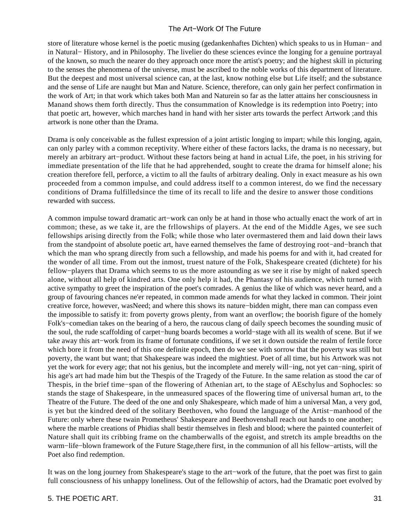store of literature whose kernel is the poetic musing (gedankenhaftes Dichten) which speaks to us in Human− and in Natural− History, and in Philosophy. The livelier do these sciences evince the longing for a genuine portrayal of the known, so much the nearer do they approach once more the artist's poetry; and the highest skill in picturing to the senses the phenomena of the universe, must be ascribed to the noble works of this department of literature. But the deepest and most universal science can, at the last, know nothing else but Life itself; and the substance and the sense of Life are naught but Man and Nature. Science, therefore, can only gain her perfect confirmation in the work of Art; in that work which takes both Man and Nature in so far as the latter attains her consciousness in Manand shows them forth directly. Thus the consummation of Knowledge is its redemption into Poetry; into that poetic art, however, which marches hand in hand with her sister arts towards the perfect Artwork; and this artwork is none other than the Drama.

Drama is only conceivable as the fullest expression of a joint artistic longing to impart; while this longing, again, can only parley with a common receptivity. Where either of these factors lacks, the drama is no necessary, but merely an arbitrary art−product. Without these factors being at hand in actual Life, the poet, in his striving for immediate presentation of the life that he had apprehended, sought to create the drama for himself alone; his creation therefore fell, perforce, a victim to all the faults of arbitrary dealing. Only in exact measure as his own proceeded from a common impulse, and could address itself to a common interest, do we find the necessary conditions of Drama fulfilled since the time of its recall to life and the desire to answer those conditions rewarded with success.

A common impulse toward dramatic art−work can only be at hand in those who actually enact the work of art in common; these, as we take it, are the frllowships of players. At the end of the Middle Ages, we see such fellowships arising directly from the Folk; while those who later overmastered them and laid down their laws from the standpoint of absolute poetic art, have earned themselves the fame of destroying root−and−branch that which the man who sprang directly from such a fellowship, and made his poems for and with it, had created for the wonder of all time. From out the inmost, truest nature of the Folk, Shakespeare created (dichtete) for his fellow−players that Drama which seems to us the more astounding as we see it rise by might of naked speech alone, without all help of kindred arts. One only help it had, the Phantasy of his audience, which turned with active sympathy to greet the inspiration of the poet's comrades. A genius the like of which was never heard, and a group of favouring chances ne'er repeated, in common made amends for what they lacked in common. Their joint creative force, however, was Need; and where this shows its nature–bidden might, there man can compass even the impossible to satisfy it: from poverty grows plenty, from want an overflow; the boorish figure of the homely Folk's−comedian takes on the bearing of a hero, the raucous clang of daily speech becomes the sounding music of the soul, the rude scaffolding of carpet−hung boards becomes a world−stage with all its wealth of scene. But if we take away this art−work from its frame of fortunate conditions, if we set it down outside the realm of fertile force which bore it from the need of this one definite epoch, then do we see with sorrow that the poverty was still but poverty, the want but want; that Shakespeare was indeed the mightiest. Poet of all time, but his Artwork was not yet the work for every age; that not his genius, but the incomplete and merely will−ing, not yet can−ning, spirit of his age's art had made him but the Thespis of the Tragedy of the Future. In the same relation as stood the car of Thespis, in the brief time−span of the flowering of Athenian art, to the stage of AEschylus and Sophocles: so stands the stage of Shakespeare, in the unmeasured spaces of the flowering time of universal human art, to the Theatre of the Future. The deed of the one and only Shakespeare, which made of him a universal Man, a very god, is yet but the kindred deed of the solitary Beethoven, who found the language of the Artist−manhood of the Future: only where these twain Prometheus' Shakespeare and Beethoven shall reach out hands to one another; where the marble creations of Phidias shall bestir themselves in flesh and blood; where the painted counterfeit of Nature shall quit its cribbing frame on the chamberwalls of the egoist, and stretch its ample breadths on the warm−life−blown framework of the Future Stage, there first, in the communion of all his fellow−artists, will the Poet also find redemption.

It was on the long journey from Shakespeare's stage to the art−work of the future, that the poet was first to gain full consciousness of his unhappy loneliness. Out of the fellowship of actors, had the Dramatic poet evolved by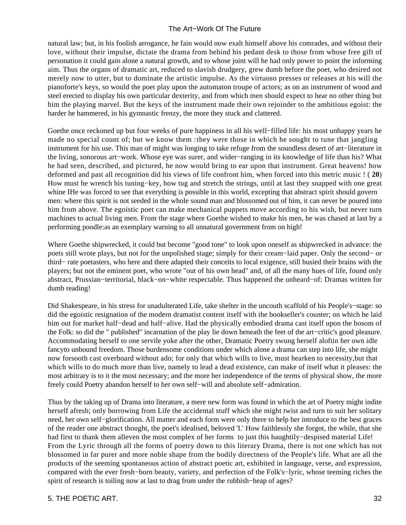natural law; but, in his foolish arrogance, he fain would now exalt himself above his comrades, and without their love, without their impulse, dictate the drama from behind his pedant desk to those from whose free gift of personation it could gain alone a natural growth, and to whose joint will he had only power to point the informing aim. Thus the organs of dramatic art, reduced to slavish drudgery, grew dumb before the poet, who desired not merely now to utter, but to dominate the artistic impulse. As the virtuoso presses or releases at his will the pianoforte's keys, so would the poet play upon the automaton troupe of actors; as on an instrument of wood and steel erected to display his own particular dexterity, and from which men should expect to hear no other thing but him the playing marvel. But the keys of the instrument made their own rejoinder to the ambitious egoist: the harder he hammered, in his gymnastic frenzy, the more they stuck and clattered.

Goethe once reckoned up but four weeks of pure happiness in all his well−filled life: his most unhappy years he made no special count of; but we know them : they were those in which he sought to tune that jangling instrument for his use. This man of might was longing to take refuge from the soundless desert of art−literature in the living, sonorous art−work. Whose eye was surer, and wider−ranging in its knowledge of life than his? What he had seen, described, and pictured, he now would bring to ear upon that instrument. Great heavens! how deformed and past all recognition did his views of life confront him, when forced into this metric music ! ( **20**) How must he wrench his tuning−key, how tug and stretch the strings, until at last they snapped with one great whine I He was forced to see that everything is possible in this world, excepting that abstract spirit should govern men: where this spirit is not seeded in the whole sound man and blossomed out of him, it can never be poured into him from above. The egoistic poet can make mechanical puppets move according to his wish, but never turn machines to actual living men. From the stage where Goethe wished to make his men, he was chased at last by a performing poodle: as an exemplary warning to all unnatural government from on high!

Where Goethe shipwrecked, it could but become "good tone" to look upon oneself as shipwrecked in advance: the poets still wrote plays, but not for the unpolished stage; simply for their cream−laid paper. Only the second− or third− rate poetasters, who here and there adapted their conceits to local exigence, still busied their brains with the players; but not the eminent poet, who wrote "out of his own head" and, of all the many hues of life, found only abstract, Prussian−territorial, black−on−white respectable. Thus happened the unheard−of: Dramas written for dumb reading!

Did Shakespeare, in his stress for unadulterated Life, take shelter in the uncouth scaffold of his People's−stage: so did the egoistic resignation of the modern dramatist content itself with the bookseller's counter; on which he laid him out for market half−dead and half−alive. Had the physically embodied drama cast itself upon the bosom of the Folk: so did the " published" incarnation of the play lie down beneath the feet of the art−critic's good pleasure. Accommodating herself to one servile yoke after the other, Dramatic Poetry swung herself aloft in her own idle fancy to unbound freedom. Those burdensome conditions under which alone a drama can step into life, she might now forsooth cast overboard without ado; for only that which wills to live, must hearken to necessity, but that which wills to do much more than live, namely to lead a dead existence, can make of itself what it pleases: the most arbitrary is to it the most necessary; and the more her independence of the terms of physical show, the more freely could Poetry abandon herself to her own self−will and absolute self−admiration.

Thus by the taking up of Drama into literature, a mere new form was found in which the art of Poetry might indite herself afresh; only borrowing from Life the accidental stuff which she might twist and turn to suit her solitary need, her own self−glorification. All matter and each form were only there to help her introduce to the best graces of the reader one abstract thought, the poet's idealised, beloved 'I.' How faithlessly she forgot, the while, that she had first to thank them all even the most complex of her forms to just this haughtily–despised material Life! From the Lyric through all the forms of poetry down to this literary Drama, there is not one which has not blossomed in far purer and more noble shape from the bodily directness of the People's life. What are all the products of the seeming spontaneous action of abstract poetic art, exhibited in language, verse, and expression, compared with the ever fresh−born beauty, variety, and perfection of the Folk's−lyric, whose teeming riches the spirit of research is toiling now at last to drag from under the rubbish−heap of ages?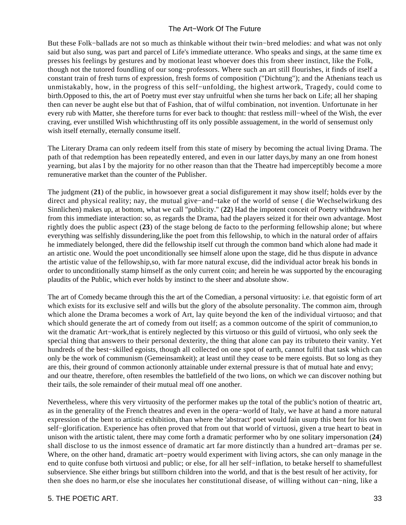But these Folk−ballads are not so much as thinkable without their twin−bred melodies: and what was not only said but also sung, was part and parcel of Life's immediate utterance. Who speaks and sings, at the same time ex presses his feelings by gestures and by motion at least whoever does this from sheer instinct, like the Folk, though not the tutored foundling of our song−professors. Where such an art still flourishes, it finds of itself a constant train of fresh turns of expression, fresh forms of composition ("Dichtung"); and the Athenians teach us unmistakably, how, in the progress of this self−unfolding, the highest artwork, Tragedy, could come to birth.Opposed to this, the art of Poetry must ever stay unfruitful when she turns her back on Life; all her shaping then can never be aught else but that of Fashion, that of wilful combination, not invention. Unfortunate in her every rub with Matter, she therefore turns for ever back to thought: that restless mill−wheel of the Wish, the ever craving, ever unstilled Wish which thrusting off its only possible assuagement, in the world of sense must only wish itself eternally, eternally consume itself.

The Literary Drama can only redeem itself from this state of misery by becoming the actual living Drama. The path of that redemption has been repeatedly entered, and even in our latter days, by many an one from honest yearning, but alas I by the majority for no other reason than that the Theatre had imperceptibly become a more remunerative market than the counter of the Publisher.

The judgment (**21**) of the public, in howsoever great a social disfigurement it may show itself; holds ever by the direct and physical reality; nay, the mutual give−and−take of the world of sense ( die Wechselwirkung des Sinnlichen) makes up, at bottom, what we call "publicity." (**22**) Had the impotent conceit of Poetry withdrawn her from this immediate interaction: so, as regards the Drama, had the players seized it for their own advantage. Most rightly does the public aspect (**23**) of the stage belong de facto to the performing fellowship alone; but where everything was selfishly dissundering, like the poet from this fellowship, to which in the natural order of affairs he immediately belonged, there did the fellowship itself cut through the common band which alone had made it an artistic one. Would the poet unconditionally see himself alone upon the stage, did he thus dispute in advance the artistic value of the fellowship, so, with far more natural excuse, did the individual actor break his bonds in order to unconditionally stamp himself as the only current coin; and herein he was supported by the encouraging plaudits of the Public, which ever holds by instinct to the sheer and absolute show.

The art of Comedy became through this the art of the Comedian, a personal virtuosity: i.e. that egoistic form of art which exists for its exclusive self and wills but the glory of the absolute personality. The common aim, through which alone the Drama becomes a work of Art, lay quite beyond the ken of the individual virtuoso; and that which should generate the art of comedy from out itself; as a common outcome of the spirit of communion, to wit the dramatic Art–work, that is entirely neglected by this virtuoso or this guild of virtuosi, who only seek the special thing that answers to their personal dexterity, the thing that alone can pay its tributeto their vanity. Yet hundreds of the best−skilled egoists, though all collected on one spot of earth, cannot fulfil that task which can only be the work of communism (Gemeinsamkeit); at least until they cease to be mere egoists. But so long as they are this, their ground of common actiononly attainable under external pressure is that of mutual hate and envy; and our theatre, therefore, often resembles the battlefield of the two lions, on which we can discover nothing but their tails, the sole remainder of their mutual meal off one another.

Nevertheless, where this very virtuosity of the performer makes up the total of the public's notion of theatric art, as in the generality of the French theatres and even in the opera−world of Italy, we have at hand a more natural expression of the bent to artistic exhibition, than where the 'abstract' poet would fain usurp this bent for his own self−glorification. Experience has often proved that from out that world of virtuosi, given a true heart to beat in unison with the artistic talent, there may come forth a dramatic performer who by one solitary impersonation (**24**) shall disclose to us the inmost essence of dramatic art far more distinctly than a hundred art−dramas per se. Where, on the other hand, dramatic art−poetry would experiment with living actors, she can only manage in the end to quite confuse both virtuosi and public; or else, for all her self−inflation, to betake herself to shamefullest subservience. She either brings but stillborn children into the world, and that is the best result of her activity, for then she does no harm, or else she inoculates her constitutional disease, of willing without can−ning, like a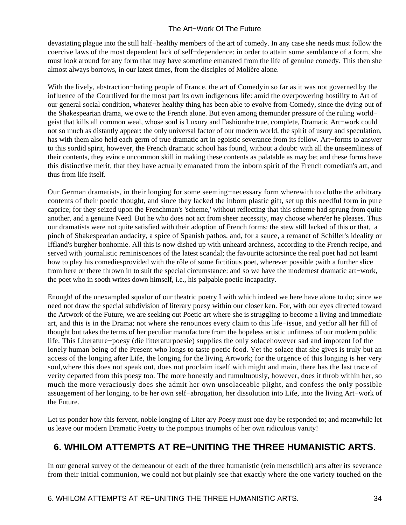devastating plague into the still half−healthy members of the art of comedy. In any case she needs must follow the coercive laws of the most dependent lack of self−dependence: in order to attain some semblance of a form, she must look around for any form that may have sometime emanated from the life of genuine comedy. This then she almost always borrows, in our latest times, from the disciples of Molière alone.

With the lively, abstraction−hating people of France, the art of Comedyin so far as it was not governed by the influence of the Court lived for the most part its own indigenous life: amid the overpowering hostility to Art of our general social condition, whatever healthy thing has been able to evolve from Comedy, since the dying out of the Shakespearian drama, we owe to the French alone. But even among themunder pressure of the ruling world− geist that kills all common weal, whose soul is Luxury and Fashionthe true, complete, Dramatic Art−work could not so much as distantly appear: the only universal factor of our modern world, the spirit of usury and speculation, has with them also held each germ of true dramatic art in egoistic severance from its fellow. Art−forms to answer to this sordid spirit, however, the French dramatic school has found, without a doubt: with all the unseemliness of their contents, they evince uncommon skill in making these contents as palatable as may be; and these forms have this distinctive merit, that they have actually emanated from the inborn spirit of the French comedian's art, and thus from life itself.

Our German dramatists, in their longing for some seeming−necessary form wherewith to clothe the arbitrary contents of their poetic thought, and since they lacked the inborn plastic gift, set up this needful form in pure caprice; for they seized upon the Frenchman's 'scheme,' without reflecting that this scheme had sprung from quite another, and a genuine Need. But he who does not act from sheer necessity, may choose where'er he pleases. Thus our dramatists were not quite satisfied with their adoption of French forms: the stew still lacked of this or that, a pinch of Shakespearian audacity, a spice of Spanish pathos, and, for a sauce, a remanet of Schiller's ideality or Iffland's burgher bonhomie. All this is now dished up with unheard archness, according to the French recipe, and served with journalistic reminiscences of the latest scandal; the favourite actor since the real poet had not learnt how to play his comedies provided with the rôle of some fictitious poet, wherever possible ; with a further slice from here or there thrown in to suit the special circumstance: and so we have the modernest dramatic art−work, the poet who in sooth writes down himself, i.e., his palpable poetic incapacity.

Enough! of the unexampled squalor of our theatric poetry I with which indeed we here have alone to do; since we need not draw the special subdivision of literary poesy within our closer ken. For, with our eyes directed toward the Artwork of the Future, we are seeking out Poetic art where she is struggling to become a living and immediate art, and this is in the Drama; not where she renounces every claim to this life−issue, and yetfor all her fill of thought but takes the terms of her peculiar manufacture from the hopeless artistic unfitness of our modern public life. This Literature−poesy (die litteraturpoesie) supplies the only solacehowever sad and impotent Iof the lonely human being of the Present who longs to taste poetic food. Yet the solace that she gives is truly but an access of the longing after Life, the longing for the living Artwork; for the urgence of this longing is her very soul, where this does not speak out, does not proclaim itself with might and main, there has the last trace of verity departed from this poesy too. The more honestly and tumultuously, however, does it throb within her, so much the more veraciously does she admit her own unsolaceable plight, and confess the only possible assuagement of her longing, to be her own self−abrogation, her dissolution into Life, into the living Art−work of the Future.

Let us ponder how this fervent, noble longing of Liter ary Poesy must one day be responded to; and meanwhile let us leave our modern Dramatic Poetry to the pompous triumphs of her own ridiculous vanity!

### **6. WHILOM ATTEMPTS AT RE−UNITING THE THREE HUMANISTIC ARTS.**

<span id="page-35-0"></span>In our general survey of the demeanour of each of the three humanistic (rein menschlich) arts after its severance from their initial communion, we could not but plainly see that exactly where the one variety touched on the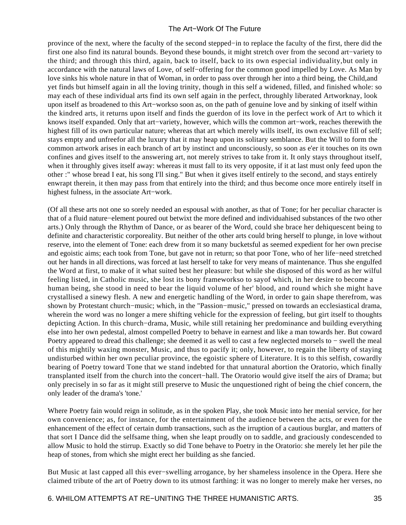province of the next, where the faculty of the second stepped−in to replace the faculty of the first, there did the first one also find its natural bounds. Beyond these bounds, it might stretch over from the second art−variety to the third; and through this third, again, back to itself, back to its own especial individuality, but only in accordance with the natural laws of Love, of self−offering for the common good impelled by Love. As Man by love sinks his whole nature in that of Woman, in order to pass over through her into a third being, the Child, and yet finds but himself again in all the loving trinity, though in this self a widened, filled, and finished whole: so may each of these individual arts find its own self again in the perfect, throughly liberated Artworknay, look upon itself as broadened to this Art−workso soon as, on the path of genuine love and by sinking of itself within the kindred arts, it returns upon itself and finds the guerdon of its love in the perfect work of Art to which it knows itself expanded. Only that art−variety, however, which wills the common art−work, reaches therewith the highest fill of its own particular nature; whereas that art which merely wills itself, its own exclusive fill of self; stays empty and unfree for all the luxury that it may heap upon its solitary semblance. But the Will to form the common artwork arises in each branch of art by instinct and unconsciously, so soon as e'er it touches on its own confines and gives itself to the answering art, not merely strives to take from it. It only stays throughout itself, when it throughly gives itself away: whereas it must fall to its very opposite, if it at last must only feed upon the other :" whose bread I eat, his song I'll sing." But when it gives itself entirely to the second, and stays entirely enwrapt therein, it then may pass from that entirely into the third; and thus become once more entirely itself in highest fulness, in the associate Art−work.

(Of all these arts not one so sorely needed an espousal with another, as that of Tone; for her peculiar character is that of a fluid nature−element poured out betwixt the more defined and individuahised substances of the two other arts.) Only through the Rhythm of Dance, or as bearer of the Word, could she brace her dehiquescent being to definite and characteristic corporeality. But neither of the other arts could bring herself to plunge, in love without reserve, into the element of Tone: each drew from it so many bucketsful as seemed expedient for her own precise and egoistic aims; each took from Tone, but gave not in return; so that poor Tone, who of her life−need stretched out her hands in all directions, was forced at last herself to take for very means of maintenance. Thus she engulfed the Word at first, to make of it what suited best her pleasure: but while she disposed of this word as her wilful feeling listed, in Catholic music, she lost its bony frameworkso to sayof which, in her desire to become a human being, she stood in need to bear the liquid volume of her' blood, and round which she might have crystallised a sinewy flesh. A new and energetic handling of the Word, in order to gain shape therefrom, was shown by Protestant church−music; which, in the "Passion−music," pressed on towards an ecclesiastical drama, wherein the word was no longer a mere shifting vehicle for the expression of feeling, but girt itself to thoughts depicting Action. In this church−drama, Music, while still retaining her predominance and building everything else into her own pedestal, almost compelled Poetry to behave in earnest and like a man towards her. But coward Poetry appeared to dread this challenge; she deemed it as well to cast a few neglected morsels to − swell the meal of this mightily waxing monster, Music, and thus to pacify it; only, however, to regain the liberty of staying undisturbed within her own peculiar province, the egoistic sphere of Literature. It is to this selfish, cowardly bearing of Poetry toward Tone that we stand indebted for that unnatural abortion the Oratorio, which finally transplanted itself from the church into the concert−hall. The Oratorio would give itself the airs of Drama; but only precisely in so far as it might still preserve to Music the unquestioned right of being the chief concern, the only leader of the drama's 'tone.'

Where Poetry fain would reign in solitude, as in the spoken Play, she took Music into her menial service, for her own convenience; as, for instance, for the entertainment of the audience between the acts, or even for the enhancement of the effect of certain dumb transactions, such as the irruption of a cautious burglar, and matters of that sort I Dance did the selfsame thing, when she leapt proudly on to saddle, and graciously condescended to allow Music to hold the stirrup. Exactly so did Tone behave to Poetry in the Oratorio: she merely let her pile the heap of stones, from which she might erect her building as she fancied.

But Music at last capped all this ever−swelling arrogance, by her shameless insolence in the Opera. Here she claimed tribute of the art of Poetry down to its utmost farthing: it was no longer to merely make her verses, no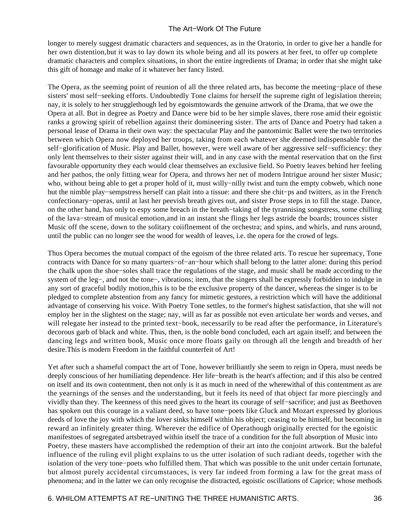longer to merely suggest dramatic characters and sequences, as in the Oratorio, in order to give her a handle for her own distention, but it was to lay down its whole being and all its powers at her feet, to offer up complete dramatic characters and complex situations, in short the entire ingredients of Drama; in order that she might take this gift of homage and make of it whatever her fancy listed.

The Opera, as the seeming point of reunion of all the three related arts, has become the meeting−place of these sisters' most self−seeking efforts. Undoubtedly Tone claims for herself the supreme right of legislation therein; nay, it is solely to her struggle though led by egoism towards the genuine artwork of the Drama, that we owe the Opera at all. But in degree as Poetry and Dance were bid to be her simple slaves, there rose amid their egoistic ranks a growing spirit of rebellion against their domineering sister. The arts of Dance and Poetry had taken a personal lease of Drama in their own way: the spectacular Play and the pantomimic Ballet were the two territories between which Opera now deployed her troops, taking from each whatever she deemed indispensable for the self−glorification of Music. Play and Ballet, however, were well aware of her aggressive self−sufficiency: they only lent themselves to their sister against their will, and in any case with the mental reservation that on the first favourable opportunity they each would clear themselves an exclusive field. So Poetry leaves behind her feeling and her pathos, the only fitting wear for Opera, and throws her net of modern Intrigue around her sister Music; who, without being able to get a proper hold of it, must willy−nilly twist and turn the empty cobweb, which none but the nimble play−sempstress herself can plait into a tissue: and there she chit−ps and twitters, as in the French confectionary−operas, until at last her peevish breath gives out, and sister Prose steps in to fill the stage. Dance, on the other hand, has only to espy some breach in the breath−taking of the tyrannising songstress, some chilling of the lava−stream of musical emotion,and in an instant she flings her legs astride the boards; trounces sister Music off the scene, down to the solitary coiiflnement of the orchestra; and spins, and whirls, and runs around, until the public can no longer see the wood for wealth of leaves, i.e. the opera for the crowd of legs.

Thus Opera becomes the mutual compact of the egoism of the three related arts. To rescue her supremacy, Tone contracts with Dance for so many quarters−of−an−hour which shall belong to the latter alone: during this period the chalk upon the shoe−soles shall trace the regulations of the stage, and music shall be made according to the system of the leg−, and not the tone−, vibrations; item, that the singers shall be expressly forbidden to indulge in any sort of graceful bodily motion, this is to be the exclusive property of the dancer, whereas the singer is to be pledged to complete abstention from any fancy for mimetic gestures, a restriction which will have the additional advantage of conserving his voice. With Poetry Tone settles, to the former's highest satisfaction, that she will not employ her in the slightest on the stage; nay, will as far as possible not even articulate her words and verses, and will relegate her instead to the printed text−book, necessarily to be read after the performance, in Literature's decorous garb of black and white. Thus, then, is the noble bond concluded, each art again itself; and between the dancing legs and written book, Music once more floats gaily on through all the length and breadth of her desire.This is modern Freedom in the faithful counterfeit of Art!

Yet after such a shameful compact the art of Tone, however brilliantly she seem to reign in Opera, must needs be deeply conscious of her humiliating dependence. Her life−breath is the heart's affection; and if this also be centred on itself and its own contentment, then not only is it as much in need of the wherewithal of this contentment as are the yearnings of the senses and the understanding, but it feels its need of that object far more piercingly and vividly than they. The keenness of this need gives to the heart its courage of self−sacrifice; and just as Beethoven has spoken out this courage in a valiant deed, so have tone−poets like Gluck and Mozart expressed by glorious deeds of love the joy with which the lover sinks himself within his object; ceasing to be himself, but becoming in reward an infinitely greater thing. Wherever the edifice of Opera though originally erected for the egoistic manifestoes of segregated arts betrayed within itself the trace of a condition for the full absorption of Music into Poetry, these masters have accomplished the redemption of their art into the conjoint artwork. But the baleful influence of the ruling evil plight explains to us the utter isolation of such radiant deeds, together with the isolation of the very tone−poets who fulfilled them. That which was possible to the unit under certain fortunate, but almost purely accidental circumstances, is very far indeed from forming a law for the great mass of phenomena; and in the latter we can only recognise the distracted, egoistic oscillations of Caprice; whose methods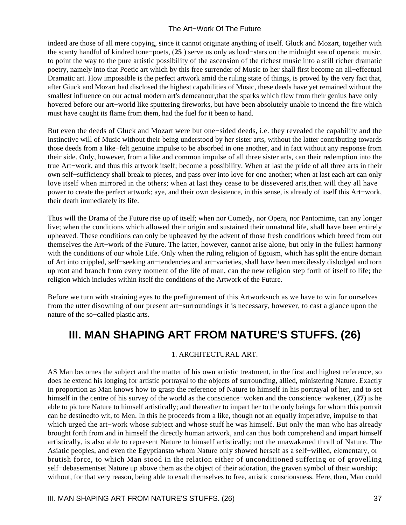indeed are those of all mere copying, since it cannot originate anything of itself. Gluck and Mozart, together with the scanty handful of kindred tone−poets, (**25** ) serve us only as load−stars on the midnight sea of operatic music, to point the way to the pure artistic possibility of the ascension of the richest music into a still richer dramatic poetry, namely into that Poetic art which by this free surrender of Music to her shall first become an all−effectual Dramatic art. How impossible is the perfect artwork amid the ruling state of things, is proved by the very fact that, after Giuck and Mozart had disclosed the highest capabilities of Music, these deeds have yet remained without the smallest influence on our actual modern art's demeanour, that the sparks which flew from their genius have only hovered before our art−world like sputtering fireworks, but have been absolutely unable to incend the fire which must have caught its flame from them, had the fuel for it been to hand.

But even the deeds of Gluck and Mozart were but one−sided deeds, i.e. they revealed the capability and the instinctive will of Music without their being understood by her sister arts, without the latter contributing towards those deeds from a like−felt genuine impulse to be absorbed in one another, and in fact without any response from their side. Only, however, from a like and common impulse of all three sister arts, can their redemption into the true Art−work, and thus this artwork itself; become a possibility. When at last the pride of all three arts in their own self−sufficiency shall break to pieces, and pass over into love for one another; when at last each art can only love itself when mirrored in the others; when at last they cease to be dissevered arts, then will they all have power to create the perfect artwork; aye, and their own desistence, in this sense, is already of itself this Art−work, their death immediately its life.

Thus will the Drama of the Future rise up of itself; when nor Comedy, nor Opera, nor Pantomime, can any longer live; when the conditions which allowed their origin and sustained their unnatural life, shall have been entirely upheaved. These conditions can only be upheaved by the advent of those fresh conditions which breed from out themselves the Art−work of the Future. The latter, however, cannot arise alone, but only in the fullest harmony with the conditions of our whole Life. Only when the ruling religion of Egoism, which has split the entire domain of Art into crippled, self−seeking art−tendencies and art−varieties, shall have been mercilessly dislodged and torn up root and branch from every moment of the life of man, can the new religion step forth of itself to life; the religion which includes within itself the conditions of the Artwork of the Future.

<span id="page-38-0"></span>Before we turn with straining eyes to the prefigurement of this Artwork such as we have to win for ourselves from the utter disowning of our present art−surroundings it is necessary, however, to cast a glance upon the nature of the so−called plastic arts.

## **III. MAN SHAPING ART FROM NATURE'S STUFFS. (26)**

#### 1. ARCHITECTURAL ART.

AS Man becomes the subject and the matter of his own artistic treatment, in the first and highest reference, so does he extend his longing for artistic portrayal to the objects of surrounding, allied, ministering Nature. Exactly in proportion as Man knows how to grasp the reference of Nature to himself in his portrayal of her, and to set himself in the centre of his survey of the world as the conscience−woken and the conscience−wakener, (**27**) is he able to picture Nature to himself artistically; and thereafter to impart her to the only beings for whom this portrait can be destined to wit, to Men. In this he proceeds from a like, though not an equally imperative, impulse to that which urged the art−work whose subject and whose stuff he was himself. But only the man who has already brought forth from and in himself the directly human artwork, and can thus both comprehend and impart himself artistically, is also able to represent Nature to himself artistically; not the unawakened thrall of Nature. The Asiatic peoples, and even the Egyptians to whom Nature only showed herself as a self–willed, elementary, or brutish force, to which Man stood in the relation either of unconditioned suffering or of grovelling self–debasement set Nature up above them as the object of their adoration, the graven symbol of their worship; without, for that very reason, being able to exalt themselves to free, artistic consciousness. Here, then, Man could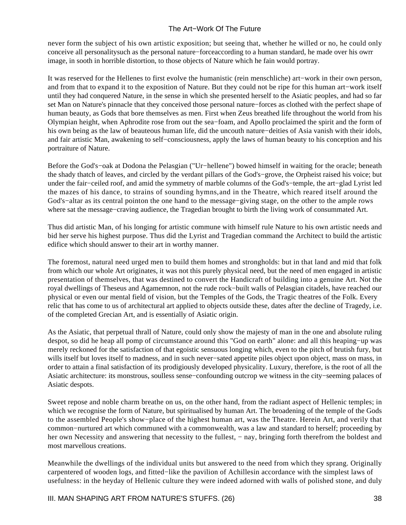never form the subject of his own artistic exposition; but seeing that, whether he willed or no, he could only conceive all personality such as the personal nature–force according to a human standard, he made over his owrr image, in sooth in horrible distortion, to those objects of Nature which he fain would portray.

It was reserved for the Hellenes to first evolve the humanistic (rein menschliche) art−work in their own person, and from that to expand it to the exposition of Nature. But they could not be ripe for this human art−work itself until they had conquered Nature, in the sense in which she presented herself to the Asiatic peoples, and had so far set Man on Nature's pinnacle that they conceived those personal nature−forces as clothed with the perfect shape of human beauty, as Gods that bore themselves as men. First when Zeus breathed life throughout the world from his Olympian height, when Aphrodite rose from out the sea−foam, and Apollo proclaimed the spirit and the form of his own being as the law of beauteous human life, did the uncouth nature−deities of Asia vanish with their idols, and fair artistic Man, awakening to self−consciousness, apply the laws of human beauty to his conception and his portraiture of Nature.

Before the God's−oak at Dodona the Pelasgian ("Ur−hellene") bowed himself in waiting for the oracle; beneath the shady thatch of leaves, and circled by the verdant pillars of the God's−grove, the Orpheist raised his voice; but under the fair−ceiled roof, and amid the symmetry of marble columns of the God's−temple, the art−glad Lyrist led the mazes of his dance, to strains of sounding hymns, and in the Theatre, which reared itself around the God's−altar as its central point on the one hand to the message−giving stage, on the other to the ample rows where sat the message−craving audience, the Tragedian brought to birth the living work of consummated Art.

Thus did artistic Man, of his longing for artistic commune with himself rule Nature to his own artistic needs and bid her serve his highest purpose. Thus did the Lyrist and Tragedian command the Architect to build the artistic edifice which should answer to their art in worthy manner.

The foremost, natural need urged men to build them homes and strongholds: but in that land and mid that folk from which our whole Art originates, it was not this purely physical need, but the need of men engaged in artistic presentation of themselves, that was destined to convert the Handicraft of building into a genuine Art. Not the royal dwellings of Theseus and Agamemnon, not the rude rock−built walls of Pelasgian citadels, have reached our physical or even our mental field of vision, but the Temples of the Gods, the Tragic theatres of the Folk. Every relic that has come to us of architectural art applied to objects outside these, dates after the decline of Tragedy, i.e. of the completed Grecian Art, and is essentially of Asiatic origin.

As the Asiatic, that perpetual thrall of Nature, could only show the majesty of man in the one and absolute ruling despot, so did he heap all pomp of circumstance around this "God on earth" alone: and all this heaping−up was merely reckoned for the satisfaction of that egoistic sensuous longing which, even to the pitch of brutish fury, but wills itself but loves itself to madness, and in such never−sated appetite piles object upon object, mass on mass, in order to attain a final satisfaction of its prodigiously developed physicality. Luxury, therefore, is the root of all the Asiatic architecture: its monstrous, soulless sense−confounding outcrop we witness in the city−seeming palaces of Asiatic despots.

Sweet repose and noble charm breathe on us, on the other hand, from the radiant aspect of Hellenic temples; in which we recognise the form of Nature, but spiritualised by human Art. The broadening of the temple of the Gods to the assembled People's show−place of the highest human art, was the Theatre. Herein Art, and verily that common−nurtured art which communed with a commonwealth, was a law and standard to herself; proceeding by her own Necessity and answering that necessity to the fullest, – nay, bringing forth therefrom the boldest and most marvellous creations.

Meanwhile the dwellings of the individual units but answered to the need from which they sprang. Originally carpentered of wooden logs, and fitted−like the pavilion of Achillesin accordance with the simplest laws of usefulness: in the heyday of Hellenic culture they were indeed adorned with walls of polished stone, and duly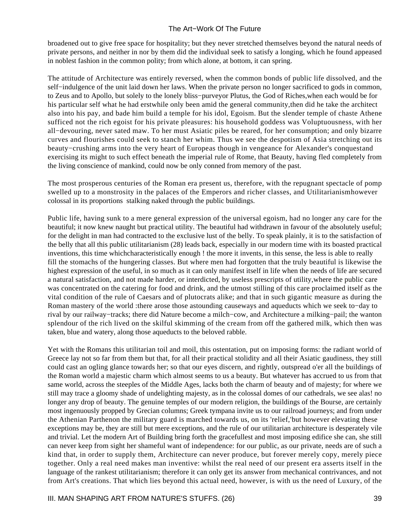broadened out to give free space for hospitality; but they never stretched themselves beyond the natural needs of private persons, and neither in nor by them did the individual seek to satisfy a longing, which he found appeased in noblest fashion in the common polity; from which alone, at bottom, it can spring.

The attitude of Architecture was entirely reversed, when the common bonds of public life dissolved, and the self−indulgence of the unit laid down her laws. When the private person no longer sacrificed to gods in common, to Zeus and to Apollo, but solely to the lonely bliss–purveyor Plutus, the God of Riches, when each would be for his particular self what he had erstwhile only been amid the general community, then did he take the architect also into his pay, and bade him build a temple for his idol, Egoism. But the slender temple of chaste Athene sufficed not the rich egoist for his private pleasures: his household goddess was Voluptuousness, with her all−devouring, never sated maw. To her must Asiatic piles be reared, for her consumption; and only bizarre curves and flourishes could seek to stanch her whim. Thus we see the despotism of Asia stretching out its beauty–crushing arms into the very heart of Europe as though in vengeance for Alexander's conquest and exercising its might to such effect beneath the imperial rule of Rome, that Beauty, having fled completely from the living conscience of mankind, could now be only conned from memory of the past.

The most prosperous centuries of the Roman era present us, therefore, with the repugnant spectacle of pomp swelled up to a monstrosity in the palaces of the Emperors and richer classes, and Utilitarianism however colossal in its proportions stalking naked through the public buildings.

Public life, having sunk to a mere general expression of the universal egoism, had no longer any care for the beautiful; it now knew naught but practical utility. The beautiful had withdrawn in favour of the absolutely useful; for the delight in man had contracted to the exclusive lust of the belly. To speak plainly, it is to the satisfaction of the belly that all this public utilitarianism (28) leads back, especially in our modern time with its boasted practical inventions, this time which characteristically enough ! the more it invents, in this sense, the less is able to really fill the stomachs of the hungering classes. But where men had forgotten that the truly beautiful is likewise the highest expression of the useful, in so much as it can only manifest itself in life when the needs of life are secured a natural satisfaction, and not made harder, or interdicted, by useless prescripts of utility, where the public care was concentrated on the catering for food and drink, and the utmost stilling of this care proclaimed itself as the vital condition of the rule of Caesars and of plutocrats alike; and that in such gigantic measure as during the Roman mastery of the world : there arose those astounding causeways and aqueducts which we seek to-day to rival by our railway−tracks; there did Nature become a milch−cow, and Architecture a milking−pail; the wanton splendour of the rich lived on the skilful skimming of the cream from off the gathered milk, which then was taken, blue and watery, along those aqueducts to the beloved rabble.

Yet with the Romans this utilitarian toil and moil, this ostentation, put on imposing forms: the radiant world of Greece lay not so far from them but that, for all their practical stolidity and all their Asiatic gaudiness, they still could cast an ogling glance towards her; so that our eyes discern, and rightly, outspread o'er all the buildings of the Roman world a majestic charm which almost seems to us a beauty. But whatever has accrued to us from that same world, across the steeples of the Middle Ages, lacks both the charm of beauty and of majesty; for where we still may trace a gloomy shade of undelighting majesty, as in the colossal domes of our cathedrals, we see alas! no longer any drop of beauty. The genuine temples of our modern religion, the buildings of the Bourse, are certainly most ingenuously propped by Grecian columns; Greek tympana invite us to our railroad journeys; and from under the Athenian Parthenon the military guard is marched towards us, on its 'relief,'but however elevating these exceptions may be, they are still but mere exceptions, and the rule of our utilitarian architecture is desperately vile and trivial. Let the modern Art of Building bring forth the gracefullest and most imposing edifice she can, she still can never keep from sight her shameful want of independence: for our public, as our private, needs are of such a kind that, in order to supply them, Architecture can never produce, but forever merely copy, merely piece together. Only a real need makes man inventive: whilst the real need of our present era asserts itself in the language of the rankest utilitarianism; therefore it can only get its answer from mechanical contrivances, and not from Art's creations. That which lies beyond this actual need, however, is with us the need of Luxury, of the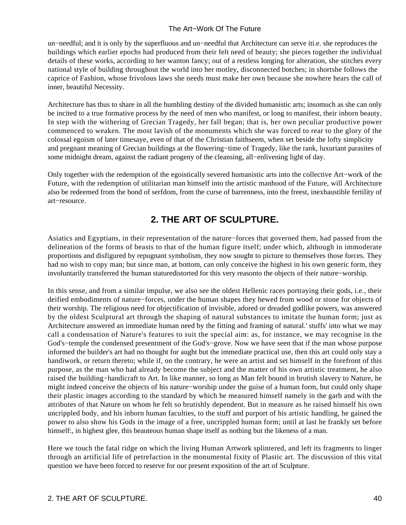un−needful; and it is only by the superfluous and un−needful that Architecture can serve iti.e. she reproduces the buildings which earlier epochs had produced from their felt need of beauty; she pieces together the individual details of these works, according to her wanton fancy; out of a restless longing for alteration, she stitches every national style of building throughout the world into her motley, disconnected botches; in short she follows the caprice of Fashion, whose frivolous laws she needs must make her own because she nowhere hears the call of inner, beautiful Necessity.

Architecture has thus to share in all the humbling destiny of the divided humanistic arts; insomuch as she can only be incited to a true formative process by the need of men who manifest, or long to manifest, their inborn beauty. In step with the withering of Grecian Tragedy, her fall began; that is, her own peculiar productive power commenced to weaken. The most lavish of the monuments which she was forced to rear to the glory of the colossal egoism of later times aye, even of that of the Christian faith seem, when set beside the lofty simplicity and pregnant meaning of Grecian buildings at the flowering−time of Tragedy, like the rank, luxuriant parasites of some midnight dream, against the radiant progeny of the cleansing, all−enlivening light of day.

Only together with the redemption of the egoistically severed humanistic arts into the collective Art−work of the Future, with the redemption of utilitarian man himself into the artistic manhood of the Future, will Architecture also be redeemed from the bond of serfdom, from the curse of barrenness, into the freest, inexhaustible fertility of art−resource.

### **2. THE ART OF SCULPTURE.**

<span id="page-41-0"></span>Asiatics and Egyptians, in their representation of the nature−forces that governed them, had passed from the delineation of the forms of beasts to that of the human figure itself; under which, although in immoderate proportions and disfigured by repugnant symbolism, they now sought to picture to themselves those forces. They had no wish to copy man; but since man, at bottom, can only conceive the highest in his own generic form, they involuntarily transferred the human stature distorted for this very reason to the objects of their nature–worship.

In this sense, and from a similar impulse, we also see the oldest Hellenic races portraying their gods, i.e., their deified embodiments of nature−forces, under the human shapes they hewed from wood or stone for objects of their worship. The religious need for objectification of invisible, adored or dreaded godlike powers, was answered by the oldest Sculptural art through the shaping of natural substances to imitate the human form; just as Architecture answered an immediate human need by the fitting and framing of natural.' stuffs' into what we may call a condensation of Nature's features to suit the special aim: as, for instance, we may recognise in the God's−temple the condensed presentment of the God's−grove. Now we have seen that if the man whose purpose informed the builder's art had no thought for aught but the immediate practical use, then this art could only stay a handiwork, or return thereto; while if, on the contrary, he were an artist and set himself in the forefront of this purpose, as the man who had already become the subject and the matter of his own artistic treatment, he also raised the building−handicraft to Art. In like manner, so long as Man felt bound in brutish slavery to Nature, he might indeed conceive the objects of his nature−worship under the guise of a human form, but could only shape their plastic images according to the standard by which he measured himself namely in the garb and with the attributes of that Nature on whom he felt so brutishly dependent. But in measure as he raised himself his own uncrippled body, and his inborn human faculties, to the stuff and purport of his artistic handling, he gained the power to also show his Gods in the image of a free, uncrippled human form; until at last he frankly set before himself:, in highest glee, this beauteous human shape itself as nothing but the likeness of a man.

Here we touch the fatal ridge on which the living Human Artwork splintered, and left its fragments to linger through an artificial life of petrefaction in the monumental fixity of Plastic art. The discussion of this vital question we have been forced to reserve for our present exposition of the art of Sculpture.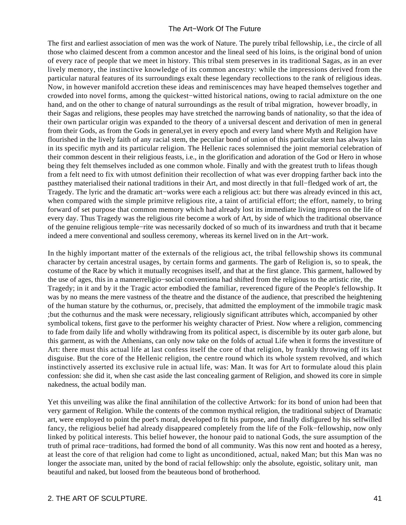The first and earliest association of men was the work of Nature. The purely tribal fellowship, i.e., the circle of all those who claimed descent from a common ancestor and the lineal seed of his loins, is the original bond of union of every race of people that we meet in history. This tribal stem preserves in its traditional Sagas, as in an ever lively memory, the instinctive knowledge of its common ancestry: while the impressions derived from the particular natural features of its surroundings exalt these legendary recollections to the rank of religious ideas. Now, in however manifold accretion these ideas and reminiscences may have heaped themselves together and crowded into novel forms, among the quickest−witted historical nations, owing to racial admixture on the one hand, and on the other to change of natural surroundings as the result of tribal migration, however broadly, in their Sagas and religions, these peoples may have stretched the narrowing bands of nationality, so that the idea of their own particular origin was expanded to the theory of a universal descent and derivation of men in general from their Gods, as from the Gods in general, yet in every epoch and every land where Myth and Religion have flourished in the lively faith of any racial stem, the peculiar bond of union of this particular stem has always lain in its specific myth and its particular religion. The Hellenic races solemnised the joint memorial celebration of their common descent in their religious feasts, i.e., in the glorification and adoration of the God or Hero in whose being they felt themselves included as one common whole. Finally and with the greatest truth to life as though from a felt need to fix with utmost definition their recollection of what was ever dropping farther back into the pastthey materialised their national traditions in their Art, and most directly in that full−fledged work of art, the Tragedy. The lyric and the dramatic art−works were each a religious act: but there was already evinced in this act, when compared with the simple primitve religious rite, a taint of artificial effort; the effort, namely, to bring forward of set purpose that common memory which had already lost its immediate living impress on the life of every day. Thus Tragedy was the religious rite become a work of Art, by side of which the traditional observance of the genuine religious temple−rite was necessarily docked of so much of its inwardness and truth that it became indeed a mere conventional and soulless ceremony, whereas its kernel lived on in the Art−work.

In the highly important matter of the externals of the religious act, the tribal fellowship shows its communal character by certain ancestral usages, by certain forms and garments. The garb of Religion is, so to speak, the costume of the Race by which it mutually recognises itself, and that at the first glance. This garment, hallowed by the use of ages, this in a manner religio–social conventiona had shifted from the religious to the artistic rite, the Tragedy; in it and by it the Tragic actor embodied the familiar, reverenced figure of the People's fellowship. It was by no means the mere vastness of the theatre and the distance of the audience, that prescribed the heightening of the human stature by the cothurnus, or, precisely, that admitted the employment of the immobile tragic mask ;but the cothurnus and the mask were necessary, religiously significant attributes which, accompanied by other symbolical tokens, first gave to the performer his weighty character of Priest. Now where a religion, commencing to fade from daily life and wholly withdrawing from its political aspect, is discernible by its outer garb alone, but this garment, as with the Athenians, can only now take on the folds of actual Life when it forms the investiture of Art: there must this actual life at last confess itself the core of that religion, by frankly throwing off its last disguise. But the core of the Hellenic religion, the centre round which its whole system revolved, and which instinctively asserted its exclusive rule in actual life, was: Man. It was for Art to formulate aloud this plain confession: she did it, when she cast aside the last concealing garment of Religion, and showed its core in simple nakedness, the actual bodily man.

Yet this unveiling was alike the final annihilation of the collective Artwork: for its bond of union had been that very garment of Religion. While the contents of the common mythical religion, the traditional subject of Dramatic art, were employed to point the poet's moral, developed to fit his purpose, and finally disfigured by his selfwilled fancy, the religious belief had already disappeared completely from the life of the Folk−fellowship, now only linked by political interests. This belief however, the honour paid to national Gods, the sure assumption of the truth of primal race−traditions, had formed the bond of all community. Was this now rent and hooted as a heresy, at least the core of that religion had come to light as unconditioned, actual, naked Man; but this Man was no longer the associate man, united by the bond of racial fellowship: only the absolute, egoistic, solitary unit, man beautiful and naked, but loosed from the beauteous bond of brotherhood.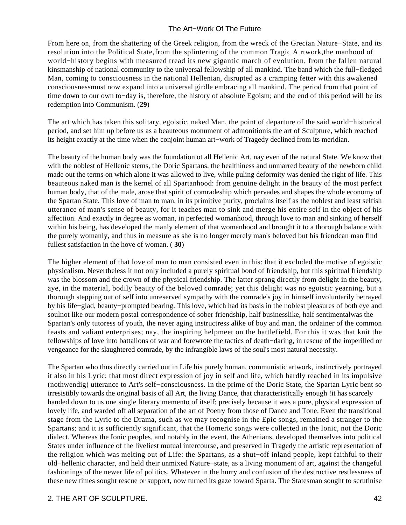From here on, from the shattering of the Greek religion, from the wreck of the Grecian Nature−State, and its resolution into the Political State, from the splintering of the common Tragic A rtwork, the manhood of world−history begins with measured tread its new gigantic march of evolution, from the fallen natural kinsmanship of national community to the universal fellowship of all mankind. The band which the full−fledged Man, coming to consciousness in the national Hellenian, disrupted as a cramping fetter with this awakened consciousnessmust now expand into a universal girdle embracing all mankind. The period from that point of time down to our own to−day is, therefore, the history of absolute Egoism; and the end of this period will be its redemption into Communism. (**29**)

The art which has taken this solitary, egoistic, naked Man, the point of departure of the said world−historical period, and set him up before us as a beauteous monument of admonition is the art of Sculpture, which reached its height exactly at the time when the conjoint human art−work of Tragedy declined from its meridian.

The beauty of the human body was the foundation ot all Hellenic Art, nay even of the natural State. We know that with the noblest of Hellenic stems, the Doric Spartans, the healthiness and unmarred beauty of the newborn child made out the terms on which alone it was allowed to live, while puling deformity was denied the right of life. This beauteous naked man is the kernel of all Spartanhood: from genuine delight in the beauty of the most perfect human body, that of the male, arose that spirit of comradeship which pervades and shapes the whole economy of the Spartan State. This love of man to man, in its primitive purity, proclaims itself as the noblest and least selfish utterance of man's sense of beauty, for it teaches man to sink and merge his entire self in the object of his affection. And exactly in degree as woman, in perfected womanhood, through love to man and sinking of herself within his being, has developed the manly element of that womanhood and brought it to a thorough balance with the purely womanly, and thus in measure as she is no longer merely man's beloved but his friend can man find fullest satisfaction in the hove of woman. ( **30**)

The higher element of that love of man to man consisted even in this: that it excluded the motive of egoistic physicalism. Nevertheless it not only included a purely spiritual bond of friendship, but this spiritual friendship was the blossom and the crown of the physical friendship. The latter sprang directly from delight in the beauty, aye, in the material, bodily beauty of the beloved comrade; yet this delight was no egoistic yearning, but a thorough stepping out of self into unreserved sympathy with the comrade's joy in himself involuntarily betrayed by his life−glad, beauty−prompted bearing. This love, which had its basis in the noblest pleasures of both eye and soul not like our modern postal correspondence of sober friendship, half businesslike, half sentimental was the Spartan's only tutoress of youth, the never aging instructress alike of boy and man, the ordainer of the common feasts and valiant enterprises; nay, the inspiring helpmeet on the battlefield. For this it was that knit the fellowships of love into battalions of war and forewrote the tactics of death−daring, in rescue of the imperilled or vengeance for the slaughtered comrade, by the infrangible laws of the soul's most natural necessity.

The Spartan who thus directly carried out in Life his purely human, communistic artwork, instinctively portrayed it also in his Lyric; that most direct expression of joy in self and life, which hardly reached in its impulsive (nothwendig) utterance to Art's self−consciousness. In the prime of the Doric State, the Spartan Lyric bent so irresistibly towards the original basis of all Art, the living Dance, that characteristically enough ! it has scarcely handed down to us one single literary memento of itself; precisely because it was a pure, physical expression of lovely life, and warded off all separation of the art of Poetry from those of Dance and Tone. Even the transitional stage from the Lyric to the Drama, such as we may recognise in the Epic songs, remained a stranger to the Spartans; and it is sufficiently significant, that the Homeric songs were collected in the Ionic, not the Doric dialect. Whereas the Ionic peoples, and notably in the event, the Athenians, developed themselves into political States under influence of the liveliest mutual intercourse, and preserved in Tragedy the artistic representation of the religion which was melting out of Life: the Spartans, as a shut−off inland people, kept faithful to their old−hellenic character, and held their unmixed Nature−state, as a living monument of art, against the changeful fashionings of the newer life of politics. Whatever in the hurry and confusion of the destructive restlessness of these new times sought rescue or support, now turned its gaze toward Sparta. The Statesman sought to scrutinise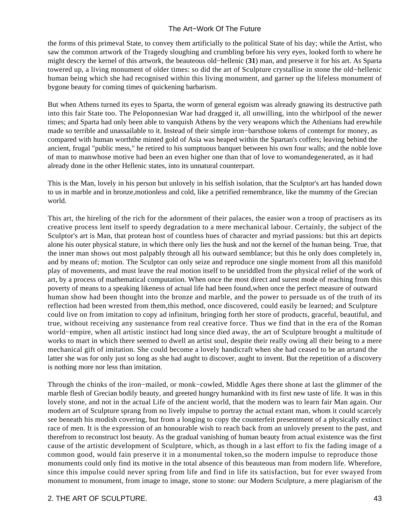the forms of this primeval State, to convey them artificially to the political State of his day; while the Artist, who saw the common artwork of the Tragedy sloughing and crumbling before his very eyes, looked forth to where he might descry the kernel of this artwork, the beauteous old−hellenic (**31**) man, and preserve it for his art. As Sparta towered up, a living monument of older times: so did the art of Sculpture crystallise in stone the old−hellenic human being which she had recognised within this living monument, and garner up the lifeless monument of bygone beauty for coming times of quickening barbarism.

But when Athens turned its eyes to Sparta, the worm of general egoism was already gnawing its destructive path into this fair State too. The Peloponnesian War had dragged it, all unwilling, into the whirlpool of the newer times; and Sparta had only been able to vanquish Athens by the very weapons which the Athenians had erewhile made so terrible and unassailable to it. Instead of their simple iron−barsthose tokens of contempt for money, as compared with human worth the minted gold of Asia was heaped within the Spartan's coffers; leaving behind the ancient, frugal "public mess," he retired to his sumptuous banquet between his own four walls; and the noble love of man to manwhose motive had been an even higher one than that of love to womandegenerated, as it had already done in the other Hellenic states, into its unnatural counterpart.

This is the Man, lovely in his person but unlovely in his selfish isolation, that the Sculptor's art has handed down to us in marble and in bronze, motionless and cold, like a petrified remembrance, like the mummy of the Grecian world.

This art, the hireling of the rich for the adornment of their palaces, the easier won a troop of practisers as its creative process lent itself to speedy degradation to a mere mechanical labour. Certainly, the subject of the Sculptor's art is Man, that protean host of countless hues of character and myriad passions: but this art depicts alone his outer physical stature, in which there only lies the husk and not the kernel of the human being. True, that the inner man shows out most palpably through all his outward semblance; but this he only does completely in, and by means of; motion. The Sculptor can only seize and reproduce one single moment from all this manifold play of movements, and must leave the real motion itself to be unriddled from the physical relief of the work of art, by a process of mathematical computation. When once the most direct and surest mode of reaching from this poverty of means to a speaking likeness of actual life had been found,when once the perfect measure of outward human show had been thought into the bronze and marble, and the power to persuade us of the truth of its reflection had been wrested from them, this method, once discovered, could easily be learned; and Sculpture could live on from imitation to copy ad infinitum, bringing forth her store of products, graceful, beautiful, and true, without receiving any sustenance from real creative force. Thus we find that in the era of the Roman world−empire, when all artistic instinct had long since died away, the art of Sculpture brought a multitude of works to mart in which there seemed to dwell an artist soul, despite their really owing all their being to a mere mechanical gift of imitation. She could become a lovely handicraft when she had ceased to be an artand the latter she was for only just so long as she had aught to discover, aught to invent. But the repetition of a discovery is nothing more nor less than imitation.

Through the chinks of the iron−mailed, or monk−cowled, Middle Ages there shone at last the glimmer of the marble flesh of Grecian bodily beauty, and greeted hungry humankind with its first new taste of life. It was in this lovely stone, and not in the actual Life of the ancient world, that the modern was to learn fair Man again. Our modern art of Sculpture sprang from no lively impulse to portray the actual extant man, whom it could scarcely see beneath his modish covering, but from a longing to copy the counterfeit presentment of a physically extinct race of men. It is the expression of an honourable wish to reach back from an unlovely present to the past, and therefrom to reconstruct lost beauty. As the gradual vanishing of human beauty from actual existence was the first cause of the artistic development of Sculpture, which, as though in a last effort to fix the fading image of a common good, would fain preserve it in a monumental token, so the modern impulse to reproduce those monuments could only find its motive in the total absence of this beauteous man from modern life. Wherefore, since this impulse could never spring from life and find in life its satisfaction, but for ever swayed from monument to monument, from image to image, stone to stone: our Modern Sculpture, a mere plagiarism of the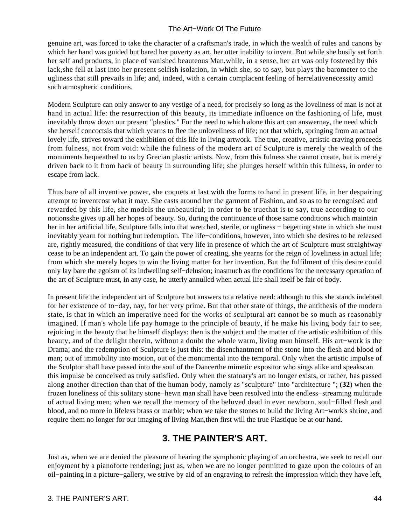genuine art, was forced to take the character of a craftsman's trade, in which the wealth of rules and canons by which her hand was guided but bared her poverty as art, her utter inability to invent. But while she busily set forth her self and products, in place of vanished beauteous Man, while, in a sense, her art was only fostered by this lack, she fell at last into her present selfish isolation, in which she, so to say, but plays the barometer to the ugliness that still prevails in life; and, indeed, with a certain complacent feeling of her relative necessity amid such atmospheric conditions.

Modern Sculpture can only answer to any vestige of a need, for precisely so long as the loveliness of man is not at hand in actual life: the resurrection of this beauty, its immediate influence on the fashioning of life, must inevitably throw down our present "plastics." For the need to which alone this art can answer nay, the need which she herself concoctsis that which yearns to flee the unloveliness of life; not that which, springing from an actual lovely life, strives toward the exhibition of this life in living artwork. The true, creative, artistic craving proceeds from fulness, not from void: while the fulness of the modern art of Sculpture is merely the wealth of the monuments bequeathed to us by Grecian plastic artists. Now, from this fulness she cannot create, but is merely driven back to it from hack of beauty in surrounding life; she plunges herself within this fulness, in order to escape from lack.

Thus bare of all inventive power, she coquets at last with the forms to hand in present life, in her despairing attempt to invent cost what it may. She casts around her the garment of Fashion, and so as to be recognised and rewarded by this life, she models the unbeautiful; in order to be true that is to say, true according to our notions she gives up all her hopes of beauty. So, during the continuance of those same conditions which maintain her in her artificial life, Sculpture falls into that wretched, sterile, or ugliness − begetting state in which she must inevitably yearn for nothing but redemption. The life−conditions, however, into which she desires to be released are, rightly measured, the conditions of that very life in presence of which the art of Sculpture must straightway cease to be an independent art. To gain the power of creating, she yearns for the reign of loveliness in actual life; from which she merely hopes to win the living matter for her invention. But the fulfilment of this desire could only lay bare the egoism of its indwelling self−delusion; inasmuch as the conditions for the necessary operation of the art of Sculpture must, in any case, he utterly annulled when actual life shall itself be fair of body.

In present life the independent art of Sculpture but answers to a relative need: although to this she stands indebted for her existence of to−day, nay, for her very prime. But that other state of things, the antithesis of the modern state, is that in which an imperative need for the works of sculptural art cannot be so much as reasonably imagined. If man's whole life pay homage to the principle of beauty, if he make his living body fair to see, rejoicing in the beauty that he himself displays: then is the subject and the matter of the artistic exhibition of this beauty, and of the delight therein, without a doubt the whole warm, living man himself. His art−work is the Drama; and the redemption of Sculpture is just this: the disenchantment of the stone into the flesh and blood of man; out of immobility into motion, out of the monumental into the temporal. Only when the artistic impulse of the Sculptor shall have passed into the soul of the Dancer the mimetic expositor who sings alike and speaks can this impulse be conceived as truly satisfied. Only when the statuary's art no longer exists, or rather, has passed along another direction than that of the human body, namely as "sculpture" into "architecture "; (**32**) when the frozen loneliness of this solitary stone−hewn man shall have been resolved into the endless−streaming multitude of actual living men; when we recall the memory of the beloved dead in ever newborn, soul−filled flesh and blood, and no more in lifeless brass or marble; when we take the stones to build the living Art−work's shrine, and require them no longer for our imaging of living Man, then first will the true Plastique be at our hand.

### **3. THE PAINTER'S ART.**

<span id="page-45-0"></span>Just as, when we are denied the pleasure of hearing the symphonic playing of an orchestra, we seek to recall our enjoyment by a pianoforte rendering; just as, when we are no longer permitted to gaze upon the colours of an oil−painting in a picture−gallery, we strive by aid of an engraving to refresh the impression which they have left,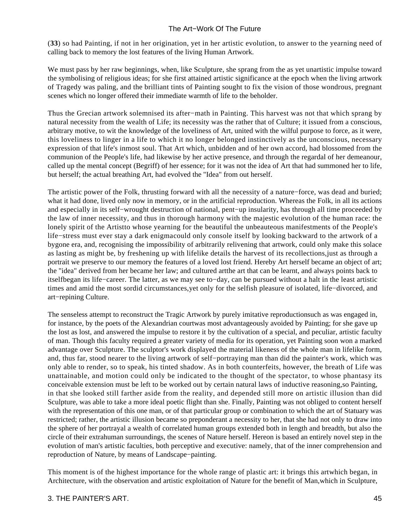(**33**) so had Painting, if not in her origination, yet in her artistic evolution, to answer to the yearning need of calling back to memory the lost features of the living Human Artwork.

We must pass by her raw beginnings, when, like Sculpture, she sprang from the as yet unartistic impulse toward the symbolising of religious ideas; for she first attained artistic significance at the epoch when the living artwork of Tragedy was paling, and the brilliant tints of Painting sought to fix the vision of those wondrous, pregnant scenes which no longer offered their immediate warmth of life to the beholder.

Thus the Grecian artwork solemnised its after−math in Painting. This harvest was not that which sprang by natural necessity from the wealth of Life; its necessity was the rather that of Culture; it issued from a conscious, arbitrary motive, to wit the knowledge of the loveliness of Art, united with the wilful purpose to force, as it were, this loveliness to linger in a life to which it no longer belonged instinctively as the unconscious, necessary expression of that life's inmost soul. That Art which, unbidden and of her own accord, had blossomed from the communion of the People's life, had likewise by her active presence, and through the regardal of her demeanour, called up the mental concept (Begriff) of her essence; for it was not the idea of Art that had summoned her to life, but herself; the actual breathing Art, had evolved the "Idea" from out herself.

The artistic power of the Folk, thrusting forward with all the necessity of a nature−force, was dead and buried; what it had done, lived only now in memory, or in the artificial reproduction. Whereas the Folk, in all its actions and especially in its self−wrought destruction of national, pent−up insularity, has through all time proceeded by the law of inner necessity, and thus in thorough harmony with the majestic evolution of the human race: the lonely spirit of the Artist to whose yearning for the beautiful the unbeauteous manifestments of the People's life−stress must ever stay a dark enigmacould only console itself by looking backward to the artwork of a bygone era, and, recognising the impossibility of arbitrarily relivening that artwork, could only make this solace as lasting as might be, by freshening up with lifelike details the harvest of its recollections, just as through a portrait we preserve to our memory the features of a loved lost friend. Hereby Art herself became an object of art; the "idea" derived from her became her law; and cultured art the art that can be learnt, and always points back to itself began its life−career. The latter, as we may see to−day, can be pursued without a halt in the least artistic times and amid the most sordid circumstances, yet only for the selfish pleasure of isolated, life–divorced, and art−repining Culture.

The senseless attempt to reconstruct the Tragic Artwork by purely imitative reproductionsuch as was engaged in, for instance, by the poets of the Alexandrian court was most advantageously avoided by Painting; for she gave up the lost as lost, and answered the impulse to restore it by the cultivation of a special, and peculiar, artistic faculty of man. Though this faculty required a greater variety of media for its operation, yet Painting soon won a marked advantage over Sculpture. The sculptor's work displayed the material likeness of the whole man in lifelike form, and, thus far, stood nearer to the living artwork of self−portraying man than did the painter's work, which was only able to render, so to speak, his tinted shadow. As in both counterfeits, however, the breath of Life was unattainable, and motion could only be indicated to the thought of the spectator, to whose phantasy its conceivable extension must be left to be worked out by certain natural laws of inductive reasoning, so Painting, in that she looked still farther aside from the reality, and depended still more on artistic illusion than did Sculpture, was able to take a more ideal poetic flight than she. Finally, Painting was not obliged to content herself with the representation of this one man, or of that particular group or combination to which the art of Statuary was restricted; rather, the artistic illusion became so preponderant a necessity to her, that she had not only to draw into the sphere of her portrayal a wealth of correlated human groups extended both in length and breadth, but also the circle of their extrahuman surroundings, the scenes of Nature herself. Hereon is based an entirely novel step in the evolution of man's artistic faculties, both perceptive and executive: namely, that of the inner comprehension and reproduction of Nature, by means of Landscape−painting.

This moment is of the highest importance for the whole range of plastic art: it brings this artwhich began, in Architecture, with the observation and artistic exploitation of Nature for the benefit of Man, which in Sculpture,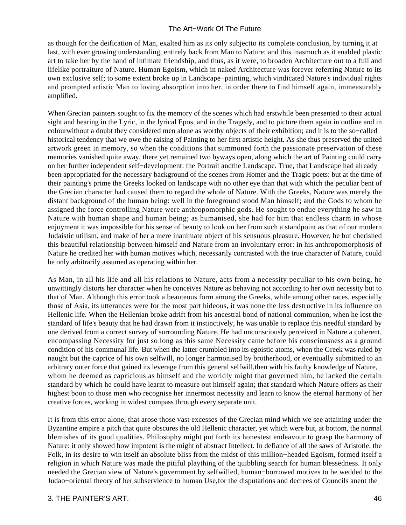as though for the deification of Man, exalted him as its only subject to its complete conclusion, by turning it at last, with ever growing understanding, entirely back from Man to Nature; and this inasmuch as it enabled plastic art to take her by the hand of intimate friendship, and thus, as it were, to broaden Architecture out to a full and lifelike portraiture of Nature. Human Egoism, which in naked Architecture was forever referring Nature to its own exclusive self; to some extent broke up in Landscape−painting, which vindicated Nature's individual rights and prompted artistic Man to loving absorption into her, in order there to find himself again, immeasurably amplified.

When Grecian painters sought to fix the memory of the scenes which had erstwhile been presented to their actual sight and hearing in the Lyric, in the lyrical Epos, and in the Tragedy, and to picture them again in outline and in colour without a doubt they considered men alone as worthy objects of their exhibition; and it is to the so-called historical tendency that we owe the raising of Painting to her first artistic height. As she thus preserved the united artwork green in memory, so when the conditions that summoned forth the passionate preservation of these memories vanished quite away, there yet remained two byways open, along which the art of Painting could carry on her further independent self−development: the Portrait andthe Landscape. True, that Landscape had already been appropriated for the necessary background of the scenes from Homer and the Tragic poets: but at the time of their painting's prime the Greeks looked on landscape with no other eye than that with which the peculiar bent of the Grecian character had caused them to regard the whole of Nature. With the Greeks, Nature was merely the distant background of the human being: well in the foreground stood Man himself; and the Gods to whom he assigned the force controlling Nature were anthropomorphic gods. He sought to endue everything he saw in Nature with human shape and human being; as humanised, she had for him that endless charm in whose enjoyment it was impossible for his sense of beauty to look on her from such a standpoint as that of our modern Judaistic utilism, and make of her a mere inanimate object of his sensuous pleasure. However, he but cherished this beautiful relationship between himself and Nature from an involuntary error: in his anthropomorphosis of Nature he credited her with human motives which, necessarily contrasted with the true character of Nature, could be only arbitrarily assumed as operating within her.

As Man, in all his life and all his relations to Nature, acts from a necessity peculiar to his own being, he unwittingly distorts her character when he conceives Nature as behaving not according to her own necessity but to that of Man. Although this error took a beauteous form among the Greeks, while among other races, especially those of Asia, its utterances were for the most part hideous, it was none the less destructive in its influence on Hellenic life. When the Hellenian broke adrift from his ancestral bond of national communion, when he lost the standard of life's beauty that he had drawn from it instinctively, he was unable to replace this needful standard by one derived from a correct survey of surrounding Nature. He had unconsciously perceived in Nature a coherent, encompassing Necessity for just so long as this same Necessity came before his consciousness as a ground condition of his communal life. But when the latter crumbled into its egoistic atoms, when the Greek was ruled by naught but the caprice of his own selfwill, no longer harmonised by brotherhood, or eventually submitted to an arbitrary outer force that gained its leverage from this general selfwill, then with his faulty knowledge of Nature, whom he deemed as capricious as himself and the worldly might that governed him, he lacked the certain standard by which he could have learnt to measure out himself again; that standard which Nature offers as their highest boon to those men who recognise her innermost necessity and learn to know the eternal harmony of her creative forces, working in widest compass through every separate unit.

It is from this error alone, that arose those vast excesses of the Grecian mind which we see attaining under the Byzantine empire a pitch that quite obscures the old Hellenic character, yet which were but, at bottom, the normal blemishes of its good qualities. Philosophy might put forth its honestest endeavour to grasp the harmony of Nature: it only showed how impotent is the might of abstract Intellect. In defiance of all the saws of Aristotle, the Folk, in its desire to win itself an absolute bliss from the midst of this million−headed Egoism, formed itself a religion in which Nature was made the pitiful plaything of the quibbling search for human blessedness. It only needed the Grecian view of Nature's government by selfwilled, human−borrowed motives to be wedded to the Judao–oriental theory of her subservience to human Use, for the disputations and decrees of Councils anent the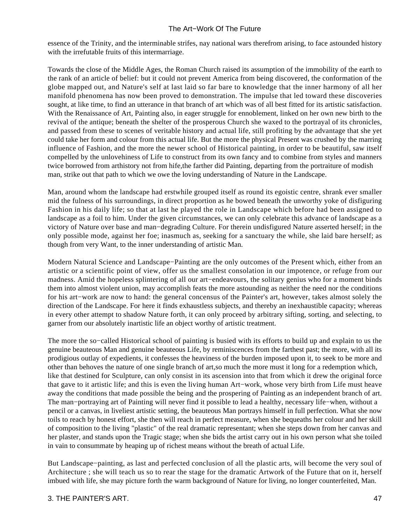essence of the Trinity, and the interminable strifes, nay national wars therefrom arising, to face astounded history with the irrefutable fruits of this intermarriage.

Towards the close of the Middle Ages, the Roman Church raised its assumption of the immobility of the earth to the rank of an article of belief: but it could not prevent America from being discovered, the conformation of the globe mapped out, and Nature's self at last laid so far bare to knowledge that the inner harmony of all her manifold phenomena has now been proved to demonstration. The impulse that led toward these discoveries sought, at like time, to find an utterance in that branch of art which was of all best fitted for its artistic satisfaction. With the Renaissance of Art, Painting also, in eager struggle for ennoblement, linked on her own new birth to the revival of the antique; beneath the shelter of the prosperous Church she waxed to the portrayal of its chronicles, and passed from these to scenes of veritable history and actual life, still profiting by the advantage that she yet could take her form and colour from this actual life. But the more the physical Present was crushed by the marring influence of Fashion, and the more the newer school of Historical painting, in order to be beautiful, saw itself compelled by the unlovehiness of Life to construct from its own fancy and to combine from styles and manners twice borrowed from arthistory not from hife, the farther did Painting, departing from the portraiture of modish man, strike out that path to which we owe the loving understanding of Nature in the Landscape.

Man, around whom the landscape had erstwhile grouped itself as round its egoistic centre, shrank ever smaller mid the fulness of his surroundings, in direct proportion as he bowed beneath the unworthy yoke of disfiguring Fashion in his daily life; so that at last he played the role in Landscape which before had been assigned to landscape as a foil to him. Under the given circumstances, we can only celebrate this advance of landscape as a victory of Nature over base and man−degrading Culture. For therein undisfigured Nature asserted herself; in the only possible mode, against her foe; inasmuch as, seeking for a sanctuary the while, she laid bare herself; as though from very Want, to the inner understanding of artistic Man.

Modern Natural Science and Landscape−Painting are the only outcomes of the Present which, either from an artistic or a scientific point of view, offer us the smallest consolation in our impotence, or refuge from our madness. Amid the hopeless splintering of all our art−endeavours, the solitary genius who for a moment binds them into almost violent union, may accomplish feats the more astounding as neither the need nor the conditions for his art−work are now to hand: the general concensus of the Painter's art, however, takes almost solely the direction of the Landscape. For here it finds exhaustless subjects, and thereby an inexhaustible capacity; whereas in every other attempt to shadow Nature forth, it can only proceed by arbitrary sifting, sorting, and selecting, to garner from our absolutely inartistic life an object worthy of artistic treatment.

The more the so−called Historical school of painting is busied with its efforts to build up and explain to us the genuine beauteous Man and genuine beauteous Life, by reminiscences from the farthest past; the more, with all its prodigious outlay of expedients, it confesses the heaviness of the burden imposed upon it, to seek to be more and other than behoves the nature of one single branch of art, so much the more must it long for a redemption which, like that destined for Sculpture, can only consist in its ascension into that from which it drew the original force that gave to it artistic life; and this is even the living human Art−work, whose very birth from Life must heave away the conditions that made possible the being and the prospering of Painting as an independent branch of art. The man−portraying art of Painting will never find it possible to lead a healthy, necessary life−when, without a pencil or a canvas, in liveliest artistic setting, the beauteous Man portrays himself in full perfection. What she now toils to reach by honest effort, she then will reach in perfect measure, when she bequeaths her colour and her skill of composition to the living "plastic" of the real dramatic representant; when she steps down from her canvas and her plaster, and stands upon the Tragic stage; when she bids the artist carry out in his own person what she toiled in vain to consummate by heaping up of richest means without the breath of actual Life.

But Landscape−painting, as last and perfected conclusion of all the plastic arts, will become the very soul of Architecture ; she will teach us so to rear the stage for the dramatic Artwork of the Future that on it, herself imbued with life, she may picture forth the warm background of Nature for living, no longer counterfeited, Man.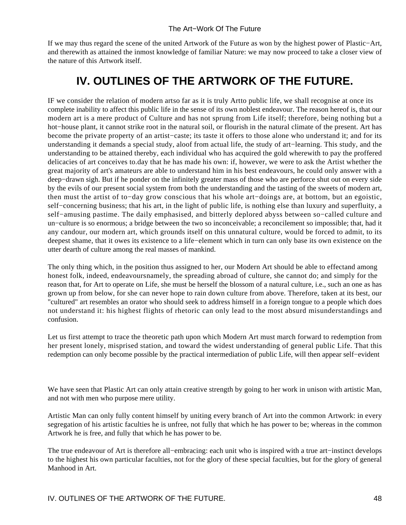If we may thus regard the scene of the united Artwork of the Future as won by the highest power of Plastic−Art, and therewith as attained the inmost knowledge of familiar Nature: we may now proceed to take a closer view of the nature of this Artwork itself.

# **IV. OUTLINES OF THE ARTWORK OF THE FUTURE.**

<span id="page-49-0"></span>IF we consider the relation of modern art so far as it is truly Art to public life, we shall recognise at once its complete inability to affect this public life in the sense of its own noblest endeavour. The reason hereof is, that our modern art is a mere product of Culture and has not sprung from Life itself; therefore, being nothing but a hot−house plant, it cannot strike root in the natural soil, or flourish in the natural climate of the present. Art has become the private property of an artist−caste; its taste it offers to those alone who understand it; and for its understanding it demands a special study, aloof from actual life, the study of art−learning. This study, and the understanding to be attained thereby, each individual who has acquired the gold wherewith to pay the proffered delicacies of art conceives to.day that he has made his own: if, however, we were to ask the Artist whether the great majority of art's amateurs are able to understand him in his best endeavours, he could only answer with a deep−drawn sigh. But if he ponder on the infinitely greater mass of those who are perforce shut out on every side by the evils of our present social system from both the understanding and the tasting of the sweets of modern art, then must the artist of to−day grow conscious that his whole art−doings are, at bottom, but an egoistic, self−concerning business; that his art, in the light of public life, is nothing else than luxury and superfluity, a self−amusing pastime. The daily emphasised, and bitterly deplored abyss between so−called culture and un−culture is so enormous; a bridge between the two so inconceivable; a reconcilement so impossible; that, had it any candour, our modern art, which grounds itself on this unnatural culture, would be forced to admit, to its deepest shame, that it owes its existence to a life−element which in turn can only base its own existence on the utter dearth of culture among the real masses of mankind.

The only thing which, in the position thus assigned to her, our Modern Art should be able to effect and among honest folk, indeed, endeavours namely, the spreading abroad of culture, she cannot do; and simply for the reason that, for Art to operate on Life, she must be herself the blossom of a natural culture, i.e., such an one as has grown up from below, for she can never hope to rain down culture from above. Therefore, taken at its best, our "cultured" art resembles an orator who should seek to address himself in a foreign tongue to a people which does not understand it: his highest flights of rhetoric can only lead to the most absurd misunderstandings and confusion.

Let us first attempt to trace the theoretic path upon which Modern Art must march forward to redemption from her present lonely, misprised station, and toward the widest understanding of general public Life. That this redemption can only become possible by the practical intermediation of public Life, will then appear self−evident

We have seen that Plastic Art can only attain creative strength by going to her work in unison with artistic Man, and not with men who purpose mere utility.

Artistic Man can only fully content himself by uniting every branch of Art into the common Artwork: in every segregation of his artistic faculties he is unfree, not fully that which he has power to be; whereas in the common Artwork he is free, and fully that which he has power to be.

The true endeavour of Art is therefore all−embracing: each unit who is inspired with a true art−instinct develops to the highest his own particular faculties, not for the glory of these special faculties, but for the glory of general Manhood in Art.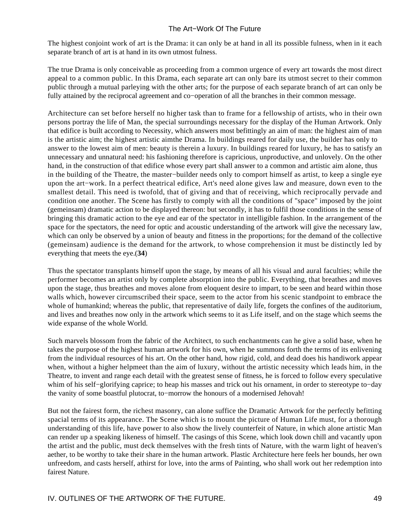The highest conjoint work of art is the Drama: it can only be at hand in all its possible fulness, when in it each separate branch of art is at hand in its own utmost fulness.

The true Drama is only conceivable as proceeding from a common urgence of every art towards the most direct appeal to a common public. In this Drama, each separate art can only bare its utmost secret to their common public through a mutual parleying with the other arts; for the purpose of each separate branch of art can only be fully attained by the reciprocal agreement and co−operation of all the branches in their common message.

Architecture can set before herself no higher task than to frame for a fellowship of artists, who in their own persons portray the life of Man, the special surroundings necessary for the display of the Human Artwork. Only that edifice is built according to Necessity, which answers most befittingly an aim of man: the highest aim of man is the artistic aim; the highest artistic aim the Drama. In buildings reared for daily use, the builder has only to answer to the lowest aim of men: beauty is therein a luxury. In buildings reared for luxury, he has to satisfy an unnecessary and unnatural need: his fashioning therefore is capricious, unproductive, and unlovely. On the other hand, in the construction of that edifice whose every part shall answer to a common and artistic aim alone, thus in the building of the Theatre, the master−builder needs only to comport himself as artist, to keep a single eye upon the art−work. In a perfect theatrical edifice, Art's need alone gives law and measure, down even to the smallest detail. This need is twofold, that of giving and that of receiving, which reciprocally pervade and condition one another. The Scene has firstly to comply with all the conditions of "space" imposed by the joint (gemeinsam) dramatic action to be displayed thereon: but secondly, it has to fulfil those conditions in the sense of bringing this dramatic action to the eye and ear of the spectator in intelligible fashion. In the arrangement of the space for the spectators, the need for optic and acoustic understanding of the artwork will give the necessary law, which can only be observed by a union of beauty and fitness in the proportions; for the demand of the collective (gemeinsam) audience is the demand for the artwork, to whose comprehension it must be distinctly led by everything that meets the eye.(**34**)

Thus the spectator transplants himself upon the stage, by means of all his visual and aural faculties; while the performer becomes an artist only by complete absorption into the public. Everything, that breathes and moves upon the stage, thus breathes and moves alone from eloquent desire to impart, to be seen and heard within those walls which, however circumscribed their space, seem to the actor from his scenic standpoint to embrace the whole of humankind; whereas the public, that representative of daily life, forgets the confines of the auditorium, and lives and breathes now only in the artwork which seems to it as Life itself, and on the stage which seems the wide expanse of the whole World.

Such marvels blossom from the fabric of the Architect, to such enchantments can he give a solid base, when he takes the purpose of the highest human artwork for his own, when he summons forth the terms of its enlivening from the individual resources of his art. On the other hand, how rigid, cold, and dead does his handiwork appear when, without a higher helpmeet than the aim of luxury, without the artistic necessity which leads him, in the Theatre, to invent and range each detail with the greatest sense of fitness, he is forced to follow every speculative whim of his self−glorifying caprice; to heap his masses and trick out his ornament, in order to stereotype to−day the vanity of some boastful plutocrat, to−morrow the honours of a modernised Jehovah!

But not the fairest form, the richest masonry, can alone suffice the Dramatic Artwork for the perfectly befitting spacial terms of its appearance. The Scene which is to mount the picture of Human Life must, for a thorough understanding of this life, have power to also show the lively counterfeit of Nature, in which alone artistic Man can render up a speaking likeness of himself. The casings of this Scene, which look down chill and vacantly upon the artist and the public, must deck themselves with the fresh tints of Nature, with the warm light of heaven's aether, to be worthy to take their share in the human artwork. Plastic Architecture here feels her bounds, her own unfreedom, and casts herself, athirst for love, into the arms of Painting, who shall work out her redemption into fairest Nature.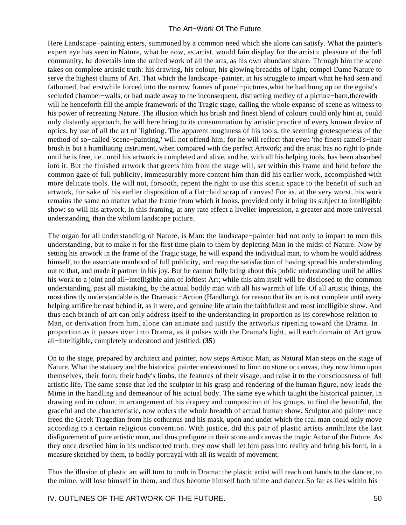Here Landscape−painting enters, summoned by a common need which she alone can satisfy. What the painter's expert eye has seen in Nature, what he now, as artist, would fain display for the artistic pleasure of the full community, he dovetails into the united work of all the arts, as his own abundant share. Through him the scene takes on complete artistic truth: his drawing, his colour, his glowing breadths of light, compel Dame Nature to serve the highest claims of Art. That which the landscape−painter, in his struggle to impart what he had seen and fathomed, had erstwhile forced into the narrow frames of panel−pictures,whät he had hung up on the egoist's secluded chamber–walls, or had made away to the inconsequent, distracting medley of a picture–barn, therewith will he henceforth fill the ample framework of the Tragic stage, calling the whole expanse of scene as witness to his power of recreating Nature. The illusion which his brush and finest blend of colours could only hint at, could only distantly approach, he will here bring to its consummation by artistic practice of every known device of optics, by use of all the art of 'lighting. The apparent roughness of his tools, the seeming grotesqueness of the method of so−called 'scene−painting,' will not offend him; for he will reflect that even 'the finest camel's−hair brush is but a humiliating instrument, when compared with the perfect Artwork; and the artist has no right to pride until he is free, i.e., until his artwork is completed and alive, and he, with all his helping tools, has been absorbed into it. But the finished artwork that greets him from the stage will, set within this frame and held before the common gaze of full publicity, immeasurably more content him than did his earlier work, accomplished with more delicate tools. He will not, forsooth, repent the right to use this scenic space to the benefit of such an artwork, for sake of his earlier disposition of a flat−laid scrap of canvas! For as, at the very worst, his work remains the same no matter what the frame from which it looks, provided only it bring its subject to intelligible show: so will his artwork, in this framing, at any rate effect a livelier impression, a greater and more universal understanding, than the whilom landscape picture.

The organ for all understanding of Nature, is Man: the landscape−painter had not only to impart to men this understanding, but to make it for the first time plain to them by depicting Man in the midst of Nature. Now by setting his artwork in the frame of the Tragic stage, he will expand the individual man, to whom he would address himself, to the associate manhood of full publicity, and reap the satisfaction of having spread his understanding out to that, and made it partner in his joy. But he cannot fully bring about this public understanding until he allies his work to a joint and all−intelligible aim of loftiest Art; while this aim itself will be disclosed to the common understanding, past all mistaking, by the actual bodily man with all his warmth of life. Of all artistic things, the most directly understandable is the Dramatic−Action (Handlung), for reason that its art is not complete until every helping artifice be cast behind it, as it were, and genuine life attain the faithfullest and most intelligible show. And thus each branch of art can only address itself to the understanding in proportion as its corewhose relation to Man, or derivation from him, alone can animate and justify the artwork is ripening toward the Drama. In proportion as it passes over into Drama, as it pulses with the Drama's light, will each domain of Art grow all−intelligible, completely understood and justified. (**35**)

On to the stage, prepared by architect and painter, now steps Artistic Man, as Natural Man steps on the stage of Nature. What the statuary and the historical painter endeavoured to limn on stone or canvas, they now himn upon themselves, their form, their body's limbs, the features of their visage, and raise it to the consciousness of full artistic life. The same sense that led the sculptor in his grasp and rendering of the human figure, now leads the Mime in the handling and demeanour of his actual body. The same eye which taught the historical painter, in drawing and in colour, in arrangement of his drapery and composition of his groups, to find the beautiful, the graceful and the characteristic, now orders the whole breadth of actual human show. Sculptor and painter once freed the Greek Tragedian from his cothurnus and his mask, upon and under which the real man could only move according to a certain religious convention. With justice, did this pair of plastic artists annihilate the last disfigurement of pure artistic man, and thus prefigure in their stone and canvas the tragic Actor of the Future. As they once descried him in his undistorted truth, they now shall let him pass into reality and bring his form, in a measure sketched by them, to bodily portrayal with all its wealth of movement.

Thus the illusion of plastic art will turn to truth in Drama: the plastic artist will reach out hands to the dancer, to the mime, will lose himself in them, and thus become himself both mime and dancer.So far as lies within his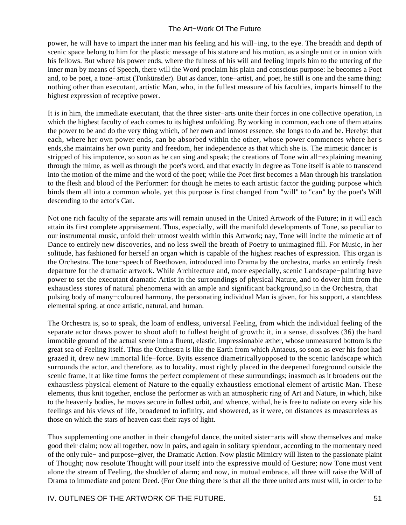power, he will have to impart the inner man his feeling and his will−ing, to the eye. The breadth and depth of scenic space belong to him for the plastic message of his stature and his motion, as a single unit or in union with his fellows. But where his power ends, where the fulness of his will and feeling impels him to the uttering of the inner man by means of Speech, there will the Word proclaim his plain and conscious purpose: he becomes a Poet and, to be poet, a tone−artist (Tonkünstler). But as dancer, tone−artist, and poet, he still is one and the same thing: nothing other than executant, artistic Man, who, in the fullest measure of his faculties, imparts himself to the highest expression of receptive power.

It is in him, the immediate executant, that the three sister−arts unite their forces in one collective operation, in which the highest faculty of each comes to its highest unfolding. By working in common, each one of them attains the power to be and do the very thing which, of her own and inmost essence, she longs to do and be. Hereby: that each, where her own power ends, can be absorbed within the other, whose power commences where her's ends, she maintains her own purity and freedom, her independence as that which she is. The mimetic dancer is stripped of his impotence, so soon as he can sing and speak; the creations of Tone win all−explaining meaning through the mime, as well as through the poet's word, and that exactly in degree as Tone itself is able to transcend into the motion of the mime and the word of the poet; while the Poet first becomes a Man through his translation to the flesh and blood of the Performer: for though he metes to each artistic factor the guiding purpose which binds them all into a common whole, yet this purpose is first changed from "will" to "can" by the poet's Will descending to the actor's Can.

Not one rich faculty of the separate arts will remain unused in the United Artwork of the Future; in it will each attain its first complete appraisement. Thus, especially, will the manifold developments of Tone, so peculiar to our instrumental music, unfold their utmost wealth within this Artwork; nay, Tone will incite the mimetic art of Dance to entirely new discoveries, and no less swell the breath of Poetry to unimagined fill. For Music, in her solitude, has fashioned for herself an organ which is capable of the highest reaches of expression. This organ is the Orchestra. The tone−speech of Beethoven, introduced into Drama by the orchestra, marks an entirely fresh departure for the dramatic artwork. While Architecture and, more especially, scenic Landscape−painting have power to set the executant dramatic Artist in the surroundings of physical Nature, and to dower him from the exhaustless stores of natural phenomena with an ample and significant background, so in the Orchestra, that pulsing body of many−coloured harmony, the personating individual Man is given, for his support, a stanchless elemental spring, at once artistic, natural, and human.

The Orchestra is, so to speak, the loam of endless, universal Feeling, from which the individual feeling of the separate actor draws power to shoot aloft to fullest height of growth: it, in a sense, dissolves (36) the hard immobile ground of the actual scene into a fluent, elastic, impressionable æther, whose unmeasured bottom is the great sea of Feeling itself. Thus the Orchestra is like the Earth from which Antaeus, so soon as ever his foot had grazed it, drew new immortal life−force. Byits essence diametricallyopposed to the scenic landscape which surrounds the actor, and therefore, as to locality, most rightly placed in the deepened foreground outside the scenic frame, it at like time forms the perfect complement of these surroundings; inasmuch as it broadens out the exhaustless physical element of Nature to the equally exhaustless emotional element of artistic Man. These elements, thus knit together, enclose the performer as with an atmospheric ring of Art and Nature, in which, hike to the heavenly bodies, he moves secure in fullest orbit, and whence, withal, he is free to radiate on every side his feelings and his views of life, broadened to infinity, and showered, as it were, on distances as measureless as those on which the stars of heaven cast their rays of light.

Thus supplementing one another in their changeful dance, the united sister−arts will show themselves and make good their claim; now all together, now in pairs, and again in solitary splendour, according to the momentary need of the only rule− and purpose−giver, the Dramatic Action. Now plastic Mimicry will listen to the passionate plaint of Thought; now resolute Thought will pour itself into the expressive mould of Gesture; now Tone must vent alone the stream of Feeling, the shudder of alarm; and now, in mutual embrace, all three will raise the Will of Drama to immediate and potent Deed. (For One thing there is that all the three united arts must will, in order to be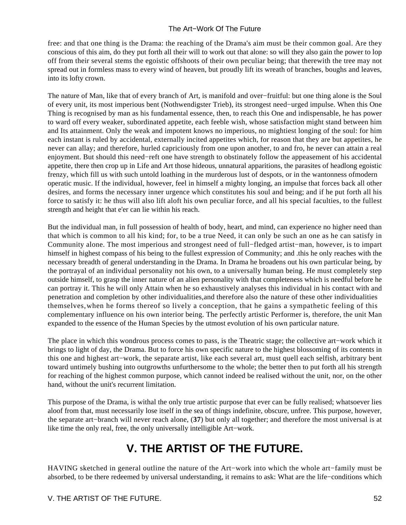free: and that one thing is the Drama: the reaching of the Drama's aim must be their common goal. Are they conscious of this aim, do they put forth all their will to work out that alone: so will they also gain the power to lop off from their several stems the egoistic offshoots of their own peculiar being; that therewith the tree may not spread out in formless mass to every wind of heaven, but proudly lift its wreath of branches, boughs and leaves, into its lofty crown.

The nature of Man, like that of every branch of Art, is manifold and over−fruitful: but one thing alone is the Soul of every unit, its most imperious bent (Nothwendigster Trieb), its strongest need−urged impulse. When this One Thing is recognised by man as his fundamental essence, then, to reach this One and indispensable, he has power to ward off every weaker, subordinated appetite, each feeble wish, whose satisfaction might stand between him and Its attainment. Only the weak and impotent knows no imperious, no mightiest longing of the soul: for him each instant is ruled by accidental, externally incited appetites which, for reason that they are but appetites, he never can allay; and therefore, hurled capriciously from one upon another, to and fro, he never can attain a real enjoyment. But should this need−reft one have strength to obstinately follow the appeasement of his accidental appetite, there then crop up in Life and Art those hideous, unnatural apparitions, the parasites of headlong egoistic frenzy, which fill us with such untold loathing in the murderous lust of despots, or in the wantonness of modern operatic music. If the individual, however, feel in himself a mighty longing, an impulse that forces back all other desires, and forms the necessary inner urgence which constitutes his soul and being; and if he put forth all his force to satisfy it: he thus will also lift aloft his own peculiar force, and all his special faculties, to the fullest strength and height that e'er can lie within his reach.

But the individual man, in full possession of health of body, heart, and mind, can experience no higher need than that which is common to all his kind; for, to be a true Need, it can only be such an one as he can satisfy in Community alone. The most imperious and strongest need of full−fledged artist−man, however, is to impart himself in highest compass of his being to the fullest expression of Community; and .this he only reaches with the necessary breadth of general understanding in the Drama. In Drama he broadens out his own particular being, by the portrayal of an individual personality not his own, to a universally human being. He must completely step outside himself, to grasp the inner nature of an alien personality with that completeness which is needful before he can portray it. This he will only Attain when he so exhaustively analyses this individual in his contact with and penetration and completion by other individualities, and therefore also the nature of these other individualities themselves,when he forms thereof so lively a conception, that he gains a sympathetic feeling of this complementary influence on his own interior being. The perfectly artistic Performer is, therefore, the unit Man expanded to the essence of the Human Species by the utmost evolution of his own particular nature.

The place in which this wondrous process comes to pass, is the Theatric stage; the collective art−work which it brings to light of day, the Drama. But to force his own specific nature to the highest blossoming of its contents in this one and highest art−work, the separate artist, like each several art, must quell each selfish, arbitrary bent toward untimely bushing into outgrowths unfurthersome to the whole; the better then to put forth all his strength for reaching of the highest common purpose, which cannot indeed be realised without the unit, nor, on the other hand, without the unit's recurrent limitation.

This purpose of the Drama, is withal the only true artistic purpose that ever can be fully realised; whatsoever lies aloof from that, must necessarily lose itself in the sea of things indefinite, obscure, unfree. This purpose, however, the separate art−branch will never reach alone, (**37**) but only all together; and therefore the most universal is at like time the only real, free, the only universally intelligible Art−work.

## **V. THE ARTIST OF THE FUTURE.**

<span id="page-53-0"></span>HAVING sketched in general outline the nature of the Art−work into which the whole art−family must be absorbed, to be there redeemed by universal understanding, it remains to ask: What are the life−conditions which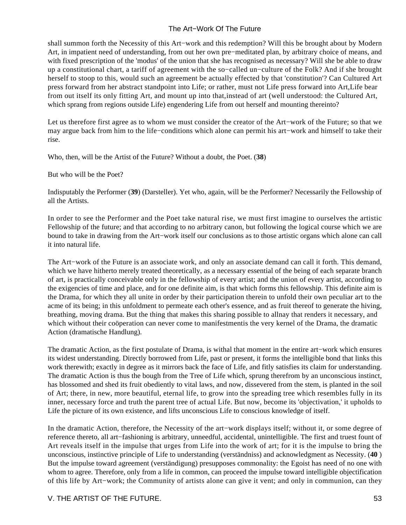shall summon forth the Necessity of this Art−work and this redemption? Will this be brought about by Modern Art, in impatient need of understanding, from out her own pre−meditated plan, by arbitrary choice of means, and with fixed prescription of the 'modus' of the union that she has recognised as necessary? Will she be able to draw up a constitutional chart, a tariff of agreement with the so−called un−culture of the Folk? And if she brought herself to stoop to this, would such an agreement be actually effected by that 'constitution'? Can Cultured Art press forward from her abstract standpoint into Life; or rather, must not Life press forward into Art,Life bear from out itself its only fitting Art, and mount up into that, instead of art (well understood: the Cultured Art, which sprang from regions outside Life) engendering Life from out herself and mounting thereinto?

Let us therefore first agree as to whom we must consider the creator of the Art−work of the Future; so that we may argue back from him to the life−conditions which alone can permit his art−work and himself to take their rise.

Who, then, will be the Artist of the Future? Without a doubt, the Poet. (**38**)

But who will be the Poet?

Indisputably the Performer (**39**) (Darsteller). Yet who, again, will be the Performer? Necessarily the Fellowship of all the Artists.

In order to see the Performer and the Poet take natural rise, we must first imagine to ourselves the artistic Fellowship of the future; and that according to no arbitrary canon, but following the logical course which we are bound to take in drawing from the Art−work itself our conclusions as to those artistic organs which alone can call it into natural life.

The Art−work of the Future is an associate work, and only an associate demand can call it forth. This demand, which we have hitherto merely treated theoretically, as a necessary essential of the being of each separate branch of art, is practically conceivable only in the fellowship of every artist; and the union of every artist, according to the exigencies of time and place, and for one definite aim, is that which forms this fellowship. This definite aim is the Drama, for which they all unite in order by their participation therein to unfold their own peculiar art to the acme of its being; in this unfoldment to permeate each other's essence, and as fruit thereof to generate the hiving, breathing, moving drama. But the thing that makes this sharing possible to all nay that renders it necessary, and which without their coöperation can never come to manifestment is the very kernel of the Drama, the dramatic Action (dramatische Handlung).

The dramatic Action, as the first postulate of Drama, is withal that moment in the entire art−work which ensures its widest understanding. Directly borrowed from Life, past or present, it forms the intelligible bond that links this work therewith; exactly in degree as it mirrors back the face of Life, and fitly satisfies its claim for understanding. The dramatic Action is thus the bough from the Tree of Life which, sprung therefrom by an unconscious instinct, has blossomed and shed its fruit obediently to vital laws, and now, dissevered from the stem, is planted in the soil of Art; there, in new, more beautiful, eternal life, to grow into the spreading tree which resembles fully in its inner, necessary force and truth the parent tree of actual Life. But now, become its 'objectivation,' it upholds to Life the picture of its own existence, and lifts unconscious Life to conscious knowledge of itself.

In the dramatic Action, therefore, the Necessity of the art−work displays itself; without it, or some degree of reference thereto, all art−fashioning is arbitrary, unneedful, accidental, unintelligible. The first and truest fount of Art reveals itself in the impulse that urges from Life into the work of art; for it is the impulse to bring the unconscious, instinctive principle of Life to understanding (verständniss) and acknowledgment as Necessity. (**40** ) But the impulse toward agreement (verständigung) presupposes commonality: the Egoist has need of no one with whom to agree. Therefore, only from a life in common, can proceed the impulse toward intelligible objectification of this life by Art−work; the Community of artists alone can give it vent; and only in communion, can they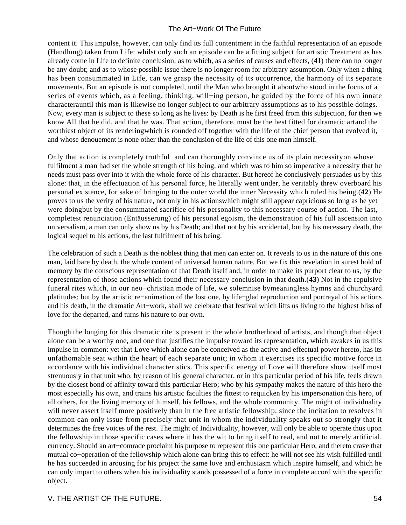content it. This impulse, however, can only find its full contentment in the faithful representation of an episode (Handlung) taken from Life: whilst only such an episode can be a fitting subject for artistic Treatment as has already come in Life to definite conclusion; as to which, as a series of causes and effects, (**41**) there can no longer be any doubt; and as to whose possible issue there is no longer room for arbitrary assumption. Only when a thing has been consummated in Life, can we grasp the necessity of its occurrence, the harmony of its separate movements. But an episode is not completed, until the Man who brought it aboutwho stood in the focus of a series of events which, as a feeling, thinking, will−ing person, he guided by the force of his own innate charactera until this man is likewise no longer subject to our arbitrary assumptions as to his possible doings. Now, every man is subject to these so long as he lives: by Death is he first freed from this subjection, for then we know All that he did, and that he was. That action, therefore, must be the best fitted for dramatic artand the worthiest object of its rendering which is rounded off together with the life of the chief person that evolved it, and whose denouement is none other than the conclusion of the life of this one man himself.

Only that action is completely truthful and can thoroughly convince us of its plain necessityon whose fulfilment a man had set the whole strength of his being, and which was to him so imperative a necessity that he needs must pass over into it with the whole force of his character. But hereof he conclusively persuades us by this alone: that, in the effectuation of his personal force, he literally went under, he veritably threw overboard his personal existence, for sake of bringing to the outer world the inner Necessity which ruled his being.(**42**) He proves to us the verity of his nature, not only in his actionswhich might still appear capricious so long as he yet were doing but by the consummated sacrifice of his personality to this necessary course of action. The last, completest renunciation (Entäusserung) of his personal egoism, the demonstration of his full ascension into universalism, a man can only show us by his Death; and that not by his accidental, but by his necessary death, the logical sequel to his actions, the last fulfilment of his being.

The celebration of such a Death is the noblest thing that men can enter on. It reveals to us in the nature of this one man, laid bare by death, the whole content of universal human nature. But we fix this revelation in surest hold of memory by the conscious representation of that Death itself and, in order to make its purport clear to us, by the representation of those actions which found their necessary conclusion in that death.(**43**) Not in the repulsive funeral rites which, in our neo−christian mode of life, we solemnise bymeaningless hymns and churchyard platitudes; but by the artistic re−animation of the lost one, by life−glad reproduction and portrayal of his actions and his death, in the dramatic Art−work, shall we celebrate that festival which lifts us living to the highest bliss of love for the departed, and turns his nature to our own.

Though the longing for this dramatic rite is present in the whole brotherhood of artists, and though that object alone can be a worthy one, and one that justifies the impulse toward its representation, which awakes in us this impulse in common: yet that Love which alone can be conceived as the active and effectual power hereto, has its unfathomable seat within the heart of each separate unit; in whom it exercises its specific motive force in accordance with his individual characteristics. This specific energy of Love will therefore show itself most strenuously in that unit who, by reason of his general character, or in this particular period of his life, feels drawn by the closest bond of affinity toward this particular Hero; who by his sympathy makes the nature of this hero the most especially his own, and trains his artistic faculties the fittest to requicken by his impersonation this hero, of all others, for the living memory of himself, his fellows, and the whole community. The might of individuality will never assert itself more positively than in the free artistic fellowship; since the incitation to resolves in common can only issue from precisely that unit in whom the individuality speaks out so strongly that it determines the free voices of the rest. The might of Individuality, however, will only be able to operate thus upon the fellowship in those specific cases where it has the wit to bring itself to real, and not to merely artificial, currency. Should an art−comrade proclaim his purpose to represent this one particular Hero, and thereto crave that mutual co−operation of the fellowship which alone can bring this to effect: he will not see his wish fulfilled until he has succeeded in arousing for his project the same love and enthusiasm which inspire himself, and which he can only impart to others when his individuality stands possessed of a force in complete accord with the specific object.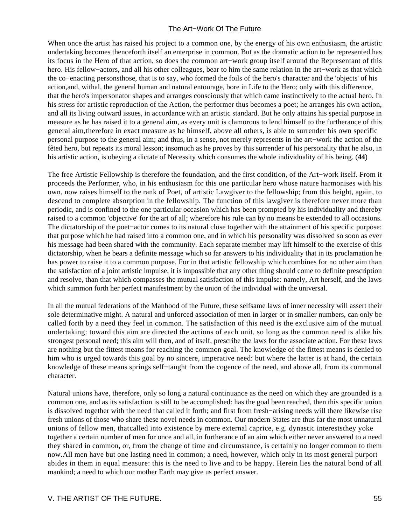When once the artist has raised his project to a common one, by the energy of his own enthusiasm, the artistic undertaking becomes thenceforth itself an enterprise in common. But as the dramatic action to be represented has its focus in the Hero of that action, so does the common art−work group itself around the Representant of this hero. His fellow−actors, and all his other colleagues, bear to him the same relation in the art−work as that which the co−enacting personsthose, that is to say, who formed the foils of the hero's character and the 'objects' of his action, and, withal, the general human and natural entourage, bore in Life to the Hero; only with this difference, that the hero's impersonator shapes and arranges consciously that which came instinctively to the actual hero. In his stress for artistic reproduction of the Action, the performer thus becomes a poet; he arranges his own action, and all its living outward issues, in accordance with an artistic standard. But he only attains his special purpose in measure as he has raised it to a general aim, as every unit is clamorous to lend himself to the furtherance of this general aim, therefore in exact measure as he himself, above all others, is able to surrender his own specific personal purpose to the general aim; and thus, in a sense, not merely represents in the art−work the action of the fêted hero, but repeats its moral lesson; insomuch as he proves by this surrender of his personality that he also, in his artistic action, is obeying a dictate of Necessity which consumes the whole individuality of his being. (**44**)

The free Artistic Fellowship is therefore the foundation, and the first condition, of the Art−work itself. From it proceeds the Performer, who, in his enthusiasm for this one particular hero whose nature harmonises with his own, now raises himself to the rank of Poet, of artistic Lawgiver to the fellowship; from this height, again, to descend to complete absorption in the fellowship. The function of this lawgiver is therefore never more than periodic, and is confined to the one particular occasion which has been prompted by his individuality and thereby raised to a common 'objective' for the art of all; wherefore his rule can by no means be extended to all occasions. The dictatorship of the poet–actor comes to its natural close together with the attainment of his specific purpose: that purpose which he had raised into a common one, and in which his personality was dissolved so soon as ever his message had been shared with the community. Each separate member may lift himself to the exercise of this dictatorship, when he bears a definite message which so far answers to his individuality that in its proclamation he has power to raise it to a common purpose. For in that artistic fellowship which combines for no other aim than the satisfaction of a joint artistic impulse, it is impossible that any other thing should come to definite prescription and resolve, than that which compasses the mutual satisfaction of this impulse: namely, Art herself, and the laws which summon forth her perfect manifestment by the union of the individual with the universal.

In all the mutual federations of the Manhood of the Future, these selfsame laws of inner necessity will assert their sole determinative might. A natural and unforced association of men in larger or in smaller numbers, can only be called forth by a need they feel in common. The satisfaction of this need is the exclusive aim of the mutual undertaking: toward this aim are directed the actions of each unit, so long as the common need is alike his strongest personal need; this aim will then, and of itself, prescribe the laws for the associate action. For these laws are nothing but the fittest means for reaching the common goal. The knowledge of the fittest means is denied to him who is urged towards this goal by no sincere, imperative need: but where the latter is at hand, the certain knowledge of these means springs self−taught from the cogence of the need, and above all, from its communal character.

Natural unions have, therefore, only so long a natural continuance as the need on which they are grounded is a common one, and as its satisfaction is still to be accomplished: has the goal been reached, then this specific union is dissolved together with the need that called it forth; and first from fresh−arising needs will there likewise rise fresh unions of those who share these novel needs in common. Our modern States are thus far the most unnatural unions of fellow men, that called into existence by mere external caprice, e.g. dynastic interests they yoke together a certain number of men for once and all, in furtherance of an aim which either never answered to a need they shared in common, or, from the change of time and circumstance, is certainly no longer common to them now.All men have but one lasting need in common; a need, however, which only in its most general purport abides in them in equal measure: this is the need to live and to be happy. Herein lies the natural bond of all mankind; a need to which our mother Earth may give us perfect answer.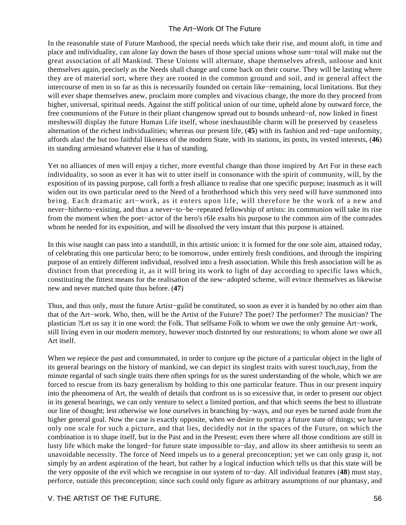In the reasonable state of Future Manhood, the special needs which take their rise, and mount aloft, in time and place and individuality, can alone lay down the bases of those special unions whose sum−total will make out the great association of all Mankind. These Unions will alternate, shape themselves afresh, unloose and knit themselves again, precisely as the Needs shall change and come back on their course. They will be lasting where they are of material sort, where they are rooted in the common ground and soil, and in general affect the intercourse of men in so far as this is necessarily founded on certain like−remaining, local limitations. But they will ever shape themselves anew, proclaim more complex and vivacious change, the more do they proceed from higher, universal, spiritual needs. Against the stiff political union of our time, upheld alone by outward force, the free communions of the Future in their pliant change now spread out to bounds unheard–of, now linked in finest mesheswill display the future Human Life itself, whose inexhaustible charm will be preserved by ceaseless alternation of the richest individualities; whereas our present life, (**45**) with its fashion and red−tape uniformity, affords alas! the but too faithful likeness of the modern State, with its stations, its posts, its vested interests, (**46**) its standing armies and whatever else it has of standing.

Yet no alliances of men will enjoy a richer, more eventful change than those inspired by Art For in these each individuality, so soon as ever it has wit to utter itself in consonance with the spirit of community, will, by the exposition of its passing purpose, call forth a fresh alliance to realise that one specific purpose; inasmuch as it will widen out its own particular need to the Need of a brotherhood which this very need will have summoned into being. Each dramatic art−work, as it enters upon life, will therefore be the work of a new and never−hitherto−existing, and thus a never−to−be−repeated fellowship of artists: its communion will take its rise from the moment when the poet−actor of the hero's r6le exalts his purpose to the common aim of the comrades whom he needed for its exposition, and will be dissolved the very instant that this purpose is attained.

In this wise naught can pass into a standstill, in this artistic union: it is formed for the one sole aim, attained today, of celebrating this one particular hero; to be tomorrow, under entirely fresh conditions, and through the inspiring purpose of an entirely different individual, resolved into a fresh association. While this fresh association will be as distinct from that preceding it, as it will bring its work to light of day according to specific laws which, constituting the fittest means for the realisation of the new−adopted scheme, will evince themselves as likewise new and never matched quite thus before. (**47**)

Thus, and thus only, must the future Artist−guild be constituted, so soon as ever it is banded by no other aim than that of the Art−work. Who, then, will be the Artist of the Future? The poet? The performer? The musician? The plastician ?Let us say it in one word: the Folk. That selfsame Folk to whom we owe the only genuine Art−work, still living even in our modern memory, however much distorted by our restorations; to whom alone we owe all Art itself.

When we repiece the past and consummated, in order to conjure up the picture of a particular object in the light of its general bearings on the history of mankind, we can depict its singlest traits with surest touch, nay, from the minute regardal of such single traits there often springs for us the surest understanding of the whole, which we are forced to rescue from its hazy generalism by holding to this one particular feature. Thus in our present inquiry into the phenomena of Art, the wealth of details that confront us is so excessive that, in order to present our object in its general bearings, we can only venture to select a limited portion, and that which seems the best to illustrate our line of thought; lest otherwise we lose ourselves in branching by−ways, and our eyes be turned aside from the higher general goal. Now the case is exactly opposite, when we desire to portray a future state of things; we have only one scale for such a picture, and that lies, decidedly not in the spaces of the Future, on which the combination is to shape itself, but in the Past and in the Present; even there where all those conditions are still in lusty life which make the longed−for future state impossible to−day, and allow its sheer antithesis to seem an unavoidable necessity. The force of Need impels us to a general preconception; yet we can only grasp it, not simply by an ardent aspiration of the heart, but rather by a logical induction which tells us that this state will be the very opposite of the evil which we recognise in our system of to−day. All individual features (**48**) must stay, perforce, outside this preconception; since such could only figure as arbitrary assumptions of our phantasy, and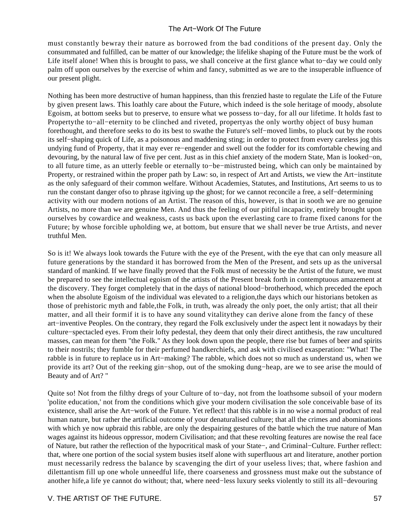must constantly bewray their nature as borrowed from the bad conditions of the present day. Only the consummated and fulfilled, can be matter of our knowledge; the lifelike shaping of the Future must be the work of Life itself alone! When this is brought to pass, we shall conceive at the first glance what to−day we could only palm off upon ourselves by the exercise of whim and fancy, submitted as we are to the insuperable influence of our present plight.

Nothing has been more destructive of human happiness, than this frenzied haste to regulate the Life of the Future by given present laws. This loathly care about the Future, which indeed is the sole heritage of moody, absolute Egoism, at bottom seeks but to preserve, to ensure what we possess to−day, for all our lifetime. It holds fast to Property the to−all−eternity to be clinched and riveted, property as the only worthy object of busy human forethought, and therefore seeks to do its best to swathe the Future's self−moved limbs, to pluck out by the roots its self−shaping quick of Life, as a poisonous and maddening sting; in order to protect from every careless jog this undying fund of Property, that it may ever re−engender and swell out the fodder for its comfortable chewing and devouring, by the natural law of five per cent. Just as in this chief anxiety of the modern State, Man is looked−on, to all future time, as an utterly feeble or eternally to−be−mistrusted being, which can only be maintained by Property, or restrained within the proper path by Law: so, in respect of Art and Artists, we view the Art−institute as the only safeguard of their common welfare. Without Academies, Statutes, and Institutions, Art seems to us to run the constant danger of so to phrase it giving up the ghost; for we cannot reconcile a free, a self–determining activity with our modern notions of an Artist. The reason of this, however, is that in sooth we are no genuine Artists, no more than we are genuine Men. And thus the feeling of our pitiful incapacity, entirely brought upon ourselves by cowardice and weakness, casts us back upon the everlasting care to frame fixed canons for the Future; by whose forcible upholding we, at bottom, but ensure that we shall never be true Artists, and never truthful Men.

So is it! We always look towards the Future with the eye of the Present, with the eye that can only measure all future generations by the standard it has borrowed from the Men of the Present, and sets up as the universal standard of mankind. If we have finally proved that the Folk must of necessity be the Artist of the future, we must be prepared to see the intellectual egoism of the artists of the Present break forth in contemptuous amazement at the discovery. They forget completely that in the days of national blood−brotherhood, which preceded the epoch when the absolute Egoism of the individual was elevated to a religion, the days which our historians betoken as those of prehistoric myth and fable, the Folk, in truth, was already the only poet, the only artist; that all their matter, and all their form if it is to have any sound vitality they can derive alone from the fancy of these art−inventive Peoples. On the contrary, they regard the Folk exclusively under the aspect lent it nowadays by their culture−spectacled eyes. From their lofty pedestal, they deem that only their direct antithesis, the raw uncultured masses, can mean for them "the Folk." As they look down upon the people, there rise but fumes of beer and spirits to their nostrils; they fumble for their perfumed handkerchiefs, and ask with civilised exasperation: "What! The rabble is in future to replace us in Art−making? The rabble, which does not so much as understand us, when we provide its art? Out of the reeking gin−shop, out of the smoking dung−heap, are we to see arise the mould of Beauty and of Art? "

Quite so! Not from the filthy dregs of your Culture of to−day, not from the loathsome subsoil of your modern 'polite education,' not from the conditions which give your modern civilisation the sole conceivable base of its existence, shall arise the Art−work of the Future. Yet reflect! that this rabble is in no wise a normal product of real human nature, but rather the artificial outcome of your denaturalised culture; that all the crimes and abominations with which ye now upbraid this rabble, are only the despairing gestures of the battle which the true nature of Man wages against its hideous oppressor, modern Civilisation; and that these revolting features are nowise the real face of Nature, but rather the reflection of the hypocritical mask of your State−, and Criminal−Culture. Further reflect: that, where one portion of the social system busies itself alone with superfluous art and literature, another portion must necessarily redress the balance by scavenging the dirt of your useless lives; that, where fashion and dilettantism fill up one whole unneedful life, there coarseness and grossness must make out the substance of another hife, a life ye cannot do without; that, where need–less luxury seeks violently to still its all−devouring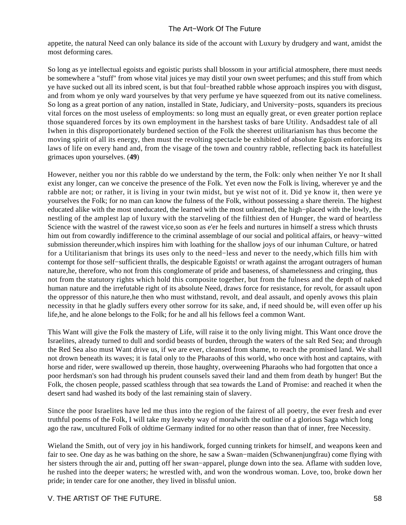appetite, the natural Need can only balance its side of the account with Luxury by drudgery and want, amidst the most deforming cares.

So long as ye intellectual egoists and egoistic purists shall blossom in your artificial atmosphere, there must needs be somewhere a "stuff" from whose vital juices ye may distil your own sweet perfumes; and this stuff from which ye have sucked out all its inbred scent, is but that foul−breathed rabble whose approach inspires you with disgust, and from whom ye only ward yourselves by that very perfume ye have squeezed from out its native comeliness. So long as a great portion of any nation, installed in State, Judiciary, and University−posts, squanders its precious vital forces on the most useless of employments: so long must an equally great, or even greater portion replace those squandered forces by its own employment in the harshest tasks of bare Utility. And saddest tale of all Iwhen in this disproportionately burdened section of the Folk the sheerest utilitarianism has thus become the moving spirit of all its energy, then must the revolting spectacle be exhibited of absolute Egoism enforcing its laws of life on every hand and, from the visage of the town and country rabble, reflecting back its hatefullest grimaces upon yourselves. (**49**)

However, neither you nor this rabble do we understand by the term, the Folk: only when neither Ye nor It shall exist any longer, can we conceive the presence of the Folk. Yet even now the Folk is living, wherever ye and the rabble are not; or rather, it is living in your twin midst, but ye wist not of it. Did ye know it, then were ye yourselves the Folk; for no man can know the fulness of the Folk, without possessing a share therein. The highest educated alike with the most uneducated, the learned with the most unlearned, the high−placed with the lowly, the nestling of the amplest lap of luxury with the starveling of the filthiest den of Hunger, the ward of heartless Science with the wastrel of the rawest vice, so soon as e'er he feels and nurtures in himself a stress which thrusts him out from cowardly indifference to the criminal assemblage of our social and political affairs, or heavy−witted submission thereunder, which inspires him with loathing for the shallow joys of our inhuman Culture, or hatred for a Utilitarianism that brings its uses only to the need–less and never to the needy, which fills him with contempt for those self−sufficient thralls, the despicable Egoists! or wrath against the arrogant outragers of human nature, he, therefore, who not from this conglomerate of pride and baseness, of shamelessness and cringing, thus not from the statutory rights which hold this composite together, but from the fulness and the depth of naked human nature and the irrefutable right of its absolute Need, draws force for resistance, for revolt, for assault upon the oppressor of this nature, he then who must withstand, revolt, and deal assault, and openly avows this plain necessity in that he gladly suffers every other sorrow for its sake, and, if need should be, will even offer up his life,he, and he alone belongs to the Folk; for he and all his fellows feel a common Want.

This Want will give the Folk the mastery of Life, will raise it to the only living might. This Want once drove the Israelites, already turned to dull and sordid beasts of burden, through the waters of the salt Red Sea; and through the Red Sea also must Want drive us, if we are ever, cleansed from shame, to reach the promised land. We shall not drown beneath its waves; it is fatal only to the Pharaohs of this world, who once with host and captains, with horse and rider, were swallowed up therein, those haughty, overweening Pharaohs who had forgotten that once a poor herdsman's son had through his prudent counsels saved their land and them from death by hunger! But the Folk, the chosen people, passed scathless through that sea towards the Land of Promise: and reached it when the desert sand had washed its body of the last remaining stain of slavery.

Since the poor Israelites have led me thus into the region of the fairest of all poetry, the ever fresh and ever truthful poems of the Folk, I will take my leave by way of moral with the outline of a glorious Saga which long ago the raw, uncultured Folk of oldtime Germany indited for no other reason than that of inner, free Necessity.

Wieland the Smith, out of very joy in his handiwork, forged cunning trinkets for himself, and weapons keen and fair to see. One day as he was bathing on the shore, he saw a Swan−maiden (Schwanenjungfrau) come flying with her sisters through the air and, putting off her swan−apparel, plunge down into the sea. Aflame with sudden love, he rushed into the deeper waters; he wrestled with, and won the wondrous woman. Love, too, broke down her pride; in tender care for one another, they lived in blissful union.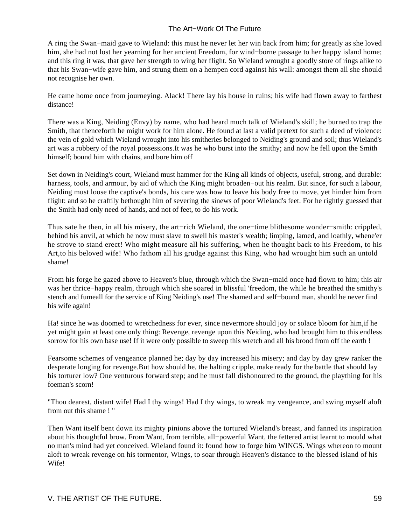A ring the Swan−maid gave to Wieland: this must he never let her win back from him; for greatly as she loved him, she had not lost her yearning for her ancient Freedom, for wind−borne passage to her happy island home; and this ring it was, that gave her strength to wing her flight. So Wieland wrought a goodly store of rings alike to that his Swan−wife gave him, and strung them on a hempen cord against his wall: amongst them all she should not recognise her own.

He came home once from journeying. Alack! There lay his house in ruins; his wife had flown away to farthest distance!

There was a King, Neiding (Envy) by name, who had heard much talk of Wieland's skill; he burned to trap the Smith, that thenceforth he might work for him alone. He found at last a valid pretext for such a deed of violence: the vein of gold which Wieland wrought into his smitheries belonged to Neiding's ground and soil; thus Wieland's art was a robbery of the royal possessions.It was he who burst into the smithy; and now he fell upon the Smith himself; bound him with chains, and bore him off

Set down in Neiding's court, Wieland must hammer for the King all kinds of objects, useful, strong, and durable: harness, tools, and armour, by aid of which the King might broaden−out his realm. But since, for such a labour, Neiding must loose the captive's bonds, his care was how to leave his body free to move, yet hinder him from flight: and so he craftily bethought him of severing the sinews of poor Wieland's feet. For he rightly guessed that the Smith had only need of hands, and not of feet, to do his work.

Thus sate he then, in all his misery, the art−rich Wieland, the one−time blithesome wonder−smith: crippled, behind his anvil, at which he now must slave to swell his master's wealth; limping, lamed, and loathly, whene'er he strove to stand erect! Who might measure all his suffering, when he thought back to his Freedom, to his Art, to his beloved wife! Who fathom all his grudge against this King, who had wrought him such an untold shame!

From his forge he gazed above to Heaven's blue, through which the Swan−maid once had flown to him; this air was her thrice−happy realm, through which she soared in blissful 'freedom, the while he breathed the smithy's stench and fumeall for the service of King Neiding's use! The shamed and self−bound man, should he never find his wife again!

Ha! since he was doomed to wretchedness for ever, since nevermore should joy or solace bloom for him, if he yet might gain at least one only thing: Revenge, revenge upon this Neiding, who had brought him to this endless sorrow for his own base use! If it were only possible to sweep this wretch and all his brood from off the earth !

Fearsome schemes of vengeance planned he; day by day increased his misery; and day by day grew ranker the desperate longing for revenge. But how should he, the halting cripple, make ready for the battle that should lay his torturer low? One venturous forward step; and he must fall dishonoured to the ground, the plaything for his foeman's scorn!

"Thou dearest, distant wife! Had I thy wings! Had I thy wings, to wreak my vengeance, and swing myself aloft from out this shame ! "

Then Want itself bent down its mighty pinions above the tortured Wieland's breast, and fanned its inspiration about his thoughtful brow. From Want, from terrible, all−powerful Want, the fettered artist learnt to mould what no man's mind had yet conceived. Wieland found it: found how to forge him WINGS. Wings whereon to mount aloft to wreak revenge on his tormentor, Wings, to soar through Heaven's distance to the blessed island of his Wife!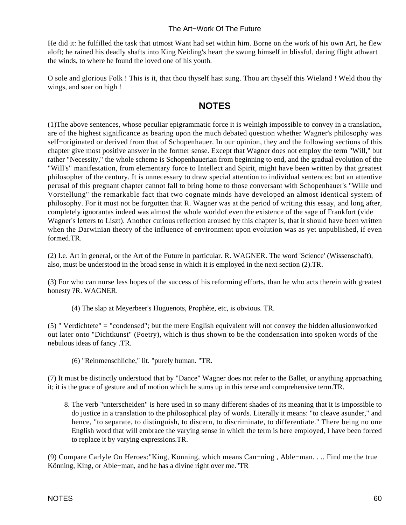He did it: he fulfilled the task that utmost Want had set within him. Borne on the work of his own Art, he flew aloft; he rained his deadly shafts into King Neiding's heart; he swung himself in blissful, daring flight athwart the winds, to where he found the loved one of his youth.

O sole and glorious Folk ! This is it, that thou thyself hast sung. Thou art thyself this Wieland ! Weld thou thy wings, and soar on high !

### **NOTES**

<span id="page-61-0"></span>(1)The above sentences, whose peculiar epigrammatic force it is welnigh impossible to convey in a translation, are of the highest significance as bearing upon the much debated question whether Wagner's philosophy was self–originated or derived from that of Schopenhauer. In our opinion, they and the following sections of this chapter give most positive answer in the former sense. Except that Wagner does not employ the term "Will," but rather "Necessity," the whole scheme is Schopenhauerian from beginning to end, and the gradual evolution of the "Will's" manifestation, from elementary force to Intellect and Spirit, might have been written by that greatest philosopher of the century. It is unnecessary to draw special attention to individual sentences; but an attentive perusal of this pregnant chapter cannot fall to bring home to those conversant with Schopenhauer's "Wille und Vorstellung" the remarkable fact that two cognate minds have developed an almost identical system of philosophy. For it must not be forgotten that R. Wagner was at the period of writing this essay, and long after, completely ignorant as indeed was almost the whole world of even the existence of the sage of Frankfort (vide Wagner's letters to Liszt). Another curious reflection aroused by this chapter is, that it should have been written when the Darwinian theory of the influence of environment upon evolution was as yet unpublished, if even formed.TR.

(2) I.e. Art in general, or the Art of the Future in particular. R. WAGNER. The word 'Science' (Wissenschaft), also, must be understood in the broad sense in which it is employed in the next section (2).TR.

(3) For who can nurse less hopes of the success of his reforming efforts, than he who acts therein with greatest honesty ? R. WAGNER.

(4) The slap at Meyerbeer's Huguenots, Prophète, etc, is obvious. TR.

 $(5)$  " Verdichtete" = "condensed"; but the mere English equivalent will not convey the hidden allusion worked out later onto "Dichtkunst" (Poetry), which is thus shown to be the condensation into spoken words of the nebulous ideas of fancy .TR.

(6) "Reinmenschliche," lit. "purely human. "TR.

(7) It must be distinctly understood that by "Dance" Wagner does not refer to the Ballet, or anything approaching it; it is the grace of gesture and of motion which he sums up in this terse and comprehensive term.TR.

8. The verb "unterscheiden" is here used in so many different shades of its meaning that it is impossible to do justice in a translation to the philosophical play of words. Literally it means: "to cleave asunder," and hence, "to separate, to distinguish, to discern, to discriminate, to differentiate." There being no one English word that will embrace the varying sense in which the term is here employed, I have been forced to replace it by varying expressions.TR.

(9) Compare Carlyle On Heroes:"King, Könning, which means Can−ning , Able−man. . .. Find me the true Könning, King, or Able−man, and he has a divine right over me."TR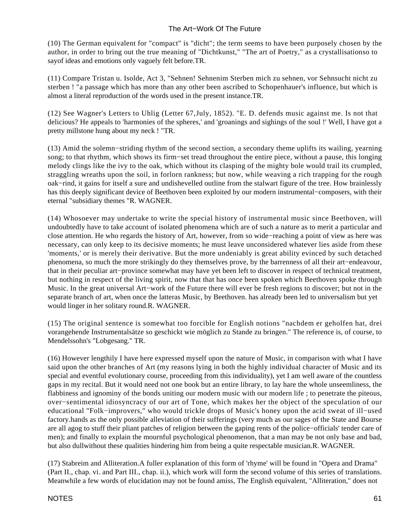(10) The German equivalent for "compact" is "dicht"; the term seems to have been purposely chosen by the author, in order to bring out the true meaning of "Dichtkunst," "The art of Poetry," as a crystallisationso to sayof ideas and emotions only vaguely felt before.TR.

(11) Compare Tristan u. Isolde, Act 3, "Sehnen! Sehnenim Sterben mich zu sehnen, vor Sehnsucht nicht zu sterben ! "a passage which has more than any other been ascribed to Schopenhauer's influence, but which is almost a literal reproduction of the words used in the present instance.TR.

(12) See Wagner's Letters to Uhlig (Letter 67,July, 1852). "E. D. defends music against me. Is not that delicious? He appeals to 'harmonies of the spheres,' and 'groanings and sighings of the soul !' Well, I have got a pretty millstone hung about my neck ! "TR.

(13) Amid the solemn−striding rhythm of the second section, a secondary theme uplifts its wailing, yearning song; to that rhythm, which shows its firm−set tread throughout the entire piece, without a pause, this longing melody clings like the ivy to the oak, which without its clasping of the mighty bole would trail its crumpled, straggling wreaths upon the soil, in forlorn rankness; but now, while weaving a rich trapping for the rough oak−rind, it gains for itself a sure and undishevelled outline from the stalwart figure of the tree. How brainlessly has this deeply significant device of Beethoven been exploited by our modern instrumental−composers, with their eternal "subsidiary themes "R. WAGNER.

(14) Whosoever may undertake to write the special history of instrumental music since Beethoven, will undoubtedly have to take account of isolated phenomena which are of such a nature as to merit a particular and close attention. He who regards the history of Art, however, from so wide−reaching a point of view as here was necessary, can only keep to its decisive moments; he must leave unconsidered whatever lies aside from these 'moments,' or is merely their derivative. But the more undeniably is great ability evinced by such detached phenomena, so much the more strikingly do they themselves prove, by the barrenness of all their art−endeavour, that in their peculiar art−province somewhat may have yet been left to discover in respect of technical treatment, but nothing in respect of the living spirit, now that that has once been spoken which Beethoven spoke through Music. In the great universal Art−work of the Future there will ever be fresh regions to discover; but not in the separate branch of art, when once the latter as Music, by Beethoven. has already been led to universalism but yet would linger in her solitary round.R. WAGNER.

(15) The original sentence is somewhat too forcible for English notions "nachdem er geholfen hat, drei vorangehende Instrumentalsätze so geschickt wie möglich zu Stande zu bringen." The reference is, of course, to Mendelssohn's "Lobgesang." TR.

(16) However lengthily I have here expressed myself upon the nature of Music, in comparison with what I have said upon the other branches of Art (my reasons lying in both the highly individual character of Music and its special and eventful evolutionary course, proceeding from this individuality), yet I am well aware of the countless gaps in my recital. But it would need not one book but an entire library, to lay hare the whole unseemliness, the flabbiness and ignominy of the bonds uniting our modern music with our modern life ; to penetrate the piteous, over−sentimental idiosyncracy of our art of Tone, which makes her the object of the speculation of our educational "Folk−improvers," who would trickle drops of Music's honey upon the acid sweat of ill−used factory.hands as the only possible alleviation of their sufferings (very much as our sages of the State and Bourse are all agog to stuff their pliant patches of religion between the gaping rents of the police−officials' tender care of men); and finally to explain the mournful psychological phenomenon, that a man may be not only base and bad, but also dull without these qualities hindering him from being a quite respectable musician. R. WAGNER.

(17) Stabreim and Alliteration.A fuller explanation of this form of 'rhyme' will be found in "Opera and Drama" (Part II., chap. vi. and Part III., chap. ii.), which work will form the second volume of this series of translations. Meanwhile a few words of elucidation may not be found amiss, The English equivalent, "Alliteration," does not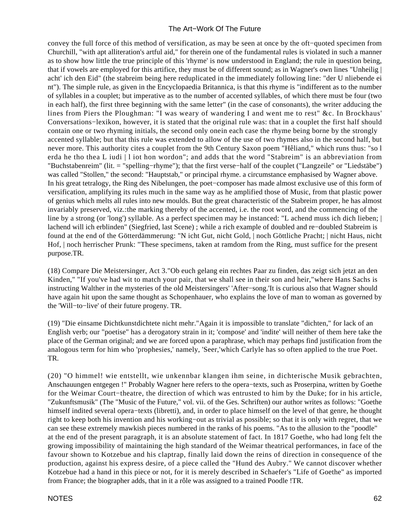convey the full force of this method of versification, as may be seen at once by the oft−quoted specimen from Churchill, "with apt alliteration's artful aid," for therein one of the fundamental rules is violated in such a manner as to show how little the true principle of this 'rhyme' is now understood in England; the rule in question being, that if vowels are employed for this artifice, they must be of different sound; as in Wagner's own lines "Unheilig | acht' ich den Eid" (the stabreim being here reduplicated in the immediately following line: "der U nliebende ei nt"). The simple rule, as given in the Encyclopaedia Britannica, is that this rhyme is "indifferent as to the number of syllables in a couplet; but imperative as to the number of accented syllables, of which there must be four (two in each half), the first three beginning with the same letter" (in the case of consonants), the writer adducing the lines from Piers the Ploughman: "I was weary of wandering I and went me to rest" &c. In Brockhaus' Conversations−lexikon, however, it is stated that the original rule was: that in a couplet the first half should contain one or two rhyming initials, the second only one in each case the rhyme being borne by the strongly accented syllable; but that this rule was extended to allow of the use of two rhymes also in the second half, but never more. This authority cites a couplet from the 9th Century Saxon poem "Hêliand," which runs thus: "so l erda he tho thea L iudi | l iot hon wordon"; and adds that the word "Stabreim" is an abbreviation from "Buchstabenreim" (lit. = "spelling−rhyme"); that the first verse−half of the couplet ("Langzeile" or "Liedstäbe") was called "Stollen," the second: "Hauptstab," or principal rhyme. a circumstance emphasised by Wagner above. In his great tetralogy, the Ring des Nibelungen, the poet−composer has made almost exclusive use of this form of versification, amplifying its rules much in the same way as he amplified those of Music, from that plastic power of genius which melts all rules into new moulds. But the great characteristic of the Stabreim proper, he has almost invariably preserved, viz.: the marking thereby of the accented, i.e. the root word, and the commencing of the line by a strong (or 'long') syllable. As a perfect specimen may he instanced: "L achend muss ich dich lieben; | lachend will ich erblinden" (Siegfried, last Scene) ; while a rich example of doubled and re−doubled Stabreim is found at the end of the Götterdämmerung: "N icht Gut, nicht Gold, | noch Göttliche Pracht; | nicht Haus, nicht Hof, | noch herrischer Prunk: "These specimens, taken at ramdom from the Ring, must suffice for the present purpose.TR.

(18) Compare Die Meistersinger, Act 3."Ob euch gelang ein rechtes Paar zu finden, das zeigt sich jetzt an den Kinden," "If you've had wit to match your pair, that we shall see in their son and heir,"where Hans Sachs is instructing Walther in the mysteries of the old Meistersingers' 'After−song.'It is curious also that Wagner should have again hit upon the same thought as Schopenhauer, who explains the love of man to woman as governed by the 'Will−to−live' of their future progeny. TR.

(19) "Die einsame Dichtkunstdichtete nicht mehr."Again it is impossible to translate "dichten," for lack of an English verb; our "poetise" has a derogatory strain in it; 'compose' and 'indite' will neither of them here take the place of the German original; and we are forced upon a paraphrase, which may perhaps find justification from the analogous term for him who 'prophesies,' namely, 'Seer,'which Carlyle has so often applied to the true Poet. TR.

(20) "O himmel! wie entstellt, wie unkennbar klangen ihm seine, in dichterische Musik gebrachten, Anschauungen entgegen !" Probably Wagner here refers to the opera−texts, such as Proserpina, written by Goethe for the Weimar Court−theatre, the direction of which was entrusted to him by the Duke; for in his article, "Zukunftsmusik" (The "Music of the Future," vol. vii. of the Ges. Schriften) our author writes as follows: "Goethe himself indited several opera−texts (libretti), and, in order to place himself on the level of that genre, he thought right to keep both his invention and his working−out as trivial as possible; so that it is only with regret, that we can see these extremely mawkish pieces numbered in the ranks of his poems. "As to the allusion to the "poodle" at the end of the present paragraph, it is an absolute statement of fact. In 1817 Goethe, who had long felt the growing impossibility of maintaining the high standard of the Weimar theatrical performances, in face of the favour shown to Kotzebue and his claptrap, finally laid down the reins of direction in consequence of the production, against his express desire, of a piece called the "Hund des Aubry." We cannot discover whether Kotzebue had a hand in this piece or not, for it is merely described in Schaefer's "Life of Goethe" as imported from France; the biographer adds, that in it a rôle was assigned to a trained Poodle !TR.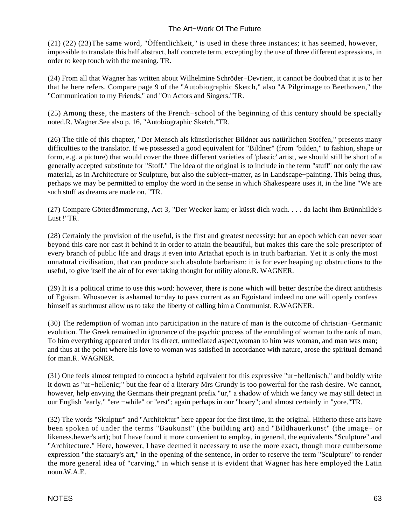(21) (22) (23)The same word, "Öffentlichkeit," is used in these three instances; it has seemed, however, impossible to translate this half abstract, half concrete term, excepting by the use of three different expressions, in order to keep touch with the meaning. TR.

(24) From all that Wagner has written about Wilhelmine Schröder−Devrient, it cannot be doubted that it is to her that he here refers. Compare page 9 of the "Autobiographic Sketch," also "A Pilgrimage to Beethoven," the "Communication to my Friends," and "On Actors and Singers."TR.

(25) Among these, the masters of the French−school of the beginning of this century should be specially noted.R. Wagner.See also p. 16, "Autobiographic Sketch."TR.

(26) The title of this chapter, "Der Mensch als künstlerischer Bildner aus natürlichen Stoffen," presents many difficulties to the translator. If we possessed a good equivalent for "Bildner" (from "bilden," to fashion, shape or form, e.g. a picture) that would cover the three different varieties of 'plastic' artist, we should still be short of a generally accepted substitute for "Stoff." The idea of the original is to include in the term "stuff" not only the raw material, as in Architecture or Sculpture, but also the subject−matter, as in Landscape−painting. This being thus, perhaps we may be permitted to employ the word in the sense in which Shakespeare uses it, in the line "We are such stuff as dreams are made on. "TR.

(27) Compare Götterdämmerung, Act 3, "Der Wecker kam; er küsst dich wach. . . . da lacht ihm Brünnhilde's Lust !" TR.

(28) Certainly the provision of the useful, is the first and greatest necessity: but an epoch which can never soar beyond this care nor cast it behind it in order to attain the beautiful, but makes this care the sole prescriptor of every branch of public life and drags it even into Arta that epoch is in truth barbarian. Yet it is only the most unnatural civilisation, that can produce such absolute barbarism: it is for ever heaping up obstructions to the useful, to give itself the air of for ever taking thought for utility alone.R. WAGNER.

(29) It is a political crime to use this word: however, there is none which will better describe the direct antithesis of Egoism. Whosoever is ashamed to−day to pass current as an Egoistand indeed no one will openly confess himself as such must allow us to take the liberty of calling him a Communist. R.WAGNER.

(30) The redemption of woman into participation in the nature of man is the outcome of christian−Germanic evolution. The Greek remained in ignorance of the psychic process of the ennobling of woman to the rank of man, To him everything appeared under its direct, unmediated aspect, woman to him was woman, and man was man; and thus at the point where his love to woman was satisfied in accordance with nature, arose the spiritual demand for man.R. WAGNER.

(31) One feels almost tempted to concoct a hybrid equivalent for this expressive "ur−hellenisch," and boldly write it down as "ur−hellenic;" but the fear of a literary Mrs Grundy is too powerful for the rash desire. We cannot, however, help envying the Germans their pregnant prefix "ur," a shadow of which we fancy we may still detect in our English "early," "ere −while" or "erst"; again perhaps in our "hoary"; and almost certainly in "yore."TR.

(32) The words "Skulptur" and "Architektur" here appear for the first time, in the original. Hitherto these arts have been spoken of under the terms "Baukunst" (the building art) and "Bildhauerkunst" (the image− or likeness.hewer's art); but I have found it more convenient to employ, in general, the equivalents "Sculpture" and "Architecture." Here, however, I have deemed it necessary to use the more exact, though more cumbersome expression "the statuary's art," in the opening of the sentence, in order to reserve the term "Sculpture" to render the more general idea of "carving," in which sense it is evident that Wagner has here employed the Latin noun. W.A.E.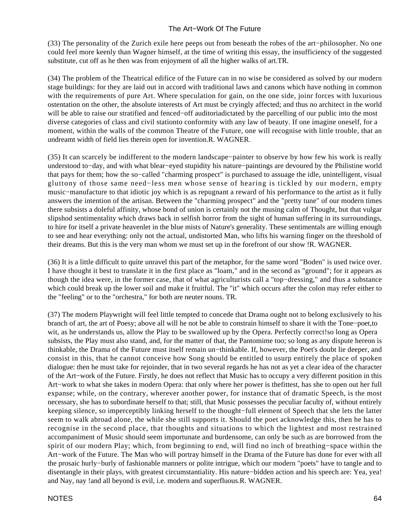(33) The personality of the Zurich exile here peeps out from beneath the robes of the art−philosopher. No one could feel more keenly than Wagner himself, at the time of writing this essay, the insufficiency of the suggested substitute, cut off as he then was from enjoyment of all the higher walks of art.TR.

(34) The problem of the Theatrical edifice of the Future can in no wise be considered as solved by our modern stage buildings: for they are laid out in accord with traditional laws and canons which have nothing in common with the requirements of pure Art. Where speculation for gain, on the one side, joinr forces with luxurious ostentation on the other, the absolute interests of Art must be cryingly affected; and thus no architect in the world will be able to raise our stratified and fenced–off auditoria dictated by the parcelling of our public into the most diverse categories of class and civil station to conformity with any law of beauty. If one imagine oneself, for a moment, within the walls of the common Theatre of the Future, one will recognise with little trouble, that an undreamt width of field lies therein open for invention.R. WAGNER.

(35) It can scarcely be indifferent to the modern landscape−painter to observe by how few his work is really understood to−day, and with what blear−eyed stupidity his nature−paintings are devoured by the Philistine world that pays for them; how the so−called "charming prospect" is purchased to assuage the idle, unintelligent, visual gluttony of those same need−less men whose sense of hearing is tickled by our modern, empty music−manufacture to that idiotic joy which is as repugnant a reward of his performance to the artist as it fully answers the intention of the artisan. Between the "charming prospect" and the "pretty tune" of our modern times there subsists a doleful affinity, whose bond of union is certainly not the musing calm of Thought, but that vulgar slipshod sentimentality which draws back in selfish horror from the sight of human suffering in its surroundings, to hire for itself a private heavenlet in the blue mists of Nature's generality. These sentimentals are willing enough to see and hear everything: only not the actual, undistorted Man, who lifts his warning finger on the threshold of their dreams. But this is the very man whom we must set up in the forefront of our show !R. WAGNER.

(36) It is a little difficult to quite unravel this part of the metaphor, for the same word "Boden" is used twice over. I have thought it best to translate it in the first place as "loam," and in the second as "ground"; for it appears as though the idea were, in the former case, that of what agriculturists call a "top−dressing," and thus a substance which could break up the lower soil and make it fruitful. The "it" which occurs after the colon may refer either to the "feeling" or to the "orchestra," for both are neuter nouns. TR.

(37) The modern Playwright will feel little tempted to concede that Drama ought not to belong exclusively to his branch of art, the art of Poesy; above all will he not be able to constrain himself to share it with the Tone−poet, to wit, as he understands us, allow the Play to be swallowed up by the Opera. Perfectly correct! so long as Opera subsists, the Play must also stand, and, for the matter of that, the Pantomime too; so long as any dispute hereon is thinkable, the Drama of the Future must itself remain un−thinkable. If, however, the Poet's doubt lie deeper, and consist in this, that he cannot conceive how Song should be entitled to usurp entirely the place of spoken dialogue: then he must take for rejoinder, that in two several regards he has not as yet a clear idea of the character of the Art−work of the Future. Firstly, he does not reflect that Music has to occupy a very different position in this Art−work to what she takes in modern Opera: that only where her power is thefittest, has she to open out her full expanse; while, on the contrary, wherever another power, for instance that of dramatic Speech, is the most necessary, she has to subordinate herself to that; still, that Music possesses the peculiar faculty of, without entirely keeping silence, so imperceptibly linking herself to the thought−full element of Speech that she lets the latter seem to walk abroad alone, the while she still supports it. Should the poet acknowledge this, then he has to recognise in the second place, that thoughts and situations to which the lightest and most restrained accompaniment of Music should seem importunate and burdensome, can only be such as are borrowed from the spirit of our modern Play; which, from beginning to end, will find no inch of breathing−space within the Art−work of the Future. The Man who will portray himself in the Drama of the Future has done for ever with all the prosaic hurly−burly of fashionable manners or polite intrigue, which our modern "poets" have to tangle and to disentangle in their plays, with greatest circumstantiality. His nature−bidden action and his speech are: Yea, yea! and Nay, nay !and all beyond is evil, i.e. modern and superfluous.R. WAGNER.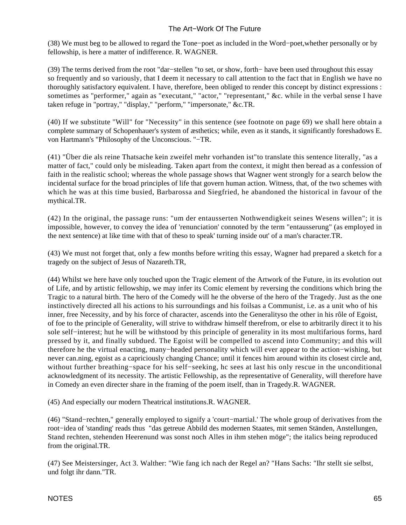(38) We must beg to be allowed to regard the Tone−poet as included in the Word−poet,whether personally or by fellowship, is here a matter of indifference. R. WAGNER.

(39) The terms derived from the root "dar−stellen "to set, or show, forth− have been used throughout this essay so frequently and so variously, that I deem it necessary to call attention to the fact that in English we have no thoroughly satisfactory equivalent. I have, therefore, been obliged to render this concept by distinct expressions : sometimes as "performer," again as "executant," "actor," "representant," &c. while in the verbal sense I have taken refuge in "portray," "display," "perform," "impersonate," &c.TR.

(40) If we substitute "Will" for "Necessity" in this sentence (see footnote on page 69) we shall here obtain a complete summary of Schopenhauer's system of æsthetics; while, even as it stands, it significantly foreshadows E. von Hartmann's "Philosophy of the Unconscious. "−TR.

(41) "Über die als reine Thatsache kein zweifel mehr vorhanden ist"to translate this sentence literally, "as a matter of fact," could only be misleading. Taken apart from the context, it might then beread as a confession of faith in the realistic school; whereas the whole passage shows that Wagner went strongly for a search below the incidental surface for the broad principles of life that govern human action. Witness, that, of the two schemes with which he was at this time busied, Barbarossa and Siegfried, he abandoned the historical in favour of the mythical.TR.

(42) In the original, the passage runs: "um der entausserten Nothwendigkeit seines Wesens willen"; it is impossible, however, to convey the idea of 'renunciation' connoted by the term "entausserung" (as employed in the next sentence) at like time with that of the so to speak ' turning inside out' of a man's character. TR.

(43) We must not forget that, only a few months before writing this essay, Wagner had prepared a sketch for a tragedy on the subject of Jesus of Nazareth.TR,

(44) Whilst we here have only touched upon the Tragic element of the Artwork of the Future, in its evolution out of Life, and by artistic fellowship, we may infer its Comic element by reversing the conditions which bring the Tragic to a natural birth. The hero of the Comedy will he the obverse of the hero of the Tragedy. Just as the one instinctively directed all his actions to his surroundings and his foilsas a Communist, i.e. as a unit who of his inner, free Necessity, and by his force of character, ascends into the Generalityso the other in his rôle of Egoist, of foe to the principle of Generality, will strive to withdraw himself therefrom, or else to arbitrarily direct it to his sole self−interest; hut he will be withstood by this principle of generality in its most multifarious forms, hard pressed by it, and finally subdued. The Egoist will be compelled to ascend into Community; and this will therefore he the virtual enacting, many−headed personality which will ever appear to the action−wishing, but never can.ning, egoist as a capriciously changing Chance; until it fences him around within its closest circle and, without further breathing−space for his self−seeking, hc sees at last his only rescue in the unconditional acknowledgment of its necessity. The artistic Fellowship, as the representative of Generality, will therefore have in Comedy an even directer share in the framing of the poem itself, than in Tragedy.R. WAGNER.

(45) And especially our modern Theatrical institutions.R. WAGNER.

(46) "Stand−rechten," generally employed to signify a 'court−martial.' The whole group of derivatives from the root−idea of 'standing' reads thus "das getreue Abbild des modernen Staates, mit semen Ständen, Anstellungen, Stand rechten, stehenden Heeren und was sonst noch Alles in ihm stehen möge"; the italics being reproduced from the original.TR.

(47) See Meistersinger, Act 3. Walther: "Wie fang ich nach der Regel an? "Hans Sachs: "Ihr stellt sie selbst, und folgt ihr dann."TR.